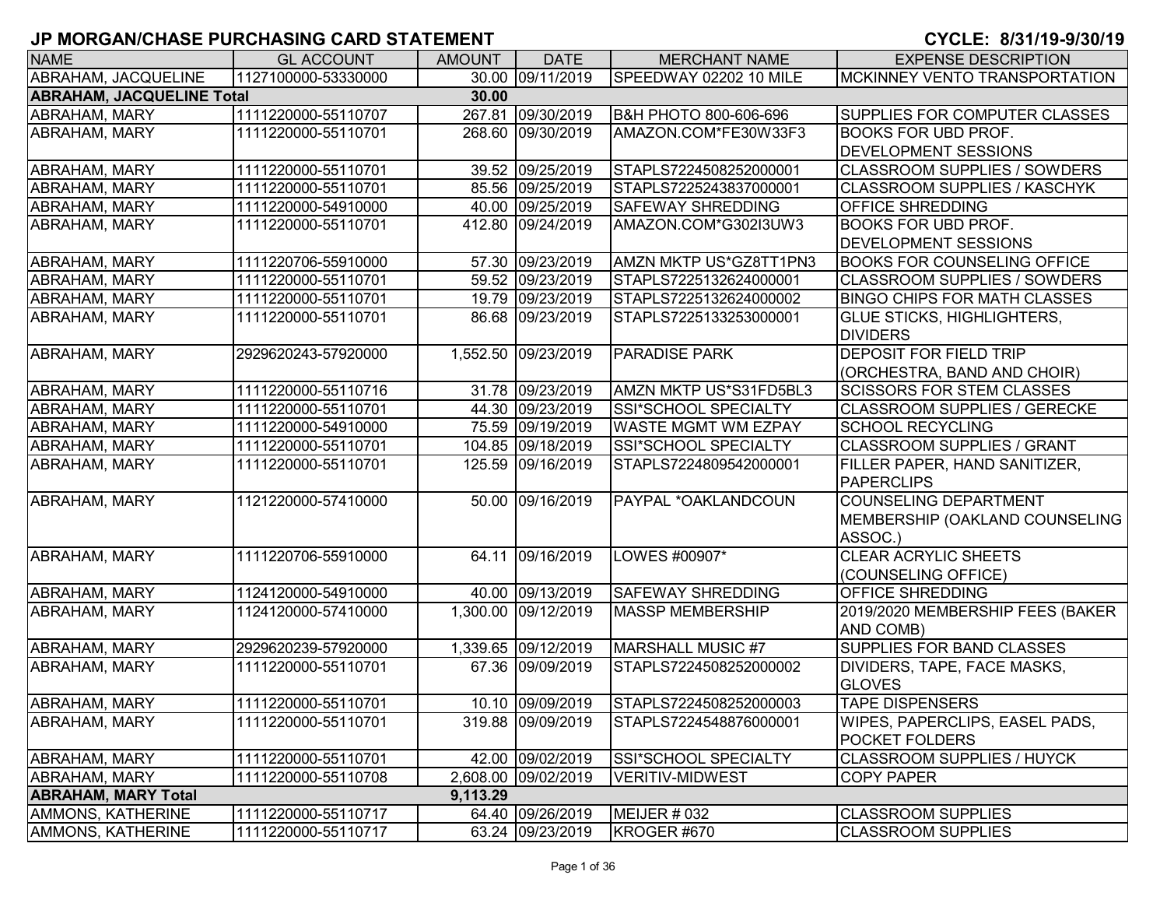| <b>NAME</b>                      | <b>GL ACCOUNT</b>   | <b>AMOUNT</b> | <b>DATE</b>         | <b>MERCHANT NAME</b>       | <b>EXPENSE DESCRIPTION</b>            |
|----------------------------------|---------------------|---------------|---------------------|----------------------------|---------------------------------------|
| ABRAHAM, JACQUELINE              | 1127100000-53330000 |               | 30.00 09/11/2019    | SPEEDWAY 02202 10 MILE     | <b>MCKINNEY VENTO TRANSPORTATION</b>  |
| <b>ABRAHAM, JACQUELINE Total</b> |                     | 30.00         |                     |                            |                                       |
| ABRAHAM, MARY                    | 1111220000-55110707 |               | 267.81 09/30/2019   | B&H PHOTO 800-606-696      | <b>SUPPLIES FOR COMPUTER CLASSES</b>  |
| ABRAHAM, MARY                    | 1111220000-55110701 |               | 268.60 09/30/2019   | AMAZON.COM*FE30W33F3       | <b>BOOKS FOR UBD PROF.</b>            |
|                                  |                     |               |                     |                            | <b>DEVELOPMENT SESSIONS</b>           |
| ABRAHAM, MARY                    | 1111220000-55110701 |               | 39.52 09/25/2019    | STAPLS7224508252000001     | <b>CLASSROOM SUPPLIES / SOWDERS</b>   |
| ABRAHAM, MARY                    | 1111220000-55110701 |               | 85.56 09/25/2019    | STAPLS7225243837000001     | <b>CLASSROOM SUPPLIES / KASCHYK</b>   |
| ABRAHAM, MARY                    | 1111220000-54910000 |               | 40.00 09/25/2019    | <b>SAFEWAY SHREDDING</b>   | OFFICE SHREDDING                      |
| ABRAHAM, MARY                    | 1111220000-55110701 |               | 412.80 09/24/2019   | AMAZON.COM*G302I3UW3       | <b>BOOKS FOR UBD PROF.</b>            |
|                                  |                     |               |                     |                            | <b>DEVELOPMENT SESSIONS</b>           |
| <b>ABRAHAM, MARY</b>             | 1111220706-55910000 |               | 57.30 09/23/2019    | AMZN MKTP US*GZ8TT1PN3     | <b>BOOKS FOR COUNSELING OFFICE</b>    |
| ABRAHAM, MARY                    | 1111220000-55110701 |               | 59.52 09/23/2019    | STAPLS7225132624000001     | <b>CLASSROOM SUPPLIES / SOWDERS</b>   |
| <b>ABRAHAM, MARY</b>             | 1111220000-55110701 |               | 19.79 09/23/2019    | STAPLS7225132624000002     | <b>BINGO CHIPS FOR MATH CLASSES</b>   |
| <b>ABRAHAM, MARY</b>             | 1111220000-55110701 |               | 86.68 09/23/2019    | STAPLS7225133253000001     | <b>GLUE STICKS, HIGHLIGHTERS,</b>     |
|                                  |                     |               |                     |                            | <b>DIVIDERS</b>                       |
| <b>ABRAHAM, MARY</b>             | 2929620243-57920000 |               | 1,552.50 09/23/2019 | <b>PARADISE PARK</b>       | <b>DEPOSIT FOR FIELD TRIP</b>         |
|                                  |                     |               |                     |                            | (ORCHESTRA, BAND AND CHOIR)           |
| ABRAHAM, MARY                    | 1111220000-55110716 |               | 31.78 09/23/2019    | AMZN MKTP US*S31FD5BL3     | <b>SCISSORS FOR STEM CLASSES</b>      |
| ABRAHAM, MARY                    | 1111220000-55110701 |               | 44.30 09/23/2019    | SSI*SCHOOL SPECIALTY       | <b>CLASSROOM SUPPLIES / GERECKE</b>   |
| ABRAHAM, MARY                    | 1111220000-54910000 |               | 75.59 09/19/2019    | <b>WASTE MGMT WM EZPAY</b> | <b>SCHOOL RECYCLING</b>               |
| ABRAHAM, MARY                    | 1111220000-55110701 |               | 104.85 09/18/2019   | SSI*SCHOOL SPECIALTY       | <b>CLASSROOM SUPPLIES / GRANT</b>     |
| <b>ABRAHAM, MARY</b>             | 1111220000-55110701 |               | 125.59 09/16/2019   | STAPLS7224809542000001     | FILLER PAPER, HAND SANITIZER,         |
|                                  |                     |               |                     |                            | <b>PAPERCLIPS</b>                     |
| <b>ABRAHAM, MARY</b>             | 1121220000-57410000 |               | 50.00 09/16/2019    | PAYPAL *OAKLANDCOUN        | <b>COUNSELING DEPARTMENT</b>          |
|                                  |                     |               |                     |                            | MEMBERSHIP (OAKLAND COUNSELING        |
|                                  |                     |               |                     |                            | ASSOC.)                               |
| <b>ABRAHAM, MARY</b>             | 1111220706-55910000 |               | 64.11 09/16/2019    | LOWES #00907*              | <b>CLEAR ACRYLIC SHEETS</b>           |
|                                  |                     |               |                     |                            | (COUNSELING OFFICE)                   |
| <b>ABRAHAM, MARY</b>             | 1124120000-54910000 |               | 40.00 09/13/2019    | <b>SAFEWAY SHREDDING</b>   | <b>OFFICE SHREDDING</b>               |
| <b>ABRAHAM, MARY</b>             | 1124120000-57410000 |               | 1,300.00 09/12/2019 | <b>MASSP MEMBERSHIP</b>    | 2019/2020 MEMBERSHIP FEES (BAKER      |
|                                  |                     |               |                     |                            | AND COMB)                             |
| <b>ABRAHAM, MARY</b>             | 2929620239-57920000 |               | 1,339.65 09/12/2019 | MARSHALL MUSIC #7          | SUPPLIES FOR BAND CLASSES             |
| <b>ABRAHAM, MARY</b>             | 1111220000-55110701 |               | 67.36 09/09/2019    | STAPLS7224508252000002     | DIVIDERS, TAPE, FACE MASKS,           |
|                                  |                     |               |                     |                            | <b>GLOVES</b>                         |
| <b>ABRAHAM, MARY</b>             | 1111220000-55110701 |               | 10.10 09/09/2019    | STAPLS7224508252000003     | <b>TAPE DISPENSERS</b>                |
| <b>ABRAHAM, MARY</b>             | 1111220000-55110701 |               | 319.88 09/09/2019   | STAPLS7224548876000001     | <b>WIPES, PAPERCLIPS, EASEL PADS,</b> |
|                                  |                     |               |                     |                            | <b>POCKET FOLDERS</b>                 |
| <b>ABRAHAM, MARY</b>             | 1111220000-55110701 |               | 42.00 09/02/2019    | SSI*SCHOOL SPECIALTY       | <b>CLASSROOM SUPPLIES / HUYCK</b>     |
| ABRAHAM, MARY                    | 1111220000-55110708 |               | 2,608.00 09/02/2019 | <b>VERITIV-MIDWEST</b>     | <b>COPY PAPER</b>                     |
| <b>ABRAHAM, MARY Total</b>       |                     | 9,113.29      |                     |                            |                                       |
| AMMONS, KATHERINE                | 1111220000-55110717 |               | 64.40 09/26/2019    | MEIJER #032                | <b>CLASSROOM SUPPLIES</b>             |
| <b>AMMONS, KATHERINE</b>         | 1111220000-55110717 |               | 63.24 09/23/2019    | KROGER #670                | <b>CLASSROOM SUPPLIES</b>             |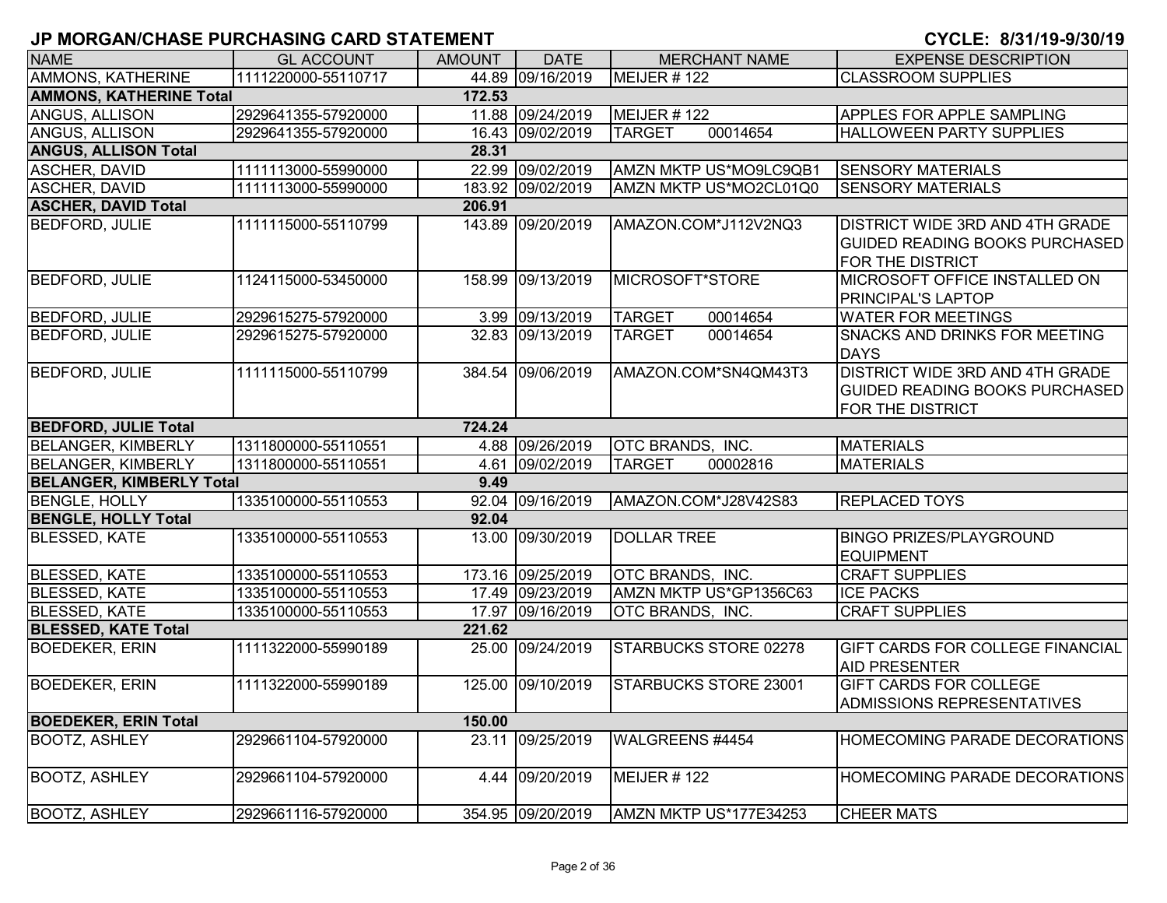| <b>NAME</b>                     | <b>GL ACCOUNT</b>   | <b>AMOUNT</b> | <b>DATE</b>       | <b>MERCHANT NAME</b>         | <b>EXPENSE DESCRIPTION</b>                                                                   |
|---------------------------------|---------------------|---------------|-------------------|------------------------------|----------------------------------------------------------------------------------------------|
| <b>AMMONS, KATHERINE</b>        | 1111220000-55110717 |               | 44.89 09/16/2019  | MEIJER #122                  | <b>CLASSROOM SUPPLIES</b>                                                                    |
| <b>AMMONS, KATHERINE Total</b>  |                     | 172.53        |                   |                              |                                                                                              |
| ANGUS, ALLISON                  | 2929641355-57920000 |               | 11.88 09/24/2019  | MEIJER #122                  | APPLES FOR APPLE SAMPLING                                                                    |
| ANGUS, ALLISON                  | 2929641355-57920000 |               | 16.43 09/02/2019  | 00014654<br><b>TARGET</b>    | <b>HALLOWEEN PARTY SUPPLIES</b>                                                              |
| <b>ANGUS, ALLISON Total</b>     |                     | 28.31         |                   |                              |                                                                                              |
| ASCHER, DAVID                   | 1111113000-55990000 |               | 22.99 09/02/2019  | AMZN MKTP US*MO9LC9QB1       | <b>SENSORY MATERIALS</b>                                                                     |
| <b>ASCHER, DAVID</b>            | 1111113000-55990000 |               | 183.92 09/02/2019 | AMZN MKTP US*MO2CL01Q0       | <b>SENSORY MATERIALS</b>                                                                     |
| <b>ASCHER, DAVID Total</b>      |                     | 206.91        |                   |                              |                                                                                              |
| <b>BEDFORD, JULIE</b>           | 1111115000-55110799 |               | 143.89 09/20/2019 | AMAZON.COM*J112V2NQ3         | DISTRICT WIDE 3RD AND 4TH GRADE<br><b>GUIDED READING BOOKS PURCHASED</b><br>FOR THE DISTRICT |
| <b>BEDFORD, JULIE</b>           | 1124115000-53450000 | 158.99        | 09/13/2019        | MICROSOFT*STORE              | MICROSOFT OFFICE INSTALLED ON<br>PRINCIPAL'S LAPTOP                                          |
| <b>BEDFORD, JULIE</b>           | 2929615275-57920000 |               | 3.99 09/13/2019   | 00014654<br><b>TARGET</b>    | <b>WATER FOR MEETINGS</b>                                                                    |
| <b>BEDFORD, JULIE</b>           | 2929615275-57920000 |               | 32.83 09/13/2019  | 00014654<br><b>TARGET</b>    | <b>SNACKS AND DRINKS FOR MEETING</b><br><b>DAYS</b>                                          |
| <b>BEDFORD, JULIE</b>           | 1111115000-55110799 |               | 384.54 09/06/2019 | AMAZON.COM*SN4QM43T3         | DISTRICT WIDE 3RD AND 4TH GRADE<br><b>GUIDED READING BOOKS PURCHASED</b><br>FOR THE DISTRICT |
| <b>BEDFORD, JULIE Total</b>     |                     | 724.24        |                   |                              |                                                                                              |
| <b>BELANGER, KIMBERLY</b>       | 1311800000-55110551 |               | 4.88 09/26/2019   | <b>OTC BRANDS, INC.</b>      | <b>MATERIALS</b>                                                                             |
| <b>BELANGER, KIMBERLY</b>       | 1311800000-55110551 |               | 4.61 09/02/2019   | <b>TARGET</b><br>00002816    | <b>MATERIALS</b>                                                                             |
| <b>BELANGER, KIMBERLY Total</b> |                     | 9.49          |                   |                              |                                                                                              |
| <b>BENGLE, HOLLY</b>            | 1335100000-55110553 |               | 92.04 09/16/2019  | AMAZON.COM*J28V42S83         | <b>REPLACED TOYS</b>                                                                         |
| <b>BENGLE, HOLLY Total</b>      |                     | 92.04         |                   |                              |                                                                                              |
| <b>BLESSED, KATE</b>            | 1335100000-55110553 |               | 13.00 09/30/2019  | <b>DOLLAR TREE</b>           | <b>BINGO PRIZES/PLAYGROUND</b><br><b>EQUIPMENT</b>                                           |
| <b>BLESSED, KATE</b>            | 1335100000-55110553 |               | 173.16 09/25/2019 | OTC BRANDS, INC.             | <b>CRAFT SUPPLIES</b>                                                                        |
| <b>BLESSED, KATE</b>            | 1335100000-55110553 |               | 17.49 09/23/2019  | AMZN MKTP US*GP1356C63       | <b>ICE PACKS</b>                                                                             |
| <b>BLESSED, KATE</b>            | 1335100000-55110553 |               | 17.97 09/16/2019  | OTC BRANDS, INC.             | <b>CRAFT SUPPLIES</b>                                                                        |
| <b>BLESSED, KATE Total</b>      |                     | 221.62        |                   |                              |                                                                                              |
| <b>BOEDEKER, ERIN</b>           | 1111322000-55990189 |               | 25.00 09/24/2019  | STARBUCKS STORE 02278        | GIFT CARDS FOR COLLEGE FINANCIAL<br><b>AID PRESENTER</b>                                     |
| <b>BOEDEKER, ERIN</b>           | 1111322000-55990189 |               | 125.00 09/10/2019 | <b>STARBUCKS STORE 23001</b> | <b>GIFT CARDS FOR COLLEGE</b><br>ADMISSIONS REPRESENTATIVES                                  |
| <b>BOEDEKER, ERIN Total</b>     |                     | 150.00        |                   |                              |                                                                                              |
| <b>BOOTZ, ASHLEY</b>            | 2929661104-57920000 |               | 23.11 09/25/2019  | WALGREENS #4454              | <b>HOMECOMING PARADE DECORATIONS</b>                                                         |
| <b>BOOTZ, ASHLEY</b>            | 2929661104-57920000 |               | 4.44 09/20/2019   | MEIJER #122                  | HOMECOMING PARADE DECORATIONS                                                                |
| <b>BOOTZ, ASHLEY</b>            | 2929661116-57920000 |               | 354.95 09/20/2019 | AMZN MKTP US*177E34253       | <b>CHEER MATS</b>                                                                            |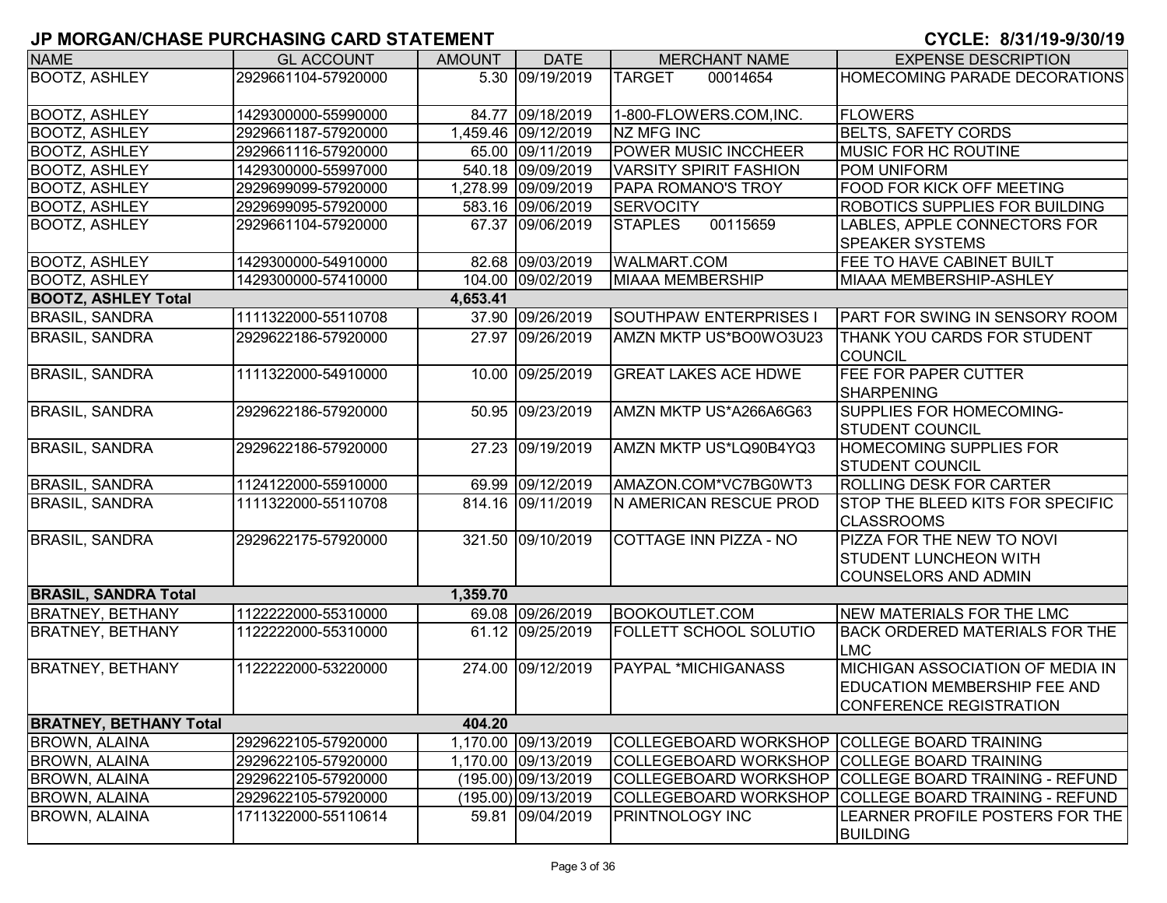| <b>NAME</b>                   | <b>GL ACCOUNT</b>   | <b>AMOUNT</b> | <b>DATE</b>         | <b>MERCHANT NAME</b>                         | <b>EXPENSE DESCRIPTION</b>                            |
|-------------------------------|---------------------|---------------|---------------------|----------------------------------------------|-------------------------------------------------------|
| <b>BOOTZ, ASHLEY</b>          | 2929661104-57920000 |               | 5.30 09/19/2019     | <b>TARGET</b><br>00014654                    | HOMECOMING PARADE DECORATIONS                         |
|                               |                     |               |                     |                                              |                                                       |
| <b>BOOTZ, ASHLEY</b>          | 1429300000-55990000 |               | 84.77 09/18/2019    | 1-800-FLOWERS.COM, INC.                      | <b>FLOWERS</b>                                        |
| <b>BOOTZ, ASHLEY</b>          | 2929661187-57920000 |               | 1,459.46 09/12/2019 | NZ MFG INC                                   | <b>BELTS, SAFETY CORDS</b>                            |
| <b>BOOTZ, ASHLEY</b>          | 2929661116-57920000 |               | 65.00 09/11/2019    | <b>POWER MUSIC INCCHEER</b>                  | <b>MUSIC FOR HC ROUTINE</b>                           |
| <b>BOOTZ, ASHLEY</b>          | 1429300000-55997000 |               | 540.18 09/09/2019   | <b>VARSITY SPIRIT FASHION</b>                | <b>POM UNIFORM</b>                                    |
| <b>BOOTZ, ASHLEY</b>          | 2929699099-57920000 |               | 1,278.99 09/09/2019 | PAPA ROMANO'S TROY                           | FOOD FOR KICK OFF MEETING                             |
| <b>BOOTZ, ASHLEY</b>          | 2929699095-57920000 |               | 583.16 09/06/2019   | <b>SERVOCITY</b>                             | <b>ROBOTICS SUPPLIES FOR BUILDING</b>                 |
| <b>BOOTZ, ASHLEY</b>          | 2929661104-57920000 |               | 67.37 09/06/2019    | <b>STAPLES</b><br>00115659                   | LABLES, APPLE CONNECTORS FOR                          |
|                               |                     |               |                     |                                              | <b>SPEAKER SYSTEMS</b>                                |
| <b>BOOTZ, ASHLEY</b>          | 1429300000-54910000 |               | 82.68 09/03/2019    | <b>WALMART.COM</b>                           | FEE TO HAVE CABINET BUILT                             |
| <b>BOOTZ, ASHLEY</b>          | 1429300000-57410000 |               | 104.00 09/02/2019   | <b>MIAAA MEMBERSHIP</b>                      | MIAAA MEMBERSHIP-ASHLEY                               |
| <b>BOOTZ, ASHLEY Total</b>    |                     | 4,653.41      |                     |                                              |                                                       |
| <b>BRASIL, SANDRA</b>         | 1111322000-55110708 |               | 37.90 09/26/2019    | SOUTHPAW ENTERPRISES I                       | PART FOR SWING IN SENSORY ROOM                        |
| <b>BRASIL, SANDRA</b>         | 2929622186-57920000 |               | 27.97 09/26/2019    | AMZN MKTP US*BO0WO3U23                       | <b>THANK YOU CARDS FOR STUDENT</b>                    |
|                               |                     |               |                     |                                              | <b>COUNCIL</b>                                        |
| <b>BRASIL, SANDRA</b>         | 1111322000-54910000 |               | 10.00 09/25/2019    | <b>GREAT LAKES ACE HDWE</b>                  | <b>FEE FOR PAPER CUTTER</b>                           |
|                               |                     |               |                     |                                              | <b>SHARPENING</b>                                     |
| <b>BRASIL, SANDRA</b>         | 2929622186-57920000 |               | 50.95 09/23/2019    | AMZN MKTP US*A266A6G63                       | <b>SUPPLIES FOR HOMECOMING-</b>                       |
|                               |                     |               |                     |                                              | <b>STUDENT COUNCIL</b>                                |
| <b>BRASIL, SANDRA</b>         | 2929622186-57920000 |               | 27.23 09/19/2019    | AMZN MKTP US*LQ90B4YQ3                       | <b>HOMECOMING SUPPLIES FOR</b>                        |
|                               |                     |               |                     |                                              | <b>STUDENT COUNCIL</b>                                |
| <b>BRASIL, SANDRA</b>         | 1124122000-55910000 |               | 69.99 09/12/2019    | AMAZON.COM*VC7BG0WT3                         | <b>ROLLING DESK FOR CARTER</b>                        |
| <b>BRASIL, SANDRA</b>         | 1111322000-55110708 |               | 814.16 09/11/2019   | N AMERICAN RESCUE PROD                       | STOP THE BLEED KITS FOR SPECIFIC                      |
|                               |                     |               |                     |                                              | <b>CLASSROOMS</b>                                     |
| <b>BRASIL, SANDRA</b>         | 2929622175-57920000 |               | 321.50 09/10/2019   | COTTAGE INN PIZZA - NO                       | <b>PIZZA FOR THE NEW TO NOVI</b>                      |
|                               |                     |               |                     |                                              | <b>STUDENT LUNCHEON WITH</b>                          |
|                               |                     |               |                     |                                              | <b>COUNSELORS AND ADMIN</b>                           |
| <b>BRASIL, SANDRA Total</b>   |                     | 1,359.70      |                     |                                              |                                                       |
| <b>BRATNEY, BETHANY</b>       | 1122222000-55310000 |               | 69.08 09/26/2019    | <b>BOOKOUTLET.COM</b>                        | NEW MATERIALS FOR THE LMC                             |
| <b>BRATNEY, BETHANY</b>       | 1122222000-55310000 |               | 61.12 09/25/2019    | <b>FOLLETT SCHOOL SOLUTIO</b>                | <b>BACK ORDERED MATERIALS FOR THE</b><br><b>LMC</b>   |
| <b>BRATNEY, BETHANY</b>       | 1122222000-53220000 |               | 274.00 09/12/2019   | PAYPAL *MICHIGANASS                          | MICHIGAN ASSOCIATION OF MEDIA IN                      |
|                               |                     |               |                     |                                              | <b>EDUCATION MEMBERSHIP FEE AND</b>                   |
|                               |                     |               |                     |                                              | CONFERENCE REGISTRATION                               |
| <b>BRATNEY, BETHANY Total</b> |                     | 404.20        |                     |                                              |                                                       |
| <b>BROWN, ALAINA</b>          | 2929622105-57920000 |               | 1,170.00 09/13/2019 | COLLEGEBOARD WORKSHOP COLLEGE BOARD TRAINING |                                                       |
| <b>BROWN, ALAINA</b>          | 2929622105-57920000 |               | 1,170.00 09/13/2019 | COLLEGEBOARD WORKSHOP COLLEGE BOARD TRAINING |                                                       |
| <b>BROWN, ALAINA</b>          | 2929622105-57920000 |               | (195.00) 09/13/2019 |                                              | COLLEGEBOARD WORKSHOP COLLEGE BOARD TRAINING - REFUND |
| <b>BROWN, ALAINA</b>          | 2929622105-57920000 |               | (195.00) 09/13/2019 | <b>COLLEGEBOARD WORKSHOP</b>                 | COLLEGE BOARD TRAINING - REFUND                       |
| <b>BROWN, ALAINA</b>          | 1711322000-55110614 |               | 59.81 09/04/2019    | PRINTNOLOGY INC                              | LEARNER PROFILE POSTERS FOR THE                       |
|                               |                     |               |                     |                                              | <b>BUILDING</b>                                       |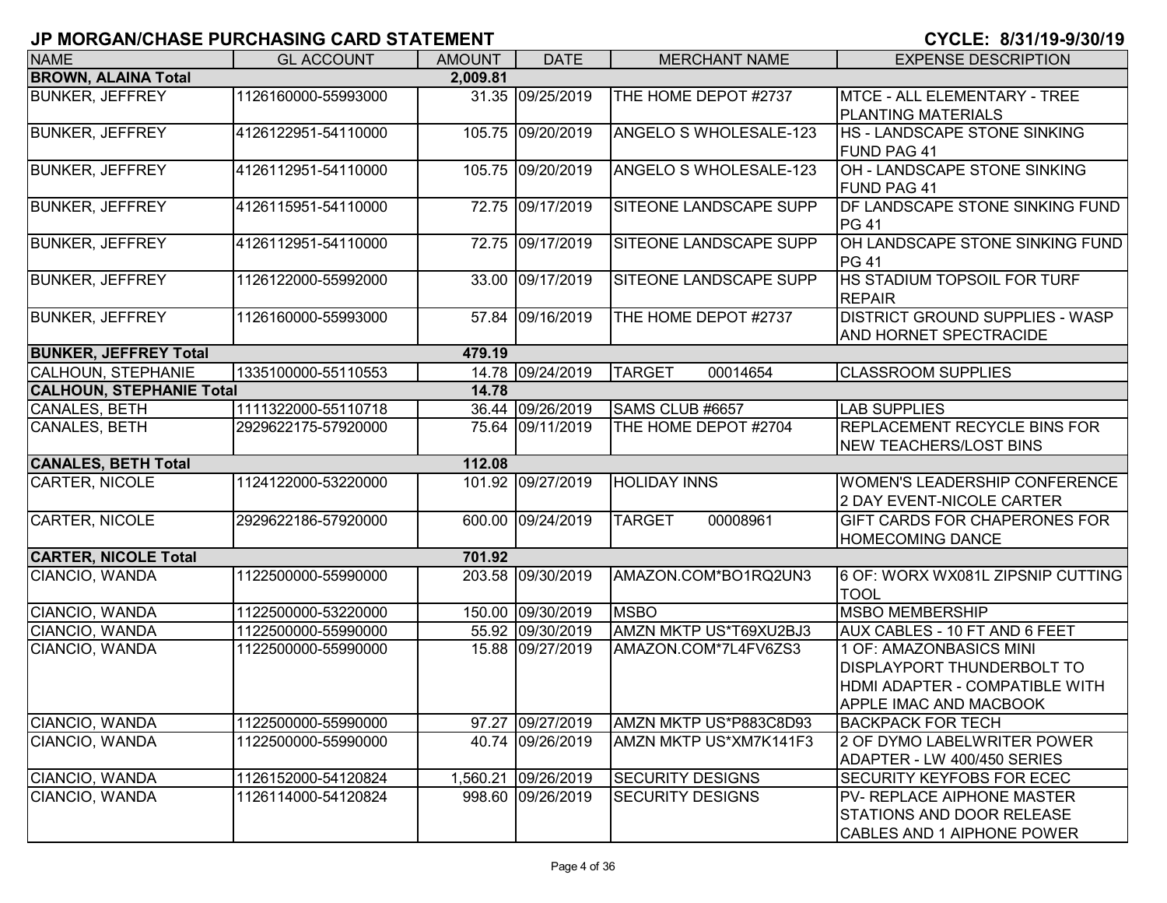| <b>NAME</b>                     | <b>GL ACCOUNT</b>   | <b>AMOUNT</b> | <b>DATE</b>         | <b>MERCHANT NAME</b>          | <b>EXPENSE DESCRIPTION</b>                                                                                                      |
|---------------------------------|---------------------|---------------|---------------------|-------------------------------|---------------------------------------------------------------------------------------------------------------------------------|
| <b>BROWN, ALAINA Total</b>      |                     | 2,009.81      |                     |                               |                                                                                                                                 |
| <b>BUNKER, JEFFREY</b>          | 1126160000-55993000 |               | 31.35 09/25/2019    | THE HOME DEPOT #2737          | MTCE - ALL ELEMENTARY - TREE<br><b>PLANTING MATERIALS</b>                                                                       |
| <b>BUNKER, JEFFREY</b>          | 4126122951-54110000 |               | 105.75 09/20/2019   | <b>ANGELO S WHOLESALE-123</b> | HS - LANDSCAPE STONE SINKING<br><b>FUND PAG 41</b>                                                                              |
| <b>BUNKER, JEFFREY</b>          | 4126112951-54110000 |               | 105.75 09/20/2019   | ANGELO S WHOLESALE-123        | OH - LANDSCAPE STONE SINKING<br><b>FUND PAG 41</b>                                                                              |
| <b>BUNKER, JEFFREY</b>          | 4126115951-54110000 |               | 72.75 09/17/2019    | SITEONE LANDSCAPE SUPP        | <b>IDF LANDSCAPE STONE SINKING FUND</b><br><b>PG 41</b>                                                                         |
| <b>BUNKER, JEFFREY</b>          | 4126112951-54110000 |               | 72.75 09/17/2019    | SITEONE LANDSCAPE SUPP        | OH LANDSCAPE STONE SINKING FUND<br><b>PG 41</b>                                                                                 |
| <b>BUNKER, JEFFREY</b>          | 1126122000-55992000 |               | 33.00 09/17/2019    | SITEONE LANDSCAPE SUPP        | <b>HS STADIUM TOPSOIL FOR TURF</b><br><b>REPAIR</b>                                                                             |
| <b>BUNKER, JEFFREY</b>          | 1126160000-55993000 |               | 57.84 09/16/2019    | THE HOME DEPOT #2737          | <b>DISTRICT GROUND SUPPLIES - WASP</b><br>AND HORNET SPECTRACIDE                                                                |
| <b>BUNKER, JEFFREY Total</b>    |                     | 479.19        |                     |                               |                                                                                                                                 |
| CALHOUN, STEPHANIE              | 1335100000-55110553 |               | 14.78 09/24/2019    | <b>TARGET</b><br>00014654     | <b>CLASSROOM SUPPLIES</b>                                                                                                       |
| <b>CALHOUN, STEPHANIE Total</b> |                     | 14.78         |                     |                               |                                                                                                                                 |
| CANALES, BETH                   | 1111322000-55110718 |               | 36.44 09/26/2019    | SAMS CLUB #6657               | <b>LAB SUPPLIES</b>                                                                                                             |
| CANALES, BETH                   | 2929622175-57920000 |               | 75.64 09/11/2019    | THE HOME DEPOT #2704          | <b>REPLACEMENT RECYCLE BINS FOR</b><br><b>NEW TEACHERS/LOST BINS</b>                                                            |
| <b>CANALES, BETH Total</b>      |                     | 112.08        |                     |                               |                                                                                                                                 |
| <b>CARTER, NICOLE</b>           | 1124122000-53220000 |               | 101.92 09/27/2019   | <b>HOLIDAY INNS</b>           | <b>WOMEN'S LEADERSHIP CONFERENCE</b><br>2 DAY EVENT-NICOLE CARTER                                                               |
| CARTER, NICOLE                  | 2929622186-57920000 |               | 600.00 09/24/2019   | <b>TARGET</b><br>00008961     | GIFT CARDS FOR CHAPERONES FOR<br><b>HOMECOMING DANCE</b>                                                                        |
| <b>CARTER, NICOLE Total</b>     |                     | 701.92        |                     |                               |                                                                                                                                 |
| CIANCIO, WANDA                  | 1122500000-55990000 |               | 203.58 09/30/2019   | AMAZON.COM*BO1RQ2UN3          | 6 OF: WORX WX081L ZIPSNIP CUTTING<br><b>TOOL</b>                                                                                |
| CIANCIO, WANDA                  | 1122500000-53220000 |               | 150.00 09/30/2019   | <b>MSBO</b>                   | <b>MSBO MEMBERSHIP</b>                                                                                                          |
| CIANCIO, WANDA                  | 1122500000-55990000 |               | 55.92 09/30/2019    | AMZN MKTP US*T69XU2BJ3        | AUX CABLES - 10 FT AND 6 FEET                                                                                                   |
| CIANCIO, WANDA                  | 1122500000-55990000 |               | 15.88 09/27/2019    | AMAZON.COM*7L4FV6ZS3          | 1 OF: AMAZONBASICS MINI<br><b>DISPLAYPORT THUNDERBOLT TO</b><br>HDMI ADAPTER - COMPATIBLE WITH<br><b>APPLE IMAC AND MACBOOK</b> |
| CIANCIO, WANDA                  | 1122500000-55990000 |               | 97.27 09/27/2019    | AMZN MKTP US*P883C8D93        | <b>BACKPACK FOR TECH</b>                                                                                                        |
| CIANCIO, WANDA                  | 1122500000-55990000 |               | 40.74 09/26/2019    | AMZN MKTP US*XM7K141F3        | 2 OF DYMO LABELWRITER POWER<br>ADAPTER - LW 400/450 SERIES                                                                      |
| CIANCIO, WANDA                  | 1126152000-54120824 |               | 1,560.21 09/26/2019 | <b>SECURITY DESIGNS</b>       | <b>SECURITY KEYFOBS FOR ECEC</b>                                                                                                |
| CIANCIO, WANDA                  | 1126114000-54120824 |               | 998.60 09/26/2019   | <b>SECURITY DESIGNS</b>       | <b>PV- REPLACE AIPHONE MASTER</b><br><b>STATIONS AND DOOR RELEASE</b><br>CABLES AND 1 AIPHONE POWER                             |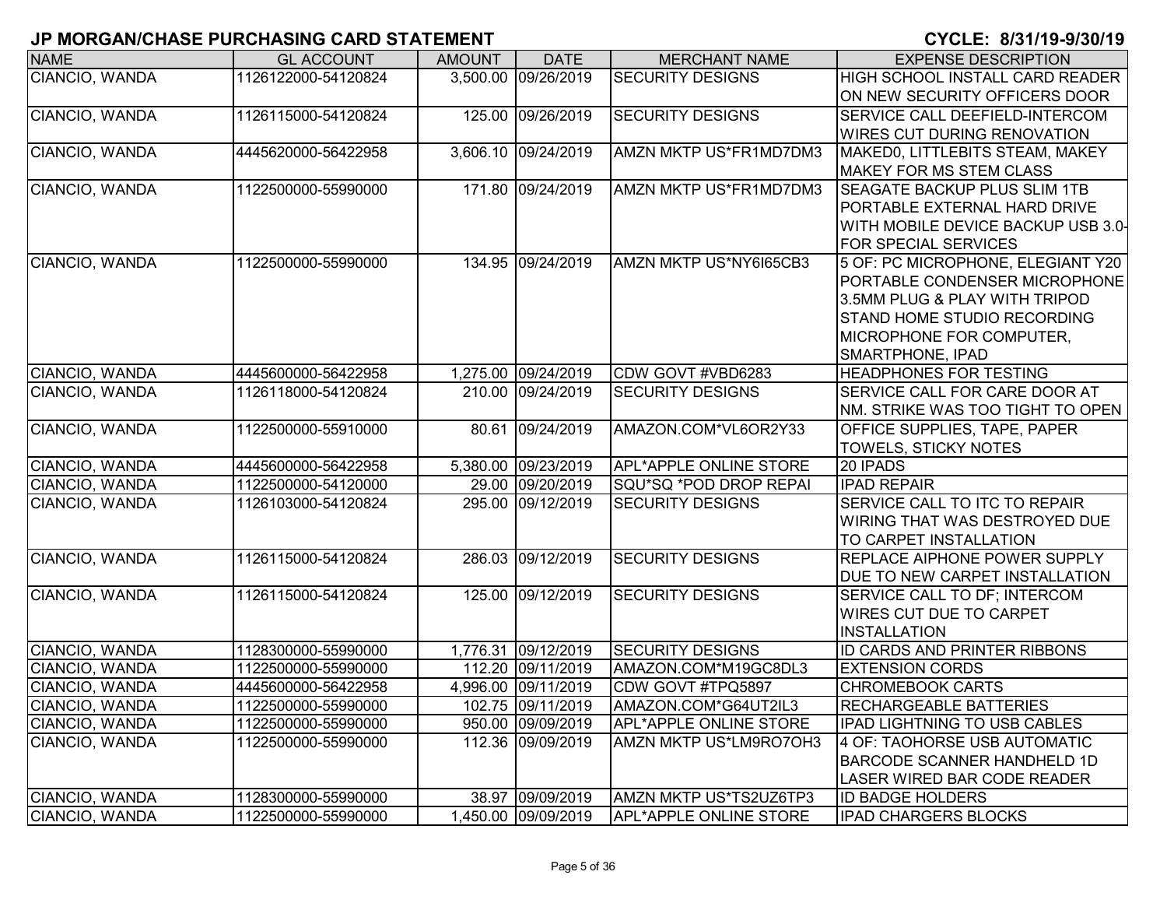| <b>NAME</b>           | <b>GL ACCOUNT</b>   | <b>AMOUNT</b> | <b>DATE</b>         | <b>MERCHANT NAME</b>          | <b>EXPENSE DESCRIPTION</b>             |
|-----------------------|---------------------|---------------|---------------------|-------------------------------|----------------------------------------|
| CIANCIO, WANDA        | 1126122000-54120824 |               | 3,500.00 09/26/2019 | <b>SECURITY DESIGNS</b>       | <b>HIGH SCHOOL INSTALL CARD READER</b> |
|                       |                     |               |                     |                               | ON NEW SECURITY OFFICERS DOOR          |
| CIANCIO, WANDA        | 1126115000-54120824 |               | 125.00 09/26/2019   | <b>SECURITY DESIGNS</b>       | SERVICE CALL DEEFIELD-INTERCOM         |
|                       |                     |               |                     |                               | <b>WIRES CUT DURING RENOVATION</b>     |
| CIANCIO, WANDA        | 4445620000-56422958 |               | 3,606.10 09/24/2019 | AMZN MKTP US*FR1MD7DM3        | MAKED0, LITTLEBITS STEAM, MAKEY        |
|                       |                     |               |                     |                               | <b>MAKEY FOR MS STEM CLASS</b>         |
| CIANCIO, WANDA        | 1122500000-55990000 |               | 171.80 09/24/2019   | AMZN MKTP US*FR1MD7DM3        | <b>SEAGATE BACKUP PLUS SLIM 1TB</b>    |
|                       |                     |               |                     |                               | PORTABLE EXTERNAL HARD DRIVE           |
|                       |                     |               |                     |                               | WITH MOBILE DEVICE BACKUP USB 3.0-     |
|                       |                     |               |                     |                               | <b>FOR SPECIAL SERVICES</b>            |
| <b>CIANCIO, WANDA</b> | 1122500000-55990000 |               | 134.95 09/24/2019   | AMZN MKTP US*NY6I65CB3        | 5 OF: PC MICROPHONE, ELEGIANT Y20      |
|                       |                     |               |                     |                               | PORTABLE CONDENSER MICROPHONE          |
|                       |                     |               |                     |                               | 3.5MM PLUG & PLAY WITH TRIPOD          |
|                       |                     |               |                     |                               | <b>STAND HOME STUDIO RECORDING</b>     |
|                       |                     |               |                     |                               | MICROPHONE FOR COMPUTER,               |
|                       |                     |               |                     |                               | SMARTPHONE, IPAD                       |
| CIANCIO, WANDA        | 4445600000-56422958 |               | 1,275.00 09/24/2019 | CDW GOVT #VBD6283             | <b>HEADPHONES FOR TESTING</b>          |
| CIANCIO, WANDA        | 1126118000-54120824 |               | 210.00 09/24/2019   | <b>SECURITY DESIGNS</b>       | SERVICE CALL FOR CARE DOOR AT          |
|                       |                     |               |                     |                               | NM. STRIKE WAS TOO TIGHT TO OPEN       |
| CIANCIO, WANDA        | 1122500000-55910000 |               | 80.61 09/24/2019    | AMAZON.COM*VL6OR2Y33          | OFFICE SUPPLIES, TAPE, PAPER           |
|                       |                     |               |                     |                               | <b>TOWELS, STICKY NOTES</b>            |
| CIANCIO, WANDA        | 4445600000-56422958 |               | 5,380.00 09/23/2019 | <b>APL*APPLE ONLINE STORE</b> | 20 IPADS                               |
| CIANCIO, WANDA        | 1122500000-54120000 |               | 29.00 09/20/2019    | SQU*SQ *POD DROP REPAI        | <b>IPAD REPAIR</b>                     |
| CIANCIO, WANDA        | 1126103000-54120824 |               | 295.00 09/12/2019   | <b>SECURITY DESIGNS</b>       | SERVICE CALL TO ITC TO REPAIR          |
|                       |                     |               |                     |                               | WIRING THAT WAS DESTROYED DUE          |
|                       |                     |               |                     |                               | TO CARPET INSTALLATION                 |
| CIANCIO, WANDA        | 1126115000-54120824 |               | 286.03 09/12/2019   | <b>SECURITY DESIGNS</b>       | <b>REPLACE AIPHONE POWER SUPPLY</b>    |
|                       |                     |               |                     |                               | DUE TO NEW CARPET INSTALLATION         |
| CIANCIO, WANDA        | 1126115000-54120824 |               | 125.00 09/12/2019   | <b>SECURITY DESIGNS</b>       | SERVICE CALL TO DF; INTERCOM           |
|                       |                     |               |                     |                               | <b>WIRES CUT DUE TO CARPET</b>         |
|                       |                     |               |                     |                               | <b>INSTALLATION</b>                    |
| CIANCIO, WANDA        | 1128300000-55990000 |               | 1,776.31 09/12/2019 | <b>SECURITY DESIGNS</b>       | ID CARDS AND PRINTER RIBBONS           |
| CIANCIO, WANDA        | 1122500000-55990000 |               | 112.20 09/11/2019   | AMAZON.COM*M19GC8DL3          | <b>EXTENSION CORDS</b>                 |
| CIANCIO, WANDA        | 4445600000-56422958 |               | 4,996.00 09/11/2019 | CDW GOVT #TPQ5897             | <b>CHROMEBOOK CARTS</b>                |
| CIANCIO, WANDA        | 1122500000-55990000 |               | 102.75 09/11/2019   | AMAZON.COM*G64UT2IL3          | <b>RECHARGEABLE BATTERIES</b>          |
| CIANCIO, WANDA        | 1122500000-55990000 |               | 950.00 09/09/2019   | <b>APL*APPLE ONLINE STORE</b> | <b>IPAD LIGHTNING TO USB CABLES</b>    |
| CIANCIO, WANDA        | 1122500000-55990000 |               | 112.36 09/09/2019   | <b>AMZN MKTP US*LM9RO7OH3</b> | 4 OF: TAOHORSE USB AUTOMATIC           |
|                       |                     |               |                     |                               | <b>BARCODE SCANNER HANDHELD 1D</b>     |
|                       |                     |               |                     |                               | LASER WIRED BAR CODE READER            |
| CIANCIO, WANDA        | 1128300000-55990000 |               | 38.97 09/09/2019    | AMZN MKTP US*TS2UZ6TP3        | <b>ID BADGE HOLDERS</b>                |
| CIANCIO, WANDA        | 1122500000-55990000 |               | 1,450.00 09/09/2019 | APL*APPLE ONLINE STORE        | <b>IPAD CHARGERS BLOCKS</b>            |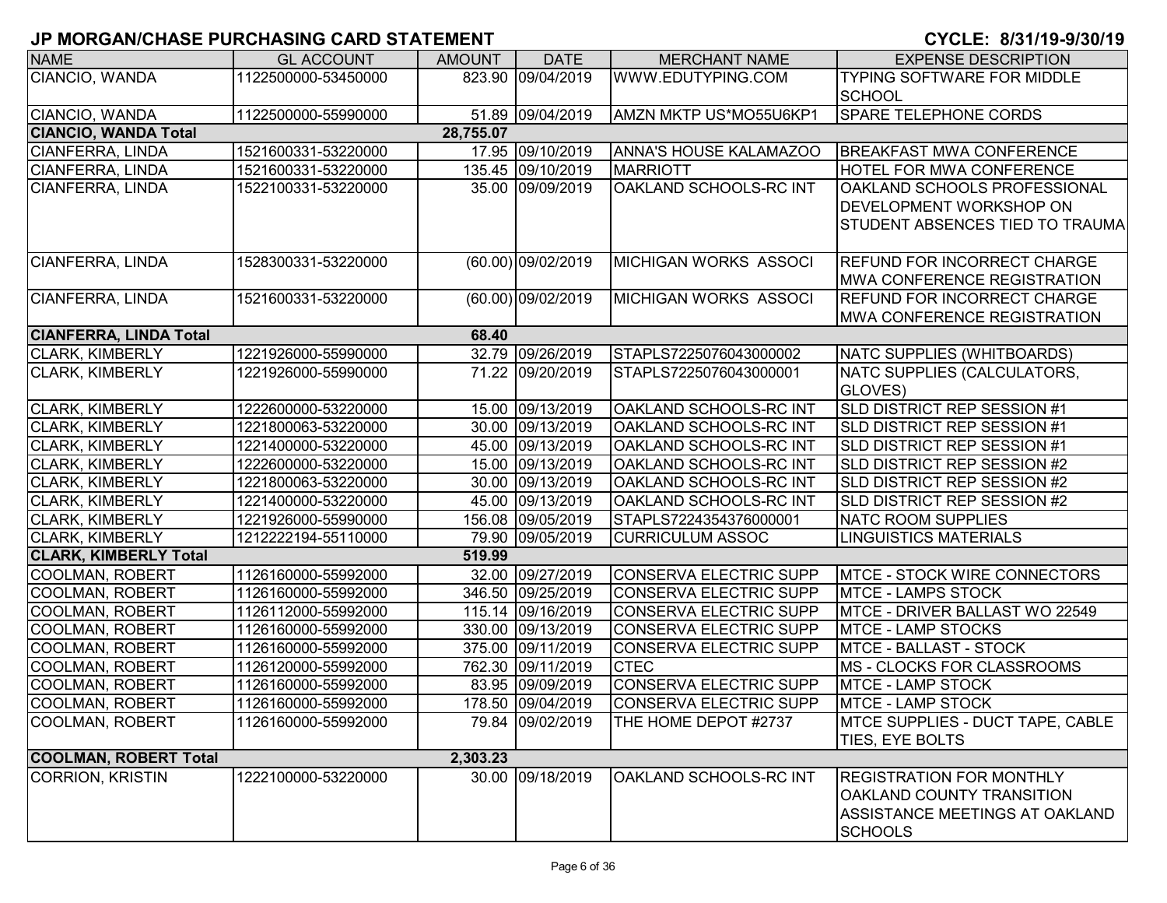| <b>NAME</b>                   | <b>GL ACCOUNT</b>   | <b>AMOUNT</b> | <b>DATE</b>        | <b>MERCHANT NAME</b>          | <b>EXPENSE DESCRIPTION</b>               |
|-------------------------------|---------------------|---------------|--------------------|-------------------------------|------------------------------------------|
| CIANCIO, WANDA                | 1122500000-53450000 |               | 823.90 09/04/2019  | WWW.EDUTYPING.COM             | TYPING SOFTWARE FOR MIDDLE               |
|                               |                     |               |                    |                               | SCHOOL                                   |
| CIANCIO, WANDA                | 1122500000-55990000 |               | 51.89 09/04/2019   | AMZN MKTP US*MO55U6KP1        | <b>SPARE TELEPHONE CORDS</b>             |
| <b>CIANCIO, WANDA Total</b>   |                     | 28,755.07     |                    |                               |                                          |
| <b>CIANFERRA, LINDA</b>       | 1521600331-53220000 |               | 17.95 09/10/2019   | <b>ANNA'S HOUSE KALAMAZOO</b> | <b>BREAKFAST MWA CONFERENCE</b>          |
| CIANFERRA, LINDA              | 1521600331-53220000 |               | 135.45 09/10/2019  | <b>MARRIOTT</b>               | <b>HOTEL FOR MWA CONFERENCE</b>          |
| CIANFERRA, LINDA              | 1522100331-53220000 |               | 35.00 09/09/2019   | OAKLAND SCHOOLS-RC INT        | OAKLAND SCHOOLS PROFESSIONAL             |
|                               |                     |               |                    |                               | <b>DEVELOPMENT WORKSHOP ON</b>           |
|                               |                     |               |                    |                               | STUDENT ABSENCES TIED TO TRAUMA          |
|                               |                     |               |                    |                               |                                          |
| CIANFERRA, LINDA              | 1528300331-53220000 |               | (60.00) 09/02/2019 | MICHIGAN WORKS ASSOCI         | <b>REFUND FOR INCORRECT CHARGE</b>       |
|                               |                     |               |                    |                               | <b>MWA CONFERENCE REGISTRATION</b>       |
| <b>CIANFERRA, LINDA</b>       | 1521600331-53220000 |               | (60.00) 09/02/2019 | MICHIGAN WORKS ASSOCI         | <b>REFUND FOR INCORRECT CHARGE</b>       |
|                               |                     |               |                    |                               | <b>IMWA CONFERENCE REGISTRATION</b>      |
| <b>CIANFERRA, LINDA Total</b> |                     | 68.40         |                    |                               |                                          |
| <b>CLARK, KIMBERLY</b>        | 1221926000-55990000 |               | 32.79 09/26/2019   | STAPLS7225076043000002        | NATC SUPPLIES (WHITBOARDS)               |
| <b>CLARK, KIMBERLY</b>        | 1221926000-55990000 |               | 71.22 09/20/2019   | STAPLS7225076043000001        | NATC SUPPLIES (CALCULATORS,              |
|                               |                     |               |                    |                               | GLOVES)                                  |
| <b>CLARK, KIMBERLY</b>        | 1222600000-53220000 |               | 15.00 09/13/2019   | <b>OAKLAND SCHOOLS-RC INT</b> | SLD DISTRICT REP SESSION #1              |
| <b>CLARK, KIMBERLY</b>        | 1221800063-53220000 |               | 30.00 09/13/2019   | OAKLAND SCHOOLS-RC INT        | SLD DISTRICT REP SESSION #1              |
| <b>CLARK, KIMBERLY</b>        | 1221400000-53220000 |               | 45.00 09/13/2019   | OAKLAND SCHOOLS-RC INT        | SLD DISTRICT REP SESSION #1              |
| <b>CLARK, KIMBERLY</b>        | 1222600000-53220000 |               | 15.00 09/13/2019   | OAKLAND SCHOOLS-RC INT        | SLD DISTRICT REP SESSION #2              |
| <b>CLARK, KIMBERLY</b>        | 1221800063-53220000 |               | 30.00 09/13/2019   | OAKLAND SCHOOLS-RC INT        | SLD DISTRICT REP SESSION #2              |
| <b>CLARK, KIMBERLY</b>        | 1221400000-53220000 |               | 45.00 09/13/2019   | OAKLAND SCHOOLS-RC INT        | SLD DISTRICT REP SESSION #2              |
| <b>CLARK, KIMBERLY</b>        | 1221926000-55990000 |               | 156.08 09/05/2019  | STAPLS7224354376000001        | <b>NATC ROOM SUPPLIES</b>                |
| <b>CLARK, KIMBERLY</b>        | 1212222194-55110000 |               | 79.90 09/05/2019   | <b>CURRICULUM ASSOC</b>       | <b>LINGUISTICS MATERIALS</b>             |
| <b>CLARK, KIMBERLY Total</b>  |                     | 519.99        |                    |                               |                                          |
| COOLMAN, ROBERT               | 1126160000-55992000 |               | 32.00 09/27/2019   | CONSERVA ELECTRIC SUPP        | <b>MTCE - STOCK WIRE CONNECTORS</b>      |
| COOLMAN, ROBERT               | 1126160000-55992000 |               | 346.50 09/25/2019  | CONSERVA ELECTRIC SUPP        | <b>MTCE - LAMPS STOCK</b>                |
| COOLMAN, ROBERT               | 1126112000-55992000 |               | 115.14 09/16/2019  | CONSERVA ELECTRIC SUPP        | MTCE - DRIVER BALLAST WO 22549           |
| COOLMAN, ROBERT               | 1126160000-55992000 |               | 330.00 09/13/2019  | CONSERVA ELECTRIC SUPP        | <b>MTCE - LAMP STOCKS</b>                |
| <b>COOLMAN, ROBERT</b>        | 1126160000-55992000 |               | 375.00 09/11/2019  | <b>CONSERVA ELECTRIC SUPP</b> | MTCE - BALLAST - STOCK                   |
| <b>COOLMAN, ROBERT</b>        | 1126120000-55992000 |               | 762.30 09/11/2019  | <b>CTEC</b>                   | MS - CLOCKS FOR CLASSROOMS               |
| <b>COOLMAN, ROBERT</b>        | 1126160000-55992000 |               | 83.95 09/09/2019   | CONSERVA ELECTRIC SUPP        | <b>MTCE - LAMP STOCK</b>                 |
| COOLMAN, ROBERT               | 1126160000-55992000 |               | 178.50 09/04/2019  | <b>CONSERVA ELECTRIC SUPP</b> | MTCE - LAMP STOCK                        |
| <b>COOLMAN, ROBERT</b>        | 1126160000-55992000 |               | 79.84 09/02/2019   | THE HOME DEPOT #2737          | <b>IMTCE SUPPLIES - DUCT TAPE, CABLE</b> |
|                               |                     |               |                    |                               | TIES, EYE BOLTS                          |
| <b>COOLMAN, ROBERT Total</b>  |                     | 2,303.23      |                    |                               |                                          |
| <b>CORRION, KRISTIN</b>       | 1222100000-53220000 |               | 30.00 09/18/2019   | OAKLAND SCHOOLS-RC INT        | <b>REGISTRATION FOR MONTHLY</b>          |
|                               |                     |               |                    |                               | <b>OAKLAND COUNTY TRANSITION</b>         |
|                               |                     |               |                    |                               | ASSISTANCE MEETINGS AT OAKLAND           |
|                               |                     |               |                    |                               | <b>SCHOOLS</b>                           |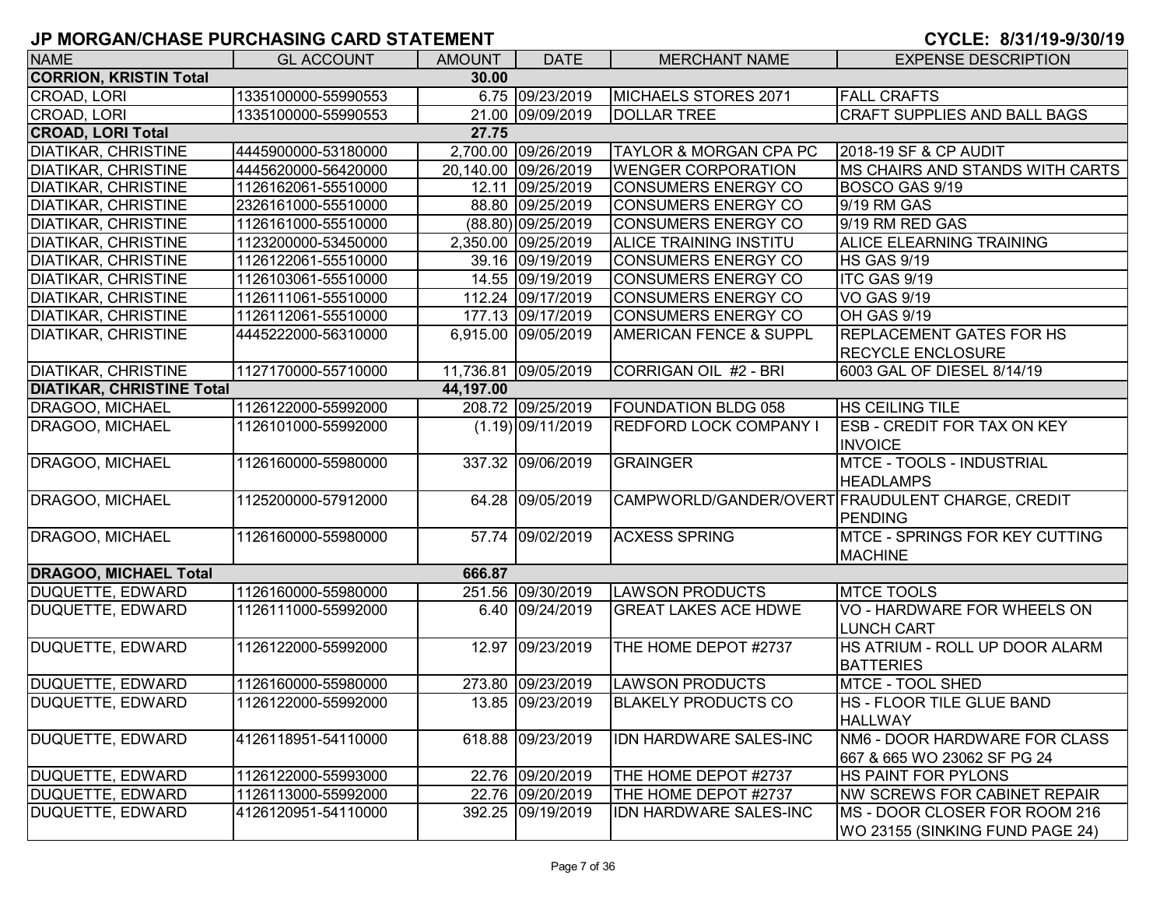| <b>NAME</b>                      | <b>GL ACCOUNT</b>   | <b>AMOUNT</b> | <b>DATE</b>          | <b>MERCHANT NAME</b>              | <b>EXPENSE DESCRIPTION</b>                       |
|----------------------------------|---------------------|---------------|----------------------|-----------------------------------|--------------------------------------------------|
| <b>CORRION, KRISTIN Total</b>    |                     | 30.00         |                      |                                   |                                                  |
| CROAD, LORI                      | 1335100000-55990553 |               | 6.75 09/23/2019      | MICHAELS STORES 2071              | <b>FALL CRAFTS</b>                               |
| CROAD, LORI                      | 1335100000-55990553 |               | 21.00 09/09/2019     | <b>DOLLAR TREE</b>                | <b>CRAFT SUPPLIES AND BALL BAGS</b>              |
| <b>CROAD, LORI Total</b>         |                     | 27.75         |                      |                                   |                                                  |
| <b>DIATIKAR, CHRISTINE</b>       | 4445900000-53180000 |               | 2,700.00 09/26/2019  | <b>TAYLOR &amp; MORGAN CPA PC</b> | 2018-19 SF & CP AUDIT                            |
| <b>DIATIKAR, CHRISTINE</b>       | 4445620000-56420000 |               | 20,140.00 09/26/2019 | <b>WENGER CORPORATION</b>         | MS CHAIRS AND STANDS WITH CARTS                  |
| <b>DIATIKAR, CHRISTINE</b>       | 1126162061-55510000 |               | 12.11 09/25/2019     | CONSUMERS ENERGY CO               | BOSCO GAS 9/19                                   |
| <b>DIATIKAR, CHRISTINE</b>       | 2326161000-55510000 |               | 88.80 09/25/2019     | CONSUMERS ENERGY CO               | 9/19 RM GAS                                      |
| <b>DIATIKAR, CHRISTINE</b>       | 1126161000-55510000 |               | (88.80) 09/25/2019   | <b>CONSUMERS ENERGY CO</b>        | 9/19 RM RED GAS                                  |
| <b>DIATIKAR, CHRISTINE</b>       | 1123200000-53450000 |               | 2,350.00 09/25/2019  | <b>ALICE TRAINING INSTITU</b>     | <b>ALICE ELEARNING TRAINING</b>                  |
| <b>DIATIKAR, CHRISTINE</b>       | 1126122061-55510000 |               | 39.16 09/19/2019     | <b>CONSUMERS ENERGY CO</b>        | <b>HS GAS 9/19</b>                               |
| <b>DIATIKAR, CHRISTINE</b>       | 1126103061-55510000 |               | 14.55 09/19/2019     | <b>CONSUMERS ENERGY CO</b>        | ITC GAS 9/19                                     |
| <b>DIATIKAR, CHRISTINE</b>       | 1126111061-55510000 |               | 112.24 09/17/2019    | <b>CONSUMERS ENERGY CO</b>        | <b>VO GAS 9/19</b>                               |
| <b>DIATIKAR, CHRISTINE</b>       | 1126112061-55510000 |               | 177.13 09/17/2019    | <b>CONSUMERS ENERGY CO</b>        | <b>OH GAS 9/19</b>                               |
| <b>DIATIKAR, CHRISTINE</b>       | 4445222000-56310000 |               | 6,915.00 09/05/2019  | <b>AMERICAN FENCE &amp; SUPPL</b> | <b>REPLACEMENT GATES FOR HS</b>                  |
|                                  |                     |               |                      |                                   | <b>RECYCLE ENCLOSURE</b>                         |
| <b>DIATIKAR, CHRISTINE</b>       | 1127170000-55710000 |               | 11,736.81 09/05/2019 | CORRIGAN OIL #2 - BRI             | 6003 GAL OF DIESEL 8/14/19                       |
| <b>DIATIKAR, CHRISTINE Total</b> |                     | 44,197.00     |                      |                                   |                                                  |
| DRAGOO, MICHAEL                  | 1126122000-55992000 |               | 208.72 09/25/2019    | <b>FOUNDATION BLDG 058</b>        | <b>HS CEILING TILE</b>                           |
| <b>DRAGOO, MICHAEL</b>           | 1126101000-55992000 |               | $(1.19)$ 09/11/2019  | REDFORD LOCK COMPANY I            | <b>ESB - CREDIT FOR TAX ON KEY</b>               |
|                                  |                     |               |                      |                                   | <b>INVOICE</b>                                   |
| DRAGOO, MICHAEL                  | 1126160000-55980000 |               | 337.32 09/06/2019    | <b>GRAINGER</b>                   | MTCE - TOOLS - INDUSTRIAL                        |
|                                  |                     |               |                      |                                   | <b>HEADLAMPS</b>                                 |
| DRAGOO, MICHAEL                  | 1125200000-57912000 |               | 64.28 09/05/2019     |                                   | CAMPWORLD/GANDER/OVERT FRAUDULENT CHARGE, CREDIT |
|                                  |                     |               |                      |                                   | <b>PENDING</b>                                   |
| DRAGOO, MICHAEL                  | 1126160000-55980000 |               | 57.74 09/02/2019     | <b>ACXESS SPRING</b>              | <b>MTCE - SPRINGS FOR KEY CUTTING</b>            |
|                                  |                     |               |                      |                                   | <b>MACHINE</b>                                   |
| <b>DRAGOO, MICHAEL Total</b>     |                     | 666.87        |                      |                                   |                                                  |
| <b>DUQUETTE, EDWARD</b>          | 1126160000-55980000 |               | 251.56 09/30/2019    | <b>LAWSON PRODUCTS</b>            | <b>MTCE TOOLS</b>                                |
| <b>DUQUETTE, EDWARD</b>          | 1126111000-55992000 |               | 6.40 09/24/2019      | <b>GREAT LAKES ACE HDWE</b>       | VO - HARDWARE FOR WHEELS ON                      |
|                                  |                     |               |                      |                                   | <b>LUNCH CART</b>                                |
| DUQUETTE, EDWARD                 | 1126122000-55992000 |               | 12.97 09/23/2019     | THE HOME DEPOT #2737              | HS ATRIUM - ROLL UP DOOR ALARM                   |
|                                  |                     |               |                      |                                   | <b>BATTERIES</b>                                 |
| DUQUETTE, EDWARD                 | 1126160000-55980000 |               | 273.80 09/23/2019    | <b>LAWSON PRODUCTS</b>            | MTCE - TOOL SHED                                 |
| DUQUETTE, EDWARD                 | 1126122000-55992000 |               | 13.85 09/23/2019     | <b>BLAKELY PRODUCTS CO</b>        | HS - FLOOR TILE GLUE BAND                        |
|                                  |                     |               |                      |                                   | <b>HALLWAY</b>                                   |
| DUQUETTE, EDWARD                 | 4126118951-54110000 |               | 618.88 09/23/2019    | IDN HARDWARE SALES-INC            | NM6 - DOOR HARDWARE FOR CLASS                    |
|                                  |                     |               |                      |                                   | 667 & 665 WO 23062 SF PG 24                      |
| <b>DUQUETTE, EDWARD</b>          | 1126122000-55993000 |               | 22.76 09/20/2019     | THE HOME DEPOT #2737              | HS PAINT FOR PYLONS                              |
| <b>DUQUETTE, EDWARD</b>          | 1126113000-55992000 |               | 22.76 09/20/2019     | THE HOME DEPOT #2737              | <b>INW SCREWS FOR CABINET REPAIR</b>             |
| <b>DUQUETTE, EDWARD</b>          | 4126120951-54110000 |               | 392.25 09/19/2019    | IDN HARDWARE SALES-INC            | MS - DOOR CLOSER FOR ROOM 216                    |
|                                  |                     |               |                      |                                   | WO 23155 (SINKING FUND PAGE 24)                  |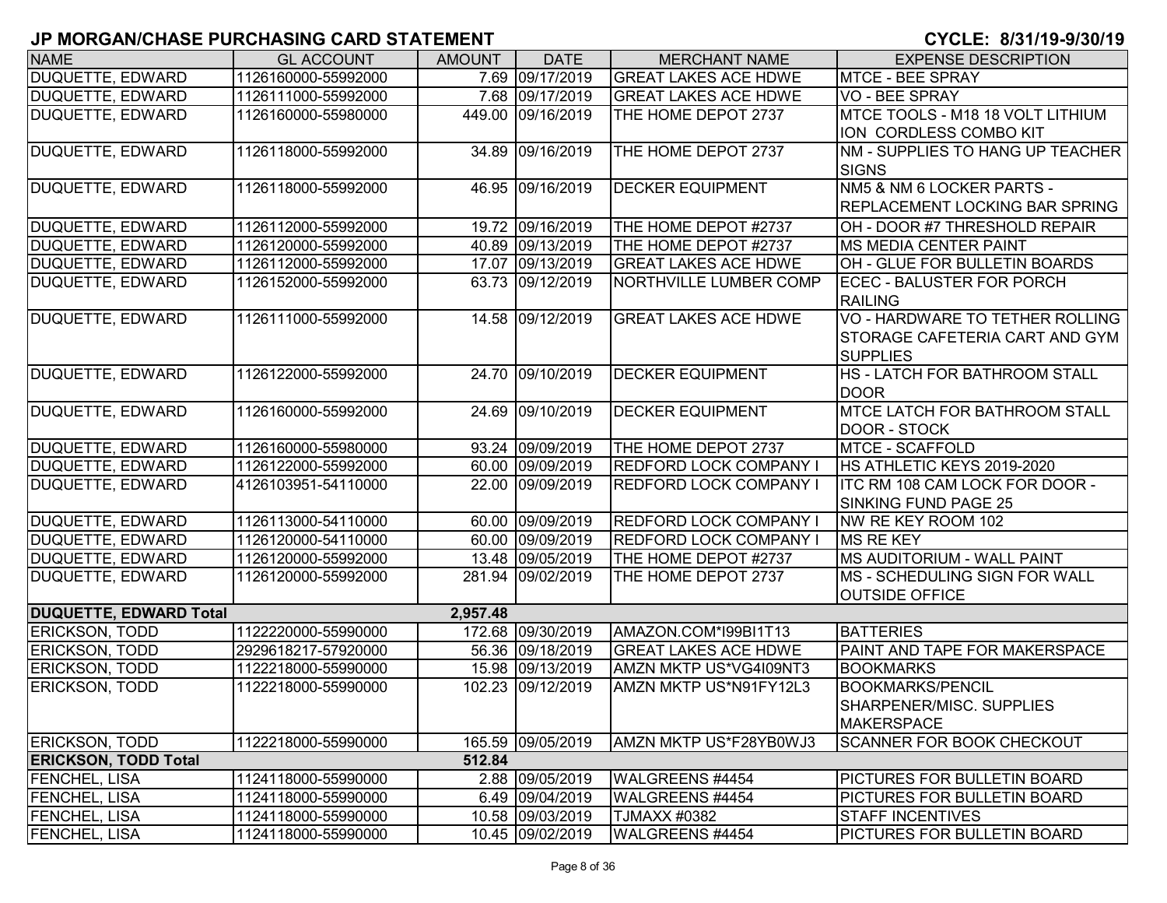| <b>NAME</b>                   | <b>GL ACCOUNT</b>   | <b>AMOUNT</b> | <b>DATE</b>       | <b>MERCHANT NAME</b>          | <b>EXPENSE DESCRIPTION</b>            |
|-------------------------------|---------------------|---------------|-------------------|-------------------------------|---------------------------------------|
| DUQUETTE, EDWARD              | 1126160000-55992000 |               | 7.69 09/17/2019   | <b>GREAT LAKES ACE HDWE</b>   | <b>MTCE - BEE SPRAY</b>               |
| <b>DUQUETTE, EDWARD</b>       | 1126111000-55992000 |               | 7.68 09/17/2019   | <b>GREAT LAKES ACE HDWE</b>   | <b>VO - BEE SPRAY</b>                 |
| <b>DUQUETTE, EDWARD</b>       | 1126160000-55980000 |               | 449.00 09/16/2019 | THE HOME DEPOT 2737           | MTCE TOOLS - M18 18 VOLT LITHIUM      |
|                               |                     |               |                   |                               | ION CORDLESS COMBO KIT                |
| <b>DUQUETTE, EDWARD</b>       | 1126118000-55992000 | 34.89         | 09/16/2019        | THE HOME DEPOT 2737           | NM - SUPPLIES TO HANG UP TEACHER      |
|                               |                     |               |                   |                               | <b>SIGNS</b>                          |
| DUQUETTE, EDWARD              | 1126118000-55992000 |               | 46.95 09/16/2019  | <b>DECKER EQUIPMENT</b>       | NM5 & NM 6 LOCKER PARTS -             |
|                               |                     |               |                   |                               | <b>REPLACEMENT LOCKING BAR SPRING</b> |
| <b>DUQUETTE, EDWARD</b>       | 1126112000-55992000 |               | 19.72 09/16/2019  | THE HOME DEPOT #2737          | OH - DOOR #7 THRESHOLD REPAIR         |
| <b>DUQUETTE, EDWARD</b>       | 1126120000-55992000 |               | 40.89 09/13/2019  | THE HOME DEPOT #2737          | <b>MS MEDIA CENTER PAINT</b>          |
| <b>DUQUETTE, EDWARD</b>       | 1126112000-55992000 |               | 17.07 09/13/2019  | <b>GREAT LAKES ACE HDWE</b>   | OH - GLUE FOR BULLETIN BOARDS         |
| <b>DUQUETTE, EDWARD</b>       | 1126152000-55992000 |               | 63.73 09/12/2019  | <b>NORTHVILLE LUMBER COMP</b> | <b>ECEC - BALUSTER FOR PORCH</b>      |
|                               |                     |               |                   |                               | <b>RAILING</b>                        |
| <b>DUQUETTE, EDWARD</b>       | 1126111000-55992000 |               | 14.58 09/12/2019  | <b>GREAT LAKES ACE HDWE</b>   | VO - HARDWARE TO TETHER ROLLING       |
|                               |                     |               |                   |                               | STORAGE CAFETERIA CART AND GYM        |
|                               |                     |               |                   |                               | <b>SUPPLIES</b>                       |
| DUQUETTE, EDWARD              | 1126122000-55992000 |               | 24.70 09/10/2019  | <b>DECKER EQUIPMENT</b>       | HS - LATCH FOR BATHROOM STALL         |
|                               |                     |               |                   |                               | <b>DOOR</b>                           |
| <b>DUQUETTE, EDWARD</b>       | 1126160000-55992000 |               | 24.69 09/10/2019  | <b>DECKER EQUIPMENT</b>       | <b>MTCE LATCH FOR BATHROOM STALL</b>  |
|                               |                     |               |                   |                               | <b>DOOR - STOCK</b>                   |
| <b>DUQUETTE, EDWARD</b>       | 1126160000-55980000 |               | 93.24 09/09/2019  | THE HOME DEPOT 2737           | <b>MTCE - SCAFFOLD</b>                |
| <b>DUQUETTE, EDWARD</b>       | 1126122000-55992000 |               | 60.00 09/09/2019  | <b>REDFORD LOCK COMPANY I</b> | HS ATHLETIC KEYS 2019-2020            |
| <b>DUQUETTE, EDWARD</b>       | 4126103951-54110000 |               | 22.00 09/09/2019  | <b>REDFORD LOCK COMPANY I</b> | ITC RM 108 CAM LOCK FOR DOOR -        |
|                               |                     |               |                   |                               | <b>SINKING FUND PAGE 25</b>           |
| DUQUETTE, EDWARD              | 1126113000-54110000 |               | 60.00 09/09/2019  | <b>REDFORD LOCK COMPANY I</b> | NW RE KEY ROOM 102                    |
| DUQUETTE, EDWARD              | 1126120000-54110000 |               | 60.00 09/09/2019  | <b>REDFORD LOCK COMPANY I</b> | <b>MS RE KEY</b>                      |
| <b>DUQUETTE, EDWARD</b>       | 1126120000-55992000 |               | 13.48 09/05/2019  | THE HOME DEPOT #2737          | <b>MS AUDITORIUM - WALL PAINT</b>     |
| <b>DUQUETTE, EDWARD</b>       | 1126120000-55992000 |               | 281.94 09/02/2019 | THE HOME DEPOT 2737           | MS - SCHEDULING SIGN FOR WALL         |
|                               |                     |               |                   |                               | <b>OUTSIDE OFFICE</b>                 |
| <b>DUQUETTE, EDWARD Total</b> |                     | 2,957.48      |                   |                               |                                       |
| <b>ERICKSON, TODD</b>         | 1122220000-55990000 |               | 172.68 09/30/2019 | AMAZON.COM*I99BI1T13          | <b>BATTERIES</b>                      |
| <b>ERICKSON, TODD</b>         | 2929618217-57920000 |               | 56.36 09/18/2019  | <b>GREAT LAKES ACE HDWE</b>   | PAINT AND TAPE FOR MAKERSPACE         |
| <b>ERICKSON, TODD</b>         | 1122218000-55990000 |               | 15.98 09/13/2019  | AMZN MKTP US*VG4I09NT3        | <b>BOOKMARKS</b>                      |
| <b>ERICKSON, TODD</b>         | 1122218000-55990000 |               | 102.23 09/12/2019 | AMZN MKTP US*N91FY12L3        | <b>BOOKMARKS/PENCIL</b>               |
|                               |                     |               |                   |                               | SHARPENER/MISC. SUPPLIES              |
|                               |                     |               |                   |                               | <b>MAKERSPACE</b>                     |
| <b>ERICKSON, TODD</b>         | 1122218000-55990000 |               | 165.59 09/05/2019 | AMZN MKTP US*F28YB0WJ3        | <b>SCANNER FOR BOOK CHECKOUT</b>      |
| <b>ERICKSON, TODD Total</b>   |                     | 512.84        |                   |                               |                                       |
| <b>FENCHEL, LISA</b>          | 1124118000-55990000 |               | 2.88 09/05/2019   | WALGREENS #4454               | PICTURES FOR BULLETIN BOARD           |
| <b>FENCHEL, LISA</b>          | 1124118000-55990000 |               | 6.49 09/04/2019   | WALGREENS #4454               | PICTURES FOR BULLETIN BOARD           |
| <b>FENCHEL, LISA</b>          | 1124118000-55990000 |               | 10.58 09/03/2019  | TJMAXX #0382                  | <b>STAFF INCENTIVES</b>               |
| <b>FENCHEL, LISA</b>          | 1124118000-55990000 |               | 10.45 09/02/2019  | WALGREENS #4454               | PICTURES FOR BULLETIN BOARD           |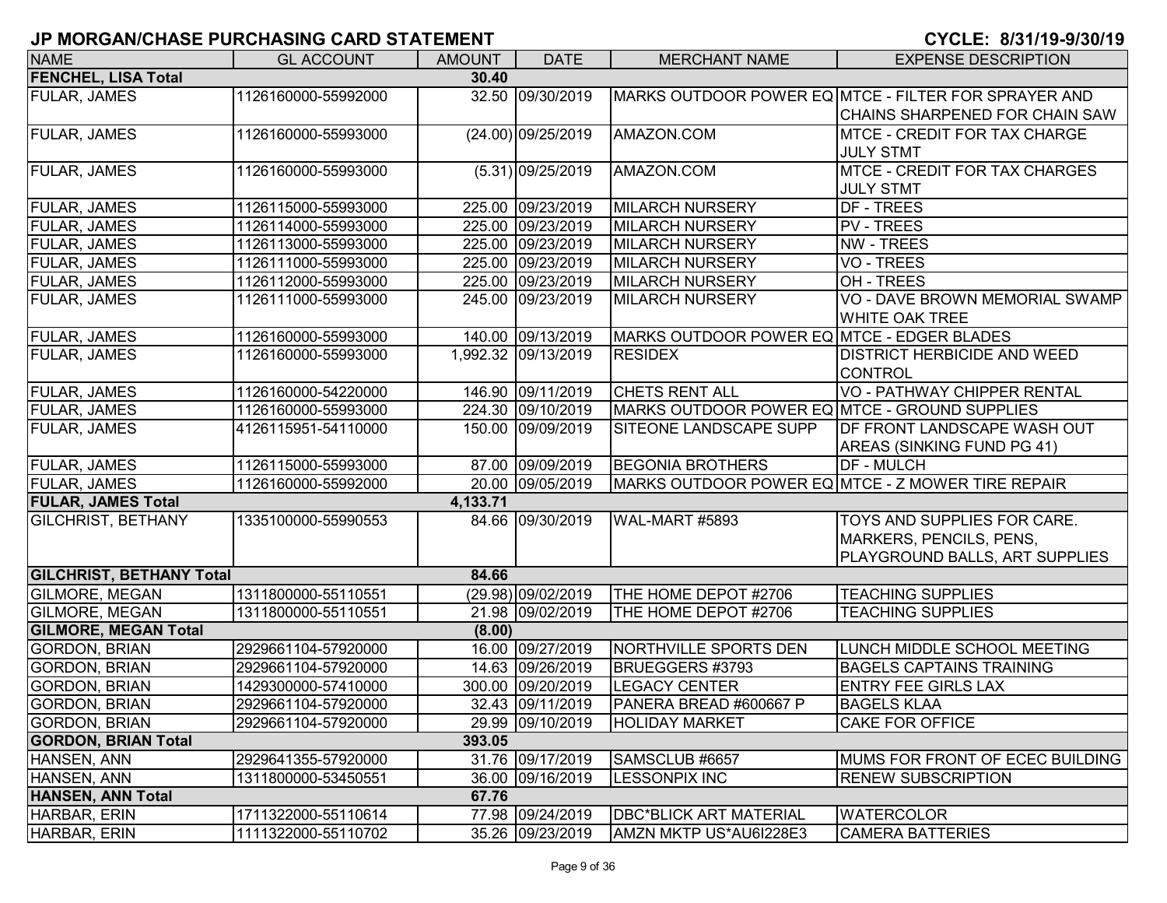| <b>NAME</b>                     | <b>GL ACCOUNT</b>   | <b>AMOUNT</b> | <b>DATE</b>         | <b>MERCHANT NAME</b>                          | <b>EXPENSE DESCRIPTION</b>                           |
|---------------------------------|---------------------|---------------|---------------------|-----------------------------------------------|------------------------------------------------------|
| <b>FENCHEL, LISA Total</b>      |                     | 30.40         |                     |                                               |                                                      |
| <b>FULAR, JAMES</b>             | 1126160000-55992000 |               | 32.50 09/30/2019    |                                               | MARKS OUTDOOR POWER EQ MTCE - FILTER FOR SPRAYER AND |
|                                 |                     |               |                     |                                               | CHAINS SHARPENED FOR CHAIN SAW                       |
| <b>FULAR, JAMES</b>             | 1126160000-55993000 |               | (24.00) 09/25/2019  | AMAZON.COM                                    | MTCE - CREDIT FOR TAX CHARGE                         |
|                                 |                     |               |                     |                                               | <b>JULY STMT</b>                                     |
| <b>FULAR, JAMES</b>             | 1126160000-55993000 |               | $(5.31)$ 09/25/2019 | AMAZON.COM                                    | <b>MTCE - CREDIT FOR TAX CHARGES</b>                 |
|                                 |                     |               |                     |                                               | <b>JULY STMT</b>                                     |
| <b>FULAR, JAMES</b>             | 1126115000-55993000 |               | 225.00 09/23/2019   | <b>MILARCH NURSERY</b>                        | DF - TREES                                           |
| <b>FULAR, JAMES</b>             | 1126114000-55993000 |               | 225.00 09/23/2019   | <b>MILARCH NURSERY</b>                        | <b>PV - TREES</b>                                    |
| <b>FULAR, JAMES</b>             | 1126113000-55993000 |               | 225.00 09/23/2019   | <b>MILARCH NURSERY</b>                        | <b>NW - TREES</b>                                    |
| <b>FULAR, JAMES</b>             | 1126111000-55993000 |               | 225.00 09/23/2019   | <b>MILARCH NURSERY</b>                        | <b>VO - TREES</b>                                    |
| <b>FULAR, JAMES</b>             | 1126112000-55993000 |               | 225.00 09/23/2019   | <b>MILARCH NURSERY</b>                        | OH - TREES                                           |
| <b>FULAR, JAMES</b>             | 1126111000-55993000 |               | 245.00 09/23/2019   | <b>MILARCH NURSERY</b>                        | VO - DAVE BROWN MEMORIAL SWAMP                       |
|                                 |                     |               |                     |                                               | <b>WHITE OAK TREE</b>                                |
| <b>FULAR, JAMES</b>             | 1126160000-55993000 |               | 140.00 09/13/2019   | MARKS OUTDOOR POWER EQ MTCE - EDGER BLADES    |                                                      |
| <b>FULAR, JAMES</b>             | 1126160000-55993000 |               | 1,992.32 09/13/2019 | <b>RESIDEX</b>                                | <b>DISTRICT HERBICIDE AND WEED</b>                   |
|                                 |                     |               |                     |                                               | <b>CONTROL</b>                                       |
| <b>FULAR, JAMES</b>             | 1126160000-54220000 |               | 146.90 09/11/2019   | <b>CHETS RENT ALL</b>                         | <b>VO - PATHWAY CHIPPER RENTAL</b>                   |
| <b>FULAR, JAMES</b>             | 1126160000-55993000 |               | 224.30 09/10/2019   | MARKS OUTDOOR POWER EQ MTCE - GROUND SUPPLIES |                                                      |
| <b>FULAR, JAMES</b>             | 4126115951-54110000 |               | 150.00 09/09/2019   | SITEONE LANDSCAPE SUPP                        | <b>IDF FRONT LANDSCAPE WASH OUT</b>                  |
|                                 |                     |               |                     |                                               | AREAS (SINKING FUND PG 41)                           |
| <b>FULAR, JAMES</b>             | 1126115000-55993000 |               | 87.00 09/09/2019    | <b>BEGONIA BROTHERS</b>                       | <b>DF - MULCH</b>                                    |
| <b>FULAR, JAMES</b>             | 1126160000-55992000 |               | 20.00 09/05/2019    |                                               | MARKS OUTDOOR POWER EQ MTCE - Z MOWER TIRE REPAIR    |
| <b>FULAR, JAMES Total</b>       |                     | 4,133.71      |                     |                                               |                                                      |
| <b>GILCHRIST, BETHANY</b>       | 1335100000-55990553 |               | 84.66 09/30/2019    | WAL-MART #5893                                | TOYS AND SUPPLIES FOR CARE.                          |
|                                 |                     |               |                     |                                               | MARKERS, PENCILS, PENS,                              |
|                                 |                     |               |                     |                                               | PLAYGROUND BALLS, ART SUPPLIES                       |
| <b>GILCHRIST, BETHANY Total</b> |                     | 84.66         |                     |                                               |                                                      |
| <b>GILMORE, MEGAN</b>           | 1311800000-55110551 |               | (29.98) 09/02/2019  | THE HOME DEPOT #2706                          | <b>TEACHING SUPPLIES</b>                             |
| <b>GILMORE, MEGAN</b>           | 1311800000-55110551 |               | 21.98 09/02/2019    | THE HOME DEPOT #2706                          | <b>TEACHING SUPPLIES</b>                             |
| <b>GILMORE, MEGAN Total</b>     |                     | (8.00)        |                     |                                               |                                                      |
| <b>GORDON, BRIAN</b>            | 2929661104-57920000 |               | 16.00 09/27/2019    | NORTHVILLE SPORTS DEN                         | LUNCH MIDDLE SCHOOL MEETING                          |
| <b>GORDON, BRIAN</b>            | 2929661104-57920000 |               | 14.63 09/26/2019    | BRUEGGERS #3793                               | <b>BAGELS CAPTAINS TRAINING</b>                      |
| <b>GORDON, BRIAN</b>            | 1429300000-57410000 |               | 300.00 09/20/2019   | <b>LEGACY CENTER</b>                          | <b>ENTRY FEE GIRLS LAX</b>                           |
| <b>GORDON, BRIAN</b>            | 2929661104-57920000 |               | 32.43 09/11/2019    | PANERA BREAD #600667 P                        | <b>BAGELS KLAA</b>                                   |
| <b>GORDON, BRIAN</b>            | 2929661104-57920000 |               | 29.99 09/10/2019    | <b>HOLIDAY MARKET</b>                         | <b>CAKE FOR OFFICE</b>                               |
| <b>GORDON, BRIAN Total</b>      |                     | 393.05        |                     |                                               |                                                      |
| HANSEN, ANN                     | 2929641355-57920000 |               | 31.76 09/17/2019    | SAMSCLUB #6657                                | MUMS FOR FRONT OF ECEC BUILDING                      |
| HANSEN, ANN                     | 1311800000-53450551 |               | 36.00 09/16/2019    | <b>LESSONPIX INC</b>                          | <b>RENEW SUBSCRIPTION</b>                            |
| HANSEN, ANN Total               |                     | 67.76         |                     |                                               |                                                      |
| HARBAR, ERIN                    | 1711322000-55110614 |               | 77.98 09/24/2019    | <b>DBC*BLICK ART MATERIAL</b>                 | <b>WATERCOLOR</b>                                    |
| HARBAR, ERIN                    | 1111322000-55110702 |               | 35.26 09/23/2019    | AMZN MKTP US*AU6I228E3                        | <b>CAMERA BATTERIES</b>                              |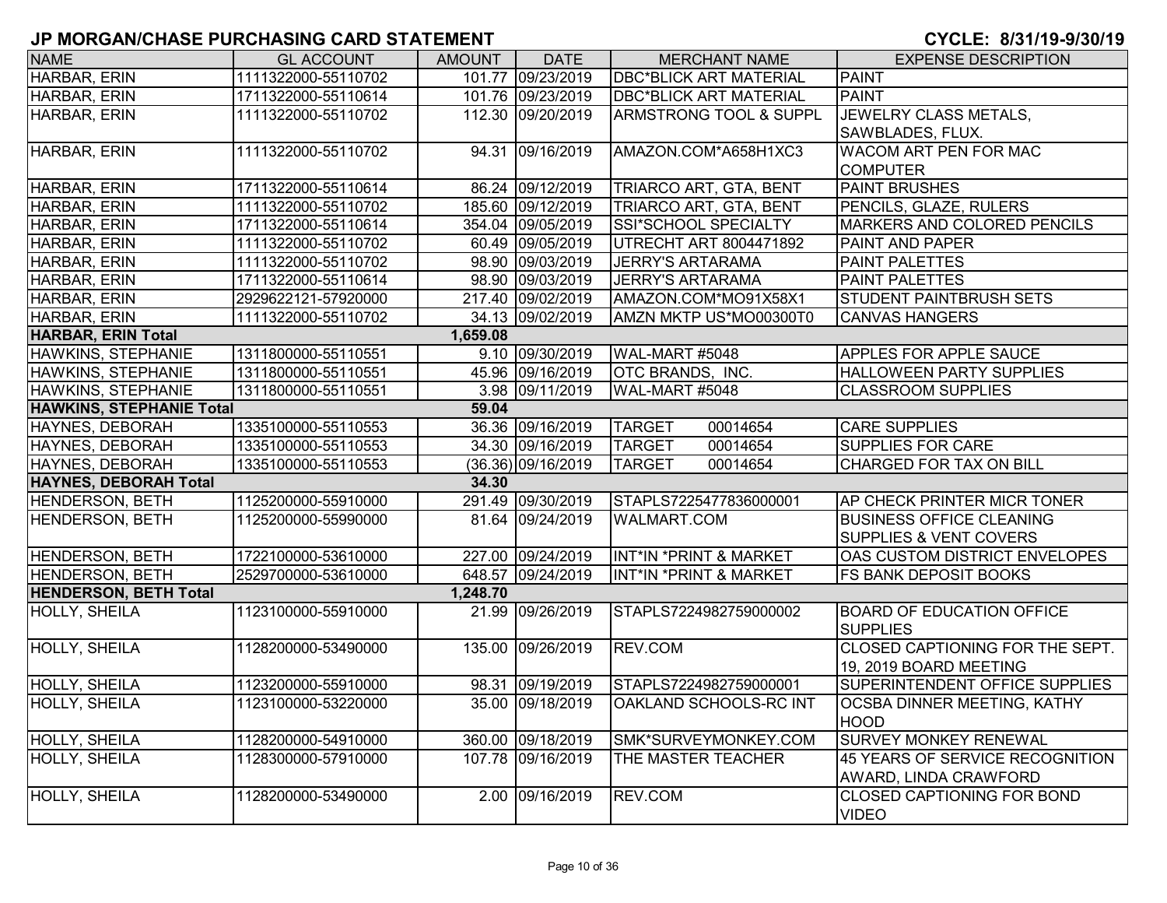| <b>NAME</b>                     | <b>GL ACCOUNT</b>   | <b>AMOUNT</b> | <b>DATE</b>          | <b>MERCHANT NAME</b>          | <b>EXPENSE DESCRIPTION</b>                          |
|---------------------------------|---------------------|---------------|----------------------|-------------------------------|-----------------------------------------------------|
| <b>HARBAR, ERIN</b>             | 1111322000-55110702 |               | 101.77 09/23/2019    | <b>DBC*BLICK ART MATERIAL</b> | <b>PAINT</b>                                        |
| HARBAR, ERIN                    | 1711322000-55110614 |               | 101.76 09/23/2019    | <b>DBC*BLICK ART MATERIAL</b> | <b>PAINT</b>                                        |
| HARBAR, ERIN                    | 1111322000-55110702 |               | 112.30 09/20/2019    | ARMSTRONG TOOL & SUPPL        | JEWELRY CLASS METALS,                               |
|                                 |                     |               |                      |                               | SAWBLADES, FLUX.                                    |
| HARBAR, ERIN                    | 1111322000-55110702 |               | 94.31 09/16/2019     | AMAZON.COM*A658H1XC3          | WACOM ART PEN FOR MAC                               |
|                                 |                     |               |                      |                               | <b>COMPUTER</b>                                     |
| HARBAR, ERIN                    | 1711322000-55110614 |               | 86.24 09/12/2019     | TRIARCO ART, GTA, BENT        | <b>PAINT BRUSHES</b>                                |
| HARBAR, ERIN                    | 1111322000-55110702 |               | 185.60 09/12/2019    | TRIARCO ART, GTA, BENT        | PENCILS, GLAZE, RULERS                              |
| HARBAR, ERIN                    | 1711322000-55110614 |               | 354.04 09/05/2019    | SSI*SCHOOL SPECIALTY          | MARKERS AND COLORED PENCILS                         |
| HARBAR, ERIN                    | 1111322000-55110702 |               | 60.49 09/05/2019     | UTRECHT ART 8004471892        | PAINT AND PAPER                                     |
| HARBAR, ERIN                    | 1111322000-55110702 |               | 98.90 09/03/2019     | <b>JERRY'S ARTARAMA</b>       | PAINT PALETTES                                      |
| HARBAR, ERIN                    | 1711322000-55110614 |               | 98.90 09/03/2019     | <b>JERRY'S ARTARAMA</b>       | <b>PAINT PALETTES</b>                               |
| HARBAR, ERIN                    | 2929622121-57920000 |               | 217.40 09/02/2019    | AMAZON.COM*MO91X58X1          | STUDENT PAINTBRUSH SETS                             |
| HARBAR, ERIN                    | 1111322000-55110702 |               | 34.13 09/02/2019     | AMZN MKTP US*MO00300T0        | <b>CANVAS HANGERS</b>                               |
| <b>HARBAR, ERIN Total</b>       |                     | 1,659.08      |                      |                               |                                                     |
| HAWKINS, STEPHANIE              | 1311800000-55110551 |               | 9.10 09/30/2019      | WAL-MART #5048                | <b>APPLES FOR APPLE SAUCE</b>                       |
| HAWKINS, STEPHANIE              | 1311800000-55110551 |               | 45.96 09/16/2019     | OTC BRANDS, INC.              | HALLOWEEN PARTY SUPPLIES                            |
| HAWKINS, STEPHANIE              | 1311800000-55110551 |               | 3.98 09/11/2019      | WAL-MART #5048                | <b>CLASSROOM SUPPLIES</b>                           |
| <b>HAWKINS, STEPHANIE Total</b> |                     | 59.04         |                      |                               |                                                     |
| HAYNES, DEBORAH                 | 1335100000-55110553 |               | 36.36 09/16/2019     | <b>TARGET</b><br>00014654     | <b>CARE SUPPLIES</b>                                |
| HAYNES, DEBORAH                 | 1335100000-55110553 |               | 34.30 09/16/2019     | <b>TARGET</b><br>00014654     | SUPPLIES FOR CARE                                   |
| <b>HAYNES, DEBORAH</b>          | 1335100000-55110553 |               | $(36.36)$ 09/16/2019 | 00014654<br><b>TARGET</b>     | <b>CHARGED FOR TAX ON BILL</b>                      |
| <b>HAYNES, DEBORAH Total</b>    |                     | 34.30         |                      |                               |                                                     |
| HENDERSON, BETH                 | 1125200000-55910000 |               | 291.49 09/30/2019    | STAPLS7225477836000001        | AP CHECK PRINTER MICR TONER                         |
| <b>HENDERSON, BETH</b>          | 1125200000-55990000 |               | 81.64 09/24/2019     | <b>WALMART.COM</b>            | <b>BUSINESS OFFICE CLEANING</b>                     |
|                                 |                     |               |                      |                               | SUPPLIES & VENT COVERS                              |
| HENDERSON, BETH                 | 1722100000-53610000 |               | 227.00 09/24/2019    | INT*IN *PRINT & MARKET        | OAS CUSTOM DISTRICT ENVELOPES                       |
| <b>HENDERSON, BETH</b>          | 2529700000-53610000 |               | 648.57 09/24/2019    | INT*IN *PRINT & MARKET        | <b>FS BANK DEPOSIT BOOKS</b>                        |
| <b>HENDERSON, BETH Total</b>    |                     | 1,248.70      |                      |                               |                                                     |
| <b>HOLLY, SHEILA</b>            | 1123100000-55910000 | 21.99         | 09/26/2019           | STAPLS7224982759000002        | <b>BOARD OF EDUCATION OFFICE</b><br><b>SUPPLIES</b> |
| <b>HOLLY, SHEILA</b>            | 1128200000-53490000 |               | 135.00 09/26/2019    | REV.COM                       | CLOSED CAPTIONING FOR THE SEPT.                     |
|                                 |                     |               |                      |                               | 19, 2019 BOARD MEETING                              |
| HOLLY, SHEILA                   | 1123200000-55910000 |               | 98.31 09/19/2019     | STAPLS7224982759000001        | SUPERINTENDENT OFFICE SUPPLIES                      |
| <b>HOLLY, SHEILA</b>            | 1123100000-53220000 |               | 35.00 09/18/2019     | OAKLAND SCHOOLS-RC INT        | OCSBA DINNER MEETING, KATHY<br><b>HOOD</b>          |
| <b>HOLLY, SHEILA</b>            | 1128200000-54910000 |               | 360.00 09/18/2019    | SMK*SURVEYMONKEY.COM          | <b>SURVEY MONKEY RENEWAL</b>                        |
| <b>HOLLY, SHEILA</b>            | 1128300000-57910000 |               | 107.78 09/16/2019    | THE MASTER TEACHER            | 45 YEARS OF SERVICE RECOGNITION                     |
|                                 |                     |               |                      |                               | AWARD, LINDA CRAWFORD                               |
| <b>HOLLY, SHEILA</b>            | 1128200000-53490000 |               | 2.00 09/16/2019      | REV.COM                       | <b>CLOSED CAPTIONING FOR BOND</b>                   |
|                                 |                     |               |                      |                               | <b>VIDEO</b>                                        |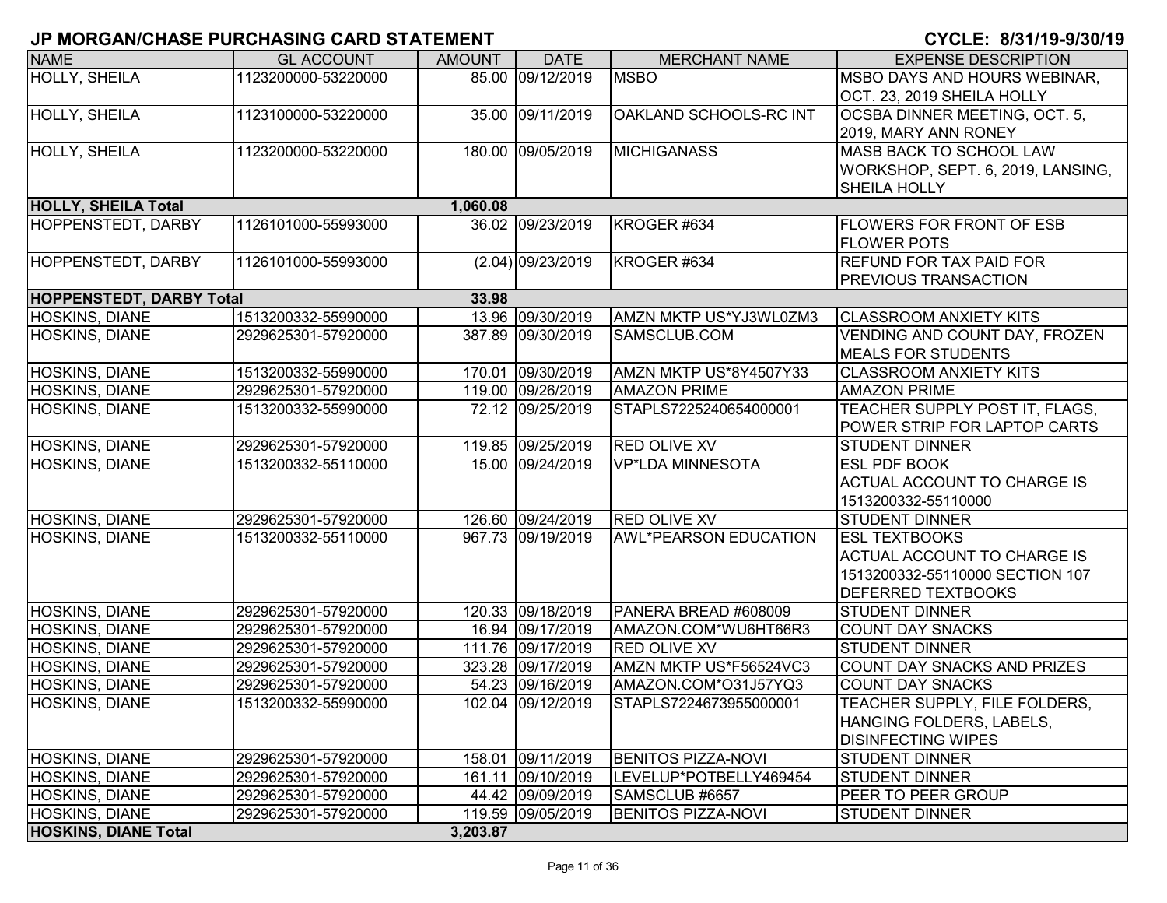| <b>NAME</b>                     | <b>GL ACCOUNT</b>   | <b>AMOUNT</b> | <b>DATE</b>         | <b>MERCHANT NAME</b>         | <b>EXPENSE DESCRIPTION</b>         |
|---------------------------------|---------------------|---------------|---------------------|------------------------------|------------------------------------|
| <b>HOLLY, SHEILA</b>            | 1123200000-53220000 |               | 85.00 09/12/2019    | <b>MSBO</b>                  | MSBO DAYS AND HOURS WEBINAR,       |
|                                 |                     |               |                     |                              | OCT. 23, 2019 SHEILA HOLLY         |
| HOLLY, SHEILA                   | 1123100000-53220000 |               | 35.00 09/11/2019    | OAKLAND SCHOOLS-RC INT       | OCSBA DINNER MEETING, OCT. 5,      |
|                                 |                     |               |                     |                              | 2019, MARY ANN RONEY               |
| HOLLY, SHEILA                   | 1123200000-53220000 |               | 180.00 09/05/2019   | <b>MICHIGANASS</b>           | MASB BACK TO SCHOOL LAW            |
|                                 |                     |               |                     |                              | WORKSHOP, SEPT. 6, 2019, LANSING,  |
|                                 |                     |               |                     |                              | <b>SHEILA HOLLY</b>                |
| <b>HOLLY, SHEILA Total</b>      |                     | 1,060.08      |                     |                              |                                    |
| HOPPENSTEDT, DARBY              | 1126101000-55993000 |               | 36.02 09/23/2019    | KROGER #634                  | <b>FLOWERS FOR FRONT OF ESB</b>    |
|                                 |                     |               |                     |                              | <b>FLOWER POTS</b>                 |
| HOPPENSTEDT, DARBY              | 1126101000-55993000 |               | $(2.04)$ 09/23/2019 | KROGER #634                  | <b>REFUND FOR TAX PAID FOR</b>     |
|                                 |                     |               |                     |                              | <b>PREVIOUS TRANSACTION</b>        |
| <b>HOPPENSTEDT, DARBY Total</b> |                     | 33.98         |                     |                              |                                    |
| <b>HOSKINS, DIANE</b>           | 1513200332-55990000 |               | 13.96 09/30/2019    | AMZN MKTP US*YJ3WL0ZM3       | <b>CLASSROOM ANXIETY KITS</b>      |
| HOSKINS, DIANE                  | 2929625301-57920000 |               | 387.89 09/30/2019   | SAMSCLUB.COM                 | VENDING AND COUNT DAY, FROZEN      |
|                                 |                     |               |                     |                              | MEALS FOR STUDENTS                 |
| HOSKINS, DIANE                  | 1513200332-55990000 |               | 170.01 09/30/2019   | AMZN MKTP US*8Y4507Y33       | <b>CLASSROOM ANXIETY KITS</b>      |
| HOSKINS, DIANE                  | 2929625301-57920000 |               | 119.00 09/26/2019   | <b>AMAZON PRIME</b>          | <b>AMAZON PRIME</b>                |
| HOSKINS, DIANE                  | 1513200332-55990000 |               | 72.12 09/25/2019    | STAPLS7225240654000001       | TEACHER SUPPLY POST IT, FLAGS,     |
|                                 |                     |               |                     |                              | POWER STRIP FOR LAPTOP CARTS       |
| HOSKINS, DIANE                  | 2929625301-57920000 |               | 119.85 09/25/2019   | <b>RED OLIVE XV</b>          | <b>STUDENT DINNER</b>              |
| HOSKINS, DIANE                  | 1513200332-55110000 |               | 15.00 09/24/2019    | VP*LDA MINNESOTA             | <b>ESL PDF BOOK</b>                |
|                                 |                     |               |                     |                              | <b>ACTUAL ACCOUNT TO CHARGE IS</b> |
|                                 |                     |               |                     |                              | 1513200332-55110000                |
| HOSKINS, DIANE                  | 2929625301-57920000 |               | 126.60 09/24/2019   | <b>RED OLIVE XV</b>          | STUDENT DINNER                     |
| <b>HOSKINS, DIANE</b>           | 1513200332-55110000 |               | 967.73 09/19/2019   | <b>AWL*PEARSON EDUCATION</b> | <b>ESL TEXTBOOKS</b>               |
|                                 |                     |               |                     |                              | <b>ACTUAL ACCOUNT TO CHARGE IS</b> |
|                                 |                     |               |                     |                              | 1513200332-55110000 SECTION 107    |
|                                 |                     |               |                     |                              | <b>DEFERRED TEXTBOOKS</b>          |
| HOSKINS, DIANE                  | 2929625301-57920000 |               | 120.33 09/18/2019   | PANERA BREAD #608009         | <b>STUDENT DINNER</b>              |
| HOSKINS, DIANE                  | 2929625301-57920000 |               | 16.94 09/17/2019    | AMAZON.COM*WU6HT66R3         | <b>COUNT DAY SNACKS</b>            |
| HOSKINS, DIANE                  | 2929625301-57920000 |               | 111.76 09/17/2019   | <b>RED OLIVE XV</b>          | <b>STUDENT DINNER</b>              |
| <b>HOSKINS, DIANE</b>           | 2929625301-57920000 |               | 323.28 09/17/2019   | AMZN MKTP US*F56524VC3       | COUNT DAY SNACKS AND PRIZES        |
| HOSKINS, DIANE                  | 2929625301-57920000 |               | 54.23 09/16/2019    | AMAZON.COM*O31J57YQ3         | <b>COUNT DAY SNACKS</b>            |
| HOSKINS, DIANE                  | 1513200332-55990000 |               | 102.04 09/12/2019   | STAPLS7224673955000001       | TEACHER SUPPLY, FILE FOLDERS,      |
|                                 |                     |               |                     |                              | HANGING FOLDERS, LABELS,           |
|                                 |                     |               |                     |                              | <b>DISINFECTING WIPES</b>          |
| <b>HOSKINS, DIANE</b>           | 2929625301-57920000 |               | 158.01 09/11/2019   | <b>BENITOS PIZZA-NOVI</b>    | <b>STUDENT DINNER</b>              |
| <b>HOSKINS, DIANE</b>           | 2929625301-57920000 |               | 161.11 09/10/2019   | LEVELUP*POTBELLY469454       | <b>STUDENT DINNER</b>              |
| <b>HOSKINS, DIANE</b>           | 2929625301-57920000 |               | 44.42 09/09/2019    | SAMSCLUB #6657               | <b>PEER TO PEER GROUP</b>          |
| HOSKINS, DIANE                  | 2929625301-57920000 |               | 119.59 09/05/2019   | <b>BENITOS PIZZA-NOVI</b>    | <b>STUDENT DINNER</b>              |
| <b>HOSKINS, DIANE Total</b>     |                     | 3,203.87      |                     |                              |                                    |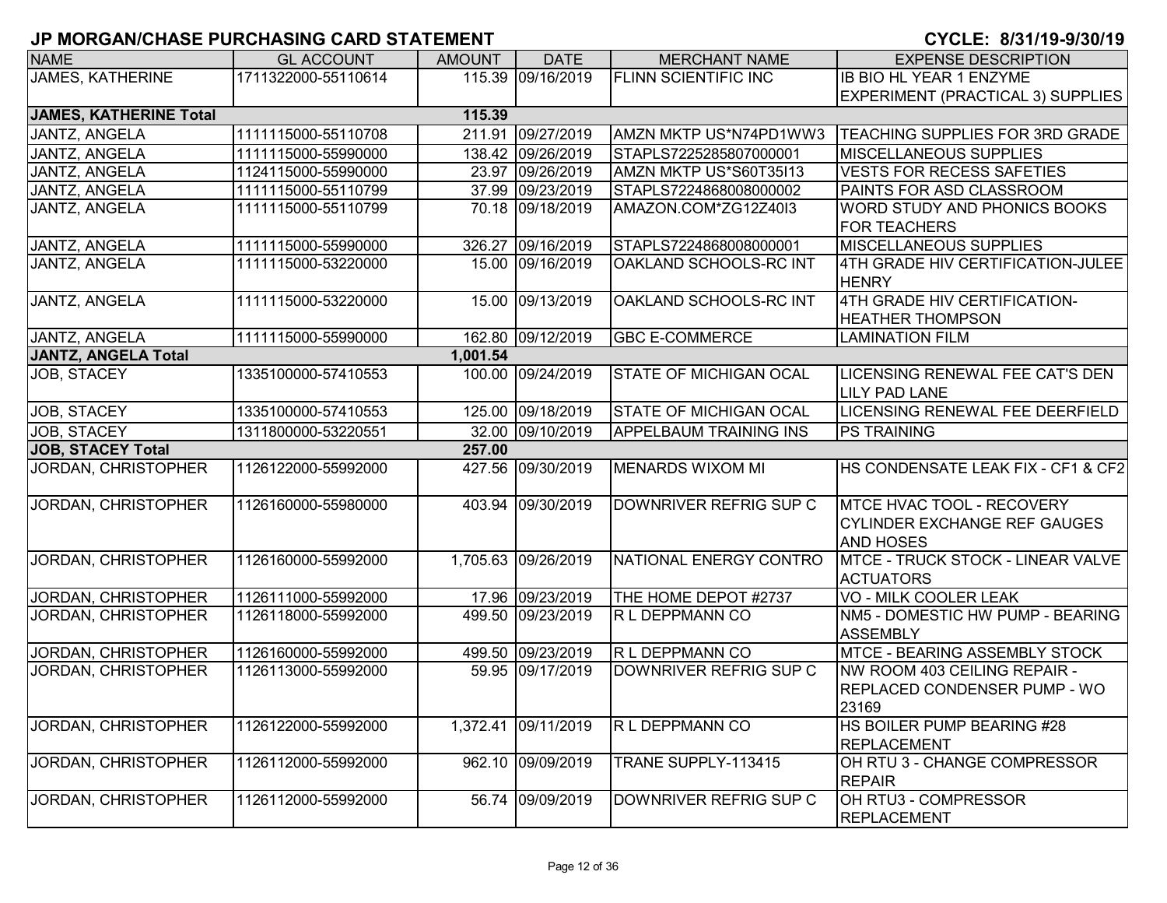| <b>NAME</b>                   | <b>GL ACCOUNT</b>   | <b>AMOUNT</b> | <b>DATE</b>         | <b>MERCHANT NAME</b>          | <b>EXPENSE DESCRIPTION</b>                                                                  |
|-------------------------------|---------------------|---------------|---------------------|-------------------------------|---------------------------------------------------------------------------------------------|
| <b>JAMES, KATHERINE</b>       | 1711322000-55110614 |               | 115.39 09/16/2019   | <b>FLINN SCIENTIFIC INC</b>   | <b>IB BIO HL YEAR 1 ENZYME</b>                                                              |
|                               |                     |               |                     |                               | <b>EXPERIMENT (PRACTICAL 3) SUPPLIES</b>                                                    |
| <b>JAMES, KATHERINE Total</b> |                     | 115.39        |                     |                               |                                                                                             |
| JANTZ, ANGELA                 | 1111115000-55110708 |               | 211.91 09/27/2019   | AMZN MKTP US*N74PD1WW3        | <b>TEACHING SUPPLIES FOR 3RD GRADE</b>                                                      |
| JANTZ, ANGELA                 | 1111115000-55990000 |               | 138.42 09/26/2019   | STAPLS7225285807000001        | <b>MISCELLANEOUS SUPPLIES</b>                                                               |
| JANTZ, ANGELA                 | 1124115000-55990000 |               | 23.97 09/26/2019    | AMZN MKTP US*S60T35I13        | <b>VESTS FOR RECESS SAFETIES</b>                                                            |
| JANTZ, ANGELA                 | 1111115000-55110799 |               | 37.99 09/23/2019    | STAPLS7224868008000002        | PAINTS FOR ASD CLASSROOM                                                                    |
| JANTZ, ANGELA                 | 1111115000-55110799 |               | 70.18 09/18/2019    | AMAZON.COM*ZG12Z40I3          | <b>WORD STUDY AND PHONICS BOOKS</b><br><b>FOR TEACHERS</b>                                  |
| JANTZ, ANGELA                 | 1111115000-55990000 |               | 326.27 09/16/2019   | STAPLS7224868008000001        | <b>MISCELLANEOUS SUPPLIES</b>                                                               |
| JANTZ, ANGELA                 | 1111115000-53220000 |               | 15.00 09/16/2019    | OAKLAND SCHOOLS-RC INT        | 4TH GRADE HIV CERTIFICATION-JULEE<br><b>HENRY</b>                                           |
| JANTZ, ANGELA                 | 1111115000-53220000 |               | 15.00 09/13/2019    | OAKLAND SCHOOLS-RC INT        | 4TH GRADE HIV CERTIFICATION-<br><b>HEATHER THOMPSON</b>                                     |
| JANTZ, ANGELA                 | 1111115000-55990000 |               | 162.80 09/12/2019   | <b>GBC E-COMMERCE</b>         | <b>LAMINATION FILM</b>                                                                      |
| <b>JANTZ, ANGELA Total</b>    |                     | 1,001.54      |                     |                               |                                                                                             |
| JOB, STACEY                   | 1335100000-57410553 |               | 100.00 09/24/2019   | STATE OF MICHIGAN OCAL        | LICENSING RENEWAL FEE CAT'S DEN<br><b>LILY PAD LANE</b>                                     |
| JOB, STACEY                   | 1335100000-57410553 |               | 125.00 09/18/2019   | <b>STATE OF MICHIGAN OCAL</b> | LICENSING RENEWAL FEE DEERFIELD                                                             |
| JOB, STACEY                   | 1311800000-53220551 |               | 32.00 09/10/2019    | <b>APPELBAUM TRAINING INS</b> | <b>PS TRAINING</b>                                                                          |
| <b>JOB, STACEY Total</b>      |                     | 257.00        |                     |                               |                                                                                             |
| JORDAN, CHRISTOPHER           | 1126122000-55992000 |               | 427.56 09/30/2019   | <b>MENARDS WIXOM MI</b>       | HS CONDENSATE LEAK FIX - CF1 & CF2                                                          |
| JORDAN, CHRISTOPHER           | 1126160000-55980000 |               | 403.94 09/30/2019   | DOWNRIVER REFRIG SUP C        | <b>MTCE HVAC TOOL - RECOVERY</b><br><b>CYLINDER EXCHANGE REF GAUGES</b><br><b>AND HOSES</b> |
| JORDAN, CHRISTOPHER           | 1126160000-55992000 |               | 1,705.63 09/26/2019 | NATIONAL ENERGY CONTRO        | <b>MTCE - TRUCK STOCK - LINEAR VALVE</b><br><b>ACTUATORS</b>                                |
| JORDAN, CHRISTOPHER           | 1126111000-55992000 |               | 17.96 09/23/2019    | THE HOME DEPOT #2737          | <b>VO - MILK COOLER LEAK</b>                                                                |
| JORDAN, CHRISTOPHER           | 1126118000-55992000 |               | 499.50 09/23/2019   | R L DEPPMANN CO               | NM5 - DOMESTIC HW PUMP - BEARING<br><b>ASSEMBLY</b>                                         |
| JORDAN, CHRISTOPHER           | 1126160000-55992000 |               | 499.50 09/23/2019   | R L DEPPMANN CO               | MTCE - BEARING ASSEMBLY STOCK                                                               |
| JORDAN, CHRISTOPHER           | 1126113000-55992000 |               | 59.95 09/17/2019    | DOWNRIVER REFRIG SUP C        | NW ROOM 403 CEILING REPAIR -<br>REPLACED CONDENSER PUMP - WO<br>23169                       |
| <b>JORDAN, CHRISTOPHER</b>    | 1126122000-55992000 |               | 1,372.41 09/11/2019 | R L DEPPMANN CO               | HS BOILER PUMP BEARING #28<br><b>REPLACEMENT</b>                                            |
| JORDAN, CHRISTOPHER           | 1126112000-55992000 |               | 962.10 09/09/2019   | TRANE SUPPLY-113415           | OH RTU 3 - CHANGE COMPRESSOR<br><b>REPAIR</b>                                               |
| JORDAN, CHRISTOPHER           | 1126112000-55992000 |               | 56.74 09/09/2019    | DOWNRIVER REFRIG SUP C        | OH RTU3 - COMPRESSOR<br>REPLACEMENT                                                         |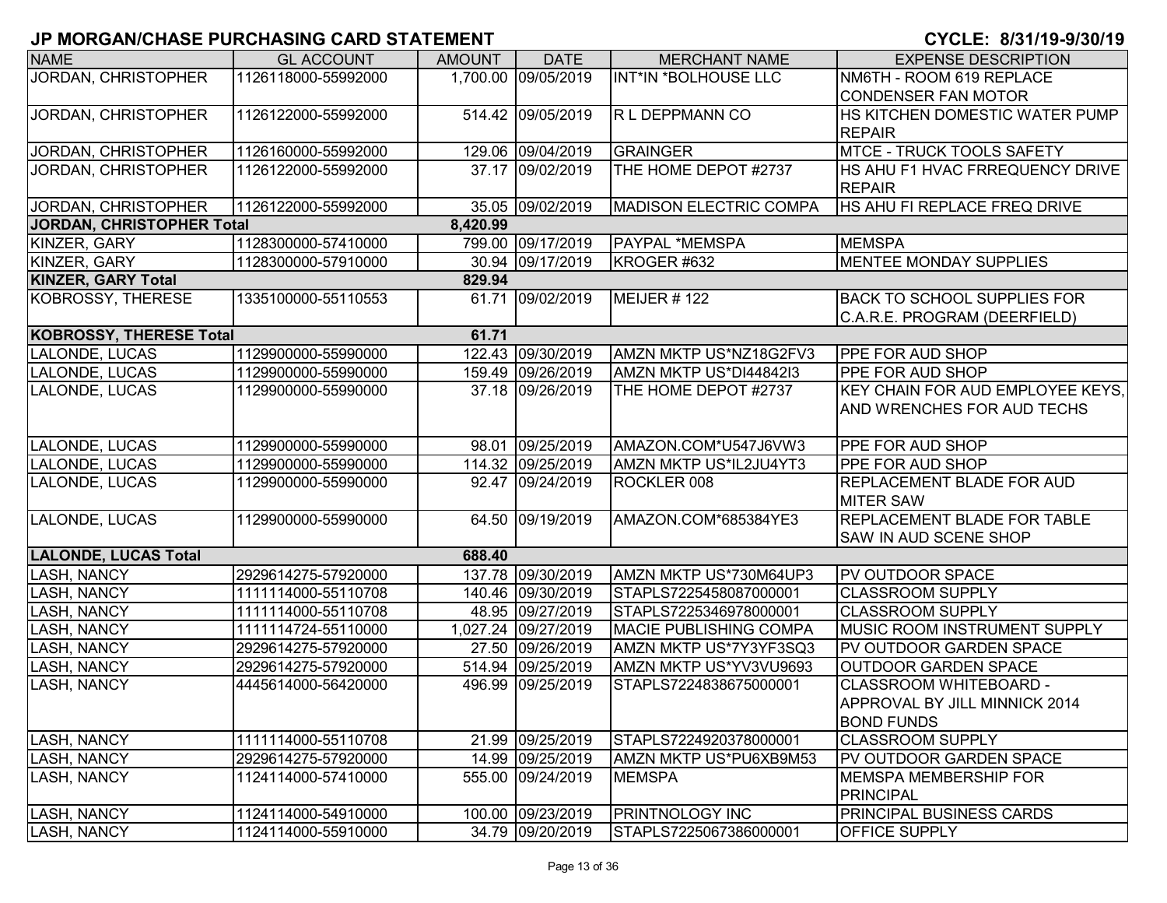| <b>NAME</b>                      | <b>GL ACCOUNT</b>   | <b>AMOUNT</b> | <b>DATE</b>         | <b>MERCHANT NAME</b>          | <b>EXPENSE DESCRIPTION</b>              |
|----------------------------------|---------------------|---------------|---------------------|-------------------------------|-----------------------------------------|
| <b>JORDAN, CHRISTOPHER</b>       | 1126118000-55992000 |               | 1,700.00 09/05/2019 | <b>INT*IN *BOLHOUSE LLC</b>   | NM6TH - ROOM 619 REPLACE                |
|                                  |                     |               |                     |                               | <b>CONDENSER FAN MOTOR</b>              |
| JORDAN, CHRISTOPHER              | 1126122000-55992000 |               | 514.42 09/05/2019   | R L DEPPMANN CO               | HS KITCHEN DOMESTIC WATER PUMP          |
|                                  |                     |               |                     |                               | <b>REPAIR</b>                           |
| JORDAN, CHRISTOPHER              | 1126160000-55992000 |               | 129.06 09/04/2019   | <b>GRAINGER</b>               | <b>MTCE - TRUCK TOOLS SAFETY</b>        |
| JORDAN, CHRISTOPHER              | 1126122000-55992000 |               | 37.17 09/02/2019    | THE HOME DEPOT #2737          | HS AHU F1 HVAC FRREQUENCY DRIVE         |
|                                  |                     |               |                     |                               | <b>REPAIR</b>                           |
| JORDAN, CHRISTOPHER              | 1126122000-55992000 |               | 35.05 09/02/2019    | <b>MADISON ELECTRIC COMPA</b> | HS AHU FI REPLACE FREQ DRIVE            |
| <b>JORDAN, CHRISTOPHER Total</b> |                     | 8,420.99      |                     |                               |                                         |
| KINZER, GARY                     | 1128300000-57410000 |               | 799.00 09/17/2019   | PAYPAL *MEMSPA                | <b>MEMSPA</b>                           |
| KINZER, GARY                     | 1128300000-57910000 |               | 30.94 09/17/2019    | KROGER #632                   | <b>MENTEE MONDAY SUPPLIES</b>           |
| <b>KINZER, GARY Total</b>        |                     | 829.94        |                     |                               |                                         |
| KOBROSSY, THERESE                | 1335100000-55110553 |               | 61.71 09/02/2019    | MEIJER #122                   | <b>BACK TO SCHOOL SUPPLIES FOR</b>      |
|                                  |                     |               |                     |                               | C.A.R.E. PROGRAM (DEERFIELD)            |
| <b>KOBROSSY, THERESE Total</b>   |                     | 61.71         |                     |                               |                                         |
| LALONDE, LUCAS                   | 1129900000-55990000 |               | 122.43 09/30/2019   | AMZN MKTP US*NZ18G2FV3        | PPE FOR AUD SHOP                        |
| LALONDE, LUCAS                   | 1129900000-55990000 |               | 159.49 09/26/2019   | AMZN MKTP US*DI44842I3        | PPE FOR AUD SHOP                        |
| LALONDE, LUCAS                   | 1129900000-55990000 |               | 37.18 09/26/2019    | THE HOME DEPOT #2737          | <b>KEY CHAIN FOR AUD EMPLOYEE KEYS.</b> |
|                                  |                     |               |                     |                               | AND WRENCHES FOR AUD TECHS              |
|                                  |                     |               |                     |                               |                                         |
| LALONDE, LUCAS                   | 1129900000-55990000 |               | 98.01 09/25/2019    | AMAZON.COM*U547J6VW3          | PPE FOR AUD SHOP                        |
| LALONDE, LUCAS                   | 1129900000-55990000 |               | 114.32 09/25/2019   | AMZN MKTP US*IL2JU4YT3        | PPE FOR AUD SHOP                        |
| LALONDE, LUCAS                   | 1129900000-55990000 |               | 92.47 09/24/2019    | ROCKLER 008                   | REPLACEMENT BLADE FOR AUD               |
|                                  |                     |               |                     |                               | <b>MITER SAW</b>                        |
| LALONDE, LUCAS                   | 1129900000-55990000 |               | 64.50 09/19/2019    | AMAZON.COM*685384YE3          | <b>REPLACEMENT BLADE FOR TABLE</b>      |
|                                  |                     |               |                     |                               | <b>SAW IN AUD SCENE SHOP</b>            |
| <b>LALONDE, LUCAS Total</b>      |                     | 688.40        |                     |                               |                                         |
| <b>LASH, NANCY</b>               | 2929614275-57920000 |               | 137.78 09/30/2019   | AMZN MKTP US*730M64UP3        | PV OUTDOOR SPACE                        |
| <b>LASH, NANCY</b>               | 1111114000-55110708 |               | 140.46 09/30/2019   | STAPLS7225458087000001        | <b>CLASSROOM SUPPLY</b>                 |
| <b>LASH, NANCY</b>               | 1111114000-55110708 |               | 48.95 09/27/2019    | STAPLS7225346978000001        | <b>CLASSROOM SUPPLY</b>                 |
| <b>LASH, NANCY</b>               | 1111114724-55110000 |               | 1,027.24 09/27/2019 | <b>MACIE PUBLISHING COMPA</b> | <b>MUSIC ROOM INSTRUMENT SUPPLY</b>     |
| LASH, NANCY                      | 2929614275-57920000 |               | 27.50 09/26/2019    | AMZN MKTP US*7Y3YF3SQ3        | PV OUTDOOR GARDEN SPACE                 |
| LASH, NANCY                      | 2929614275-57920000 |               | 514.94 09/25/2019   | AMZN MKTP US*YV3VU9693        | OUTDOOR GARDEN SPACE                    |
| LASH, NANCY                      | 4445614000-56420000 | 496.99        | 09/25/2019          | STAPLS7224838675000001        | <b>CLASSROOM WHITEBOARD -</b>           |
|                                  |                     |               |                     |                               | <b>APPROVAL BY JILL MINNICK 2014</b>    |
|                                  |                     |               |                     |                               | <b>BOND FUNDS</b>                       |
| <b>LASH, NANCY</b>               | 1111114000-55110708 |               | 21.99 09/25/2019    | STAPLS7224920378000001        | <b>CLASSROOM SUPPLY</b>                 |
| <b>LASH, NANCY</b>               | 2929614275-57920000 |               | 14.99 09/25/2019    | AMZN MKTP US*PU6XB9M53        | PV OUTDOOR GARDEN SPACE                 |
| <b>LASH, NANCY</b>               | 1124114000-57410000 |               | 555.00 09/24/2019   | <b>MEMSPA</b>                 | <b>MEMSPA MEMBERSHIP FOR</b>            |
|                                  |                     |               |                     |                               | <b>PRINCIPAL</b>                        |
| <b>LASH, NANCY</b>               | 1124114000-54910000 |               | 100.00 09/23/2019   | <b>PRINTNOLOGY INC</b>        | PRINCIPAL BUSINESS CARDS                |
| <b>LASH, NANCY</b>               | 1124114000-55910000 |               | 34.79 09/20/2019    | STAPLS7225067386000001        | <b>OFFICE SUPPLY</b>                    |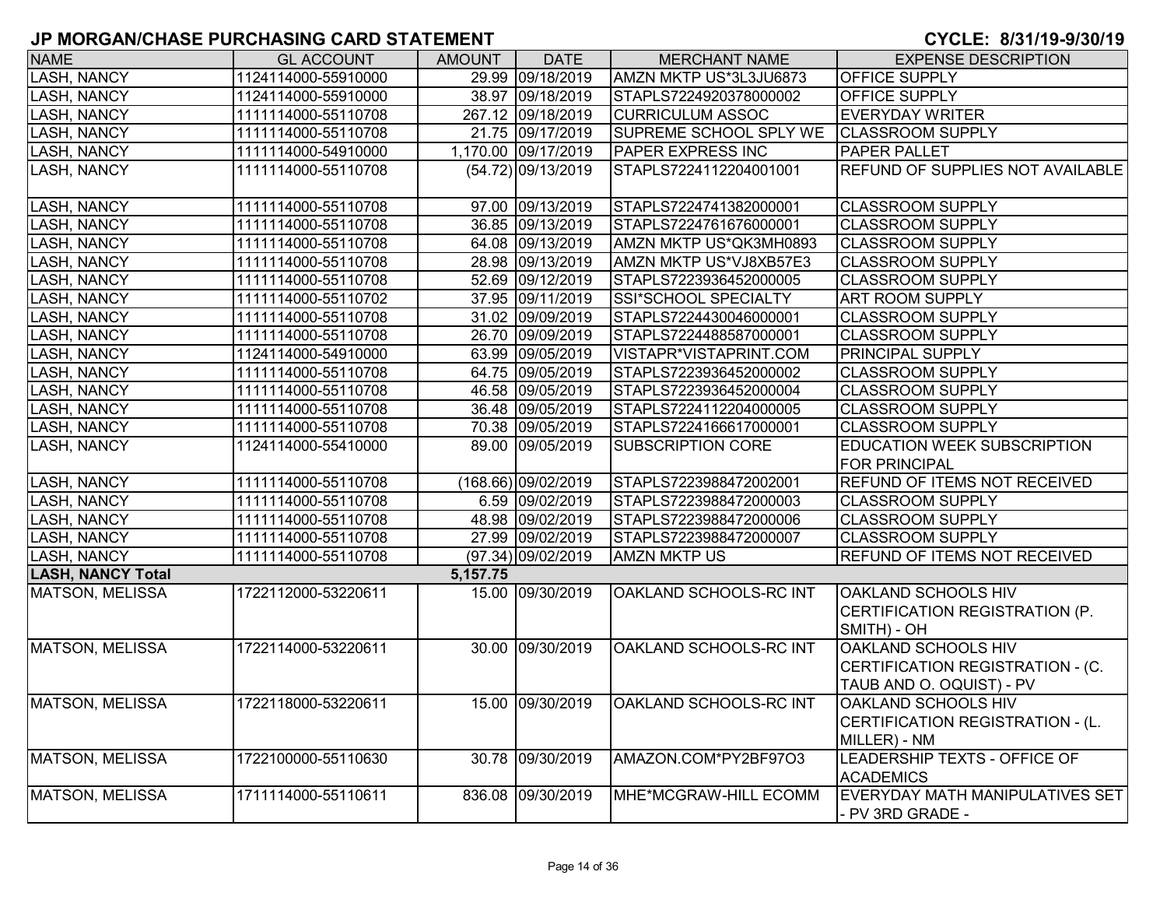| <b>NAME</b>              | <b>GL ACCOUNT</b>   | AMOUNT   | <b>DATE</b>         | <b>MERCHANT NAME</b>          | <b>EXPENSE DESCRIPTION</b>          |
|--------------------------|---------------------|----------|---------------------|-------------------------------|-------------------------------------|
| <b>LASH, NANCY</b>       | 1124114000-55910000 |          | 29.99 09/18/2019    | AMZN MKTP US*3L3JU6873        | <b>OFFICE SUPPLY</b>                |
| <b>LASH, NANCY</b>       | 1124114000-55910000 |          | 38.97 09/18/2019    | STAPLS7224920378000002        | <b>OFFICE SUPPLY</b>                |
| <b>LASH, NANCY</b>       | 1111114000-55110708 |          | 267.12 09/18/2019   | <b>CURRICULUM ASSOC</b>       | <b>EVERYDAY WRITER</b>              |
| <b>LASH, NANCY</b>       | 1111114000-55110708 |          | 21.75 09/17/2019    | SUPREME SCHOOL SPLY WE        | <b>CLASSROOM SUPPLY</b>             |
| <b>LASH, NANCY</b>       | 1111114000-54910000 |          | 1,170.00 09/17/2019 | PAPER EXPRESS INC             | <b>PAPER PALLET</b>                 |
| <b>LASH, NANCY</b>       | 1111114000-55110708 |          | (54.72) 09/13/2019  | STAPLS7224112204001001        | REFUND OF SUPPLIES NOT AVAILABLE    |
|                          |                     |          |                     |                               |                                     |
| <b>LASH, NANCY</b>       | 1111114000-55110708 |          | 97.00 09/13/2019    | STAPLS7224741382000001        | <b>CLASSROOM SUPPLY</b>             |
| <b>LASH, NANCY</b>       | 1111114000-55110708 |          | 36.85 09/13/2019    | STAPLS7224761676000001        | <b>CLASSROOM SUPPLY</b>             |
| <b>LASH, NANCY</b>       | 1111114000-55110708 |          | 64.08 09/13/2019    | AMZN MKTP US*QK3MH0893        | <b>CLASSROOM SUPPLY</b>             |
| <b>LASH, NANCY</b>       | 1111114000-55110708 |          | 28.98 09/13/2019    | AMZN MKTP US*VJ8XB57E3        | <b>CLASSROOM SUPPLY</b>             |
| <b>LASH, NANCY</b>       | 1111114000-55110708 |          | 52.69 09/12/2019    | STAPLS7223936452000005        | <b>CLASSROOM SUPPLY</b>             |
| <b>LASH, NANCY</b>       | 1111114000-55110702 |          | 37.95 09/11/2019    | SSI*SCHOOL SPECIALTY          | <b>ART ROOM SUPPLY</b>              |
| <b>LASH, NANCY</b>       | 1111114000-55110708 |          | 31.02 09/09/2019    | STAPLS7224430046000001        | <b>CLASSROOM SUPPLY</b>             |
| <b>LASH, NANCY</b>       | 1111114000-55110708 |          | 26.70 09/09/2019    | STAPLS7224488587000001        | <b>CLASSROOM SUPPLY</b>             |
| <b>LASH, NANCY</b>       | 1124114000-54910000 |          | 63.99 09/05/2019    | VISTAPR*VISTAPRINT.COM        | <b>PRINCIPAL SUPPLY</b>             |
| <b>LASH, NANCY</b>       | 1111114000-55110708 |          | 64.75 09/05/2019    | STAPLS7223936452000002        | <b>CLASSROOM SUPPLY</b>             |
| <b>LASH, NANCY</b>       | 1111114000-55110708 |          | 46.58 09/05/2019    | STAPLS7223936452000004        | <b>CLASSROOM SUPPLY</b>             |
| <b>LASH, NANCY</b>       | 1111114000-55110708 |          | 36.48 09/05/2019    | STAPLS7224112204000005        | <b>CLASSROOM SUPPLY</b>             |
| <b>LASH, NANCY</b>       | 1111114000-55110708 |          | 70.38 09/05/2019    | STAPLS7224166617000001        | <b>CLASSROOM SUPPLY</b>             |
| <b>LASH, NANCY</b>       | 1124114000-55410000 |          | 89.00 09/05/2019    | <b>SUBSCRIPTION CORE</b>      | <b>EDUCATION WEEK SUBSCRIPTION</b>  |
|                          |                     |          |                     |                               | <b>FOR PRINCIPAL</b>                |
| <b>LASH, NANCY</b>       | 1111114000-55110708 |          | (168.66) 09/02/2019 | STAPLS7223988472002001        | <b>REFUND OF ITEMS NOT RECEIVED</b> |
| <b>LASH, NANCY</b>       | 1111114000-55110708 |          | 6.59 09/02/2019     | STAPLS7223988472000003        | <b>CLASSROOM SUPPLY</b>             |
| <b>LASH, NANCY</b>       | 1111114000-55110708 |          | 48.98 09/02/2019    | STAPLS7223988472000006        | <b>CLASSROOM SUPPLY</b>             |
| <b>LASH, NANCY</b>       | 1111114000-55110708 |          | 27.99 09/02/2019    | STAPLS7223988472000007        | <b>CLASSROOM SUPPLY</b>             |
| <b>LASH, NANCY</b>       | 1111114000-55110708 |          | (97.34) 09/02/2019  | <b>AMZN MKTP US</b>           | REFUND OF ITEMS NOT RECEIVED        |
| <b>LASH, NANCY Total</b> |                     | 5,157.75 |                     |                               |                                     |
| <b>MATSON, MELISSA</b>   | 1722112000-53220611 |          | 15.00 09/30/2019    | <b>OAKLAND SCHOOLS-RC INT</b> | OAKLAND SCHOOLS HIV                 |
|                          |                     |          |                     |                               | CERTIFICATION REGISTRATION (P.      |
|                          |                     |          |                     |                               | SMITH) - OH                         |
| <b>MATSON, MELISSA</b>   | 1722114000-53220611 |          | 30.00 09/30/2019    | OAKLAND SCHOOLS-RC INT        | OAKLAND SCHOOLS HIV                 |
|                          |                     |          |                     |                               | CERTIFICATION REGISTRATION - (C.    |
|                          |                     |          |                     |                               | TAUB AND O. OQUIST) - PV            |
| <b>MATSON, MELISSA</b>   | 1722118000-53220611 |          | 15.00 09/30/2019    | <b>OAKLAND SCHOOLS-RC INT</b> | OAKLAND SCHOOLS HIV                 |
|                          |                     |          |                     |                               | CERTIFICATION REGISTRATION - (L.    |
|                          |                     |          |                     |                               | MILLER) - NM                        |
| <b>MATSON, MELISSA</b>   | 1722100000-55110630 |          | 30.78 09/30/2019    | AMAZON.COM*PY2BF97O3          | <b>LEADERSHIP TEXTS - OFFICE OF</b> |
|                          |                     |          |                     |                               | <b>ACADEMICS</b>                    |
| <b>MATSON, MELISSA</b>   | 1711114000-55110611 |          | 836.08 09/30/2019   | MHE*MCGRAW-HILL ECOMM         | EVERYDAY MATH MANIPULATIVES SET     |
|                          |                     |          |                     |                               | - PV 3RD GRADE -                    |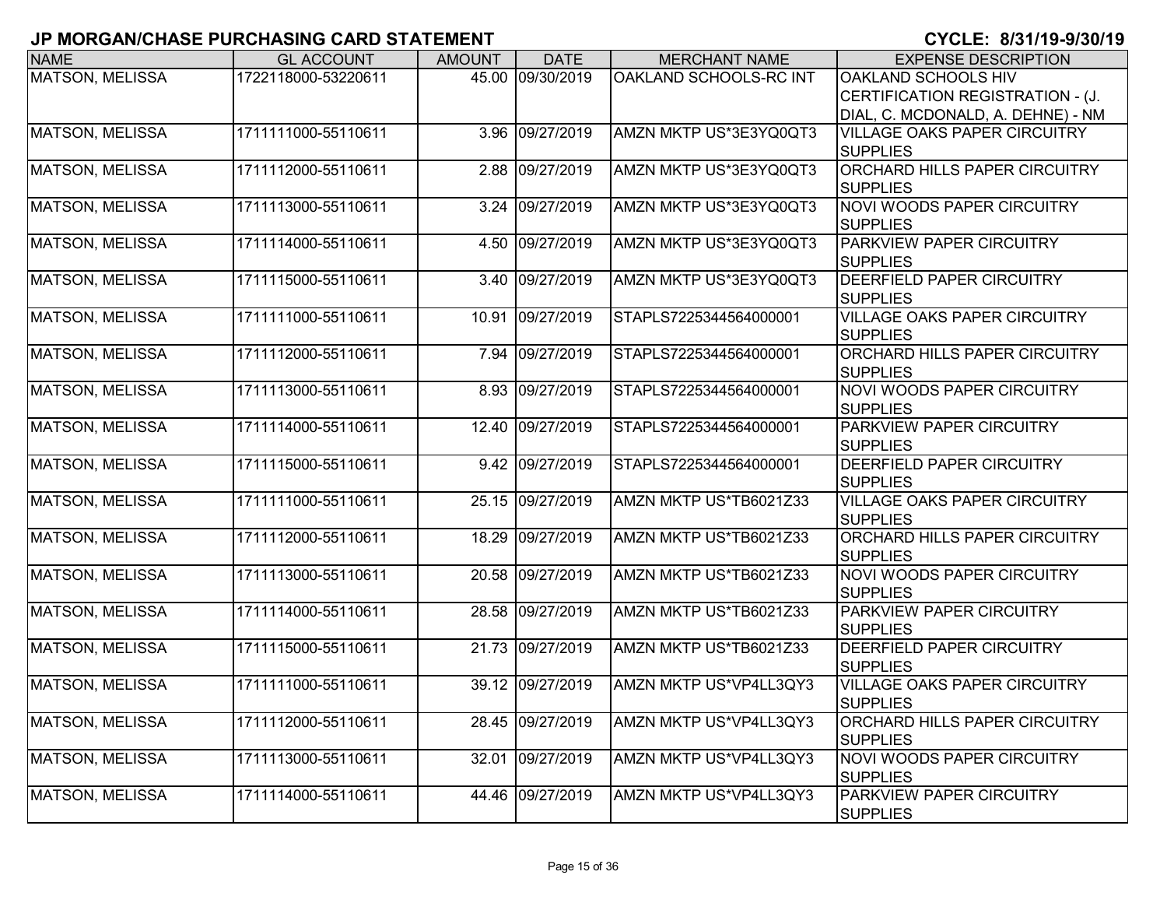| <b>NAME</b>            | <b>GL ACCOUNT</b>   | <b>AMOUNT</b> | <b>DATE</b>      | <b>MERCHANT NAME</b>   | <b>EXPENSE DESCRIPTION</b>                              |
|------------------------|---------------------|---------------|------------------|------------------------|---------------------------------------------------------|
| <b>MATSON, MELISSA</b> | 1722118000-53220611 |               | 45.00 09/30/2019 | OAKLAND SCHOOLS-RC INT | OAKLAND SCHOOLS HIV                                     |
|                        |                     |               |                  |                        | CERTIFICATION REGISTRATION - (J.                        |
|                        |                     |               |                  |                        | DIAL, C. MCDONALD, A. DEHNE) - NM                       |
| <b>MATSON, MELISSA</b> | 1711111000-55110611 | 3.96          | 09/27/2019       | AMZN MKTP US*3E3YQ0QT3 | <b>VILLAGE OAKS PAPER CIRCUITRY</b>                     |
|                        |                     |               |                  |                        | <b>SUPPLIES</b>                                         |
| <b>MATSON, MELISSA</b> | 1711112000-55110611 | 2.88          | 09/27/2019       | AMZN MKTP US*3E3YQ0QT3 | <b>ORCHARD HILLS PAPER CIRCUITRY</b>                    |
|                        |                     |               |                  |                        | <b>SUPPLIES</b>                                         |
| <b>MATSON, MELISSA</b> | 1711113000-55110611 | 3.24          | 09/27/2019       | AMZN MKTP US*3E3YQ0QT3 | <b>NOVI WOODS PAPER CIRCUITRY</b>                       |
|                        |                     |               |                  |                        | <b>SUPPLIES</b>                                         |
| <b>MATSON, MELISSA</b> | 1711114000-55110611 | 4.50          | 09/27/2019       | AMZN MKTP US*3E3YQ0QT3 | PARKVIEW PAPER CIRCUITRY                                |
|                        |                     |               |                  |                        | <b>SUPPLIES</b>                                         |
| <b>MATSON, MELISSA</b> | 1711115000-55110611 | 3.40          | 09/27/2019       | AMZN MKTP US*3E3YQ0QT3 | <b>DEERFIELD PAPER CIRCUITRY</b>                        |
|                        |                     |               |                  |                        | <b>SUPPLIES</b>                                         |
| <b>MATSON, MELISSA</b> | 1711111000-55110611 | 10.91         | 09/27/2019       | STAPLS7225344564000001 | <b>VILLAGE OAKS PAPER CIRCUITRY</b>                     |
| MATSON, MELISSA        | 1711112000-55110611 |               |                  |                        | <b>SUPPLIES</b><br><b>ORCHARD HILLS PAPER CIRCUITRY</b> |
|                        |                     | 7.94          | 09/27/2019       | STAPLS7225344564000001 | <b>SUPPLIES</b>                                         |
| MATSON, MELISSA        | 1711113000-55110611 | 8.93          | 09/27/2019       | STAPLS7225344564000001 | <b>NOVI WOODS PAPER CIRCUITRY</b>                       |
|                        |                     |               |                  |                        | <b>SUPPLIES</b>                                         |
| <b>MATSON, MELISSA</b> | 1711114000-55110611 | 12.40         | 09/27/2019       | STAPLS7225344564000001 | PARKVIEW PAPER CIRCUITRY                                |
|                        |                     |               |                  |                        | <b>SUPPLIES</b>                                         |
| <b>MATSON, MELISSA</b> | 1711115000-55110611 | 9.42          | 09/27/2019       | STAPLS7225344564000001 | <b>DEERFIELD PAPER CIRCUITRY</b>                        |
|                        |                     |               |                  |                        | <b>SUPPLIES</b>                                         |
| <b>MATSON, MELISSA</b> | 1711111000-55110611 | 25.15         | 09/27/2019       | AMZN MKTP US*TB6021Z33 | <b>VILLAGE OAKS PAPER CIRCUITRY</b>                     |
|                        |                     |               |                  |                        | <b>SUPPLIES</b>                                         |
| <b>MATSON, MELISSA</b> | 1711112000-55110611 | 18.29         | 09/27/2019       | AMZN MKTP US*TB6021Z33 | <b>ORCHARD HILLS PAPER CIRCUITRY</b>                    |
|                        |                     |               |                  |                        | <b>SUPPLIES</b>                                         |
| MATSON, MELISSA        | 1711113000-55110611 | 20.58         | 09/27/2019       | AMZN MKTP US*TB6021Z33 | <b>NOVI WOODS PAPER CIRCUITRY</b>                       |
|                        |                     |               |                  |                        | <b>SUPPLIES</b>                                         |
| MATSON, MELISSA        | 1711114000-55110611 | 28.58         | 09/27/2019       | AMZN MKTP US*TB6021Z33 | PARKVIEW PAPER CIRCUITRY                                |
|                        |                     |               |                  |                        | <b>SUPPLIES</b>                                         |
| <b>MATSON, MELISSA</b> | 1711115000-55110611 | 21.73         | 09/27/2019       | AMZN MKTP US*TB6021Z33 | <b>DEERFIELD PAPER CIRCUITRY</b>                        |
|                        |                     |               |                  |                        | <b>SUPPLIES</b>                                         |
| <b>MATSON, MELISSA</b> | 1711111000-55110611 | 39.12         | 09/27/2019       | AMZN MKTP US*VP4LL3QY3 | <b>VILLAGE OAKS PAPER CIRCUITRY</b>                     |
|                        |                     |               |                  |                        | <b>SUPPLIES</b>                                         |
| MATSON, MELISSA        | 1711112000-55110611 |               | 28.45 09/27/2019 | AMZN MKTP US*VP4LL3QY3 | <b>ORCHARD HILLS PAPER CIRCUITRY</b>                    |
|                        |                     |               |                  |                        | <b>SUPPLIES</b>                                         |
| <b>MATSON, MELISSA</b> | 1711113000-55110611 |               | 32.01 09/27/2019 | AMZN MKTP US*VP4LL3QY3 | <b>NOVI WOODS PAPER CIRCUITRY</b>                       |
|                        |                     |               |                  |                        | <b>SUPPLIES</b>                                         |
| <b>MATSON, MELISSA</b> | 1711114000-55110611 |               | 44.46 09/27/2019 | AMZN MKTP US*VP4LL3QY3 | <b>PARKVIEW PAPER CIRCUITRY</b>                         |
|                        |                     |               |                  |                        | <b>SUPPLIES</b>                                         |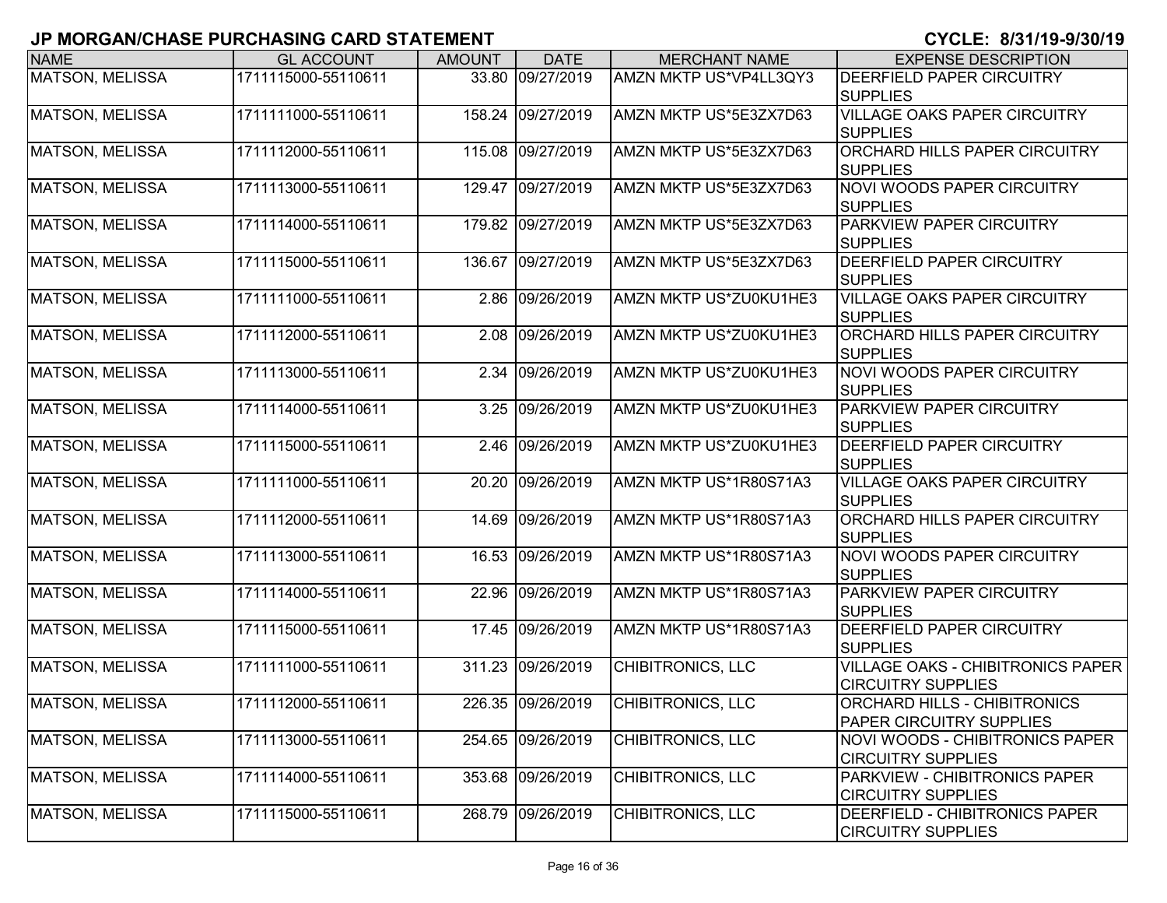| <b>NAME</b>            | <b>GL ACCOUNT</b>   | <b>AMOUNT</b> | <b>DATE</b>       | <b>MERCHANT NAME</b>     | <b>EXPENSE DESCRIPTION</b>                                         |
|------------------------|---------------------|---------------|-------------------|--------------------------|--------------------------------------------------------------------|
| <b>MATSON, MELISSA</b> | 1711115000-55110611 |               | 33.80 09/27/2019  | AMZN MKTP US*VP4LL3QY3   | <b>DEERFIELD PAPER CIRCUITRY</b>                                   |
|                        |                     |               |                   |                          | <b>SUPPLIES</b>                                                    |
| <b>MATSON, MELISSA</b> | 1711111000-55110611 |               | 158.24 09/27/2019 | AMZN MKTP US*5E3ZX7D63   | <b>VILLAGE OAKS PAPER CIRCUITRY</b>                                |
|                        |                     |               |                   |                          | <b>SUPPLIES</b>                                                    |
| <b>MATSON, MELISSA</b> | 1711112000-55110611 |               | 115.08 09/27/2019 | AMZN MKTP US*5E3ZX7D63   | <b>ORCHARD HILLS PAPER CIRCUITRY</b>                               |
|                        |                     |               |                   |                          | <b>SUPPLIES</b>                                                    |
| <b>MATSON, MELISSA</b> | 1711113000-55110611 |               | 129.47 09/27/2019 | AMZN MKTP US*5E3ZX7D63   | <b>NOVI WOODS PAPER CIRCUITRY</b><br><b>SUPPLIES</b>               |
| <b>MATSON, MELISSA</b> | 1711114000-55110611 |               | 179.82 09/27/2019 | AMZN MKTP US*5E3ZX7D63   | PARKVIEW PAPER CIRCUITRY<br><b>SUPPLIES</b>                        |
| MATSON, MELISSA        | 1711115000-55110611 | 136.67        | 09/27/2019        | AMZN MKTP US*5E3ZX7D63   | <b>DEERFIELD PAPER CIRCUITRY</b>                                   |
|                        |                     |               |                   |                          | <b>SUPPLIES</b>                                                    |
| MATSON, MELISSA        | 1711111000-55110611 |               | 2.86 09/26/2019   | AMZN MKTP US*ZU0KU1HE3   | <b>VILLAGE OAKS PAPER CIRCUITRY</b>                                |
|                        |                     |               |                   |                          | <b>SUPPLIES</b>                                                    |
| <b>MATSON, MELISSA</b> | 1711112000-55110611 | 2.08          | 09/26/2019        | AMZN MKTP US*ZU0KU1HE3   | ORCHARD HILLS PAPER CIRCUITRY                                      |
|                        |                     |               |                   |                          | <b>SUPPLIES</b>                                                    |
| <b>MATSON, MELISSA</b> | 1711113000-55110611 | 2.34          | 09/26/2019        | AMZN MKTP US*ZU0KU1HE3   | <b>NOVI WOODS PAPER CIRCUITRY</b>                                  |
|                        |                     |               |                   |                          | <b>SUPPLIES</b>                                                    |
| <b>MATSON, MELISSA</b> | 1711114000-55110611 | 3.25          | 09/26/2019        | AMZN MKTP US*ZU0KU1HE3   | <b>PARKVIEW PAPER CIRCUITRY</b>                                    |
|                        |                     |               |                   |                          | <b>SUPPLIES</b>                                                    |
| <b>MATSON, MELISSA</b> | 1711115000-55110611 | 2.46          | 09/26/2019        | AMZN MKTP US*ZU0KU1HE3   | <b>DEERFIELD PAPER CIRCUITRY</b>                                   |
|                        |                     |               |                   |                          | <b>SUPPLIES</b>                                                    |
| MATSON, MELISSA        | 1711111000-55110611 | 20.20         | 09/26/2019        | AMZN MKTP US*1R80S71A3   | <b>VILLAGE OAKS PAPER CIRCUITRY</b><br><b>SUPPLIES</b>             |
| <b>MATSON, MELISSA</b> | 1711112000-55110611 |               | 14.69 09/26/2019  | AMZN MKTP US*1R80S71A3   | <b>ORCHARD HILLS PAPER CIRCUITRY</b><br><b>SUPPLIES</b>            |
| <b>MATSON, MELISSA</b> | 1711113000-55110611 |               | 16.53 09/26/2019  | AMZN MKTP US*1R80S71A3   | <b>NOVI WOODS PAPER CIRCUITRY</b>                                  |
|                        |                     |               |                   |                          | <b>SUPPLIES</b>                                                    |
| <b>MATSON, MELISSA</b> | 1711114000-55110611 |               | 22.96 09/26/2019  | AMZN MKTP US*1R80S71A3   | PARKVIEW PAPER CIRCUITRY                                           |
|                        |                     |               |                   |                          | <b>SUPPLIES</b>                                                    |
| <b>MATSON, MELISSA</b> | 1711115000-55110611 |               | 17.45 09/26/2019  | AMZN MKTP US*1R80S71A3   | <b>DEERFIELD PAPER CIRCUITRY</b>                                   |
|                        |                     |               |                   |                          | <b>SUPPLIES</b>                                                    |
| MATSON, MELISSA        | 1711111000-55110611 |               | 311.23 09/26/2019 | CHIBITRONICS, LLC        | <b>VILLAGE OAKS - CHIBITRONICS PAPER</b>                           |
|                        |                     |               |                   |                          | <b>CIRCUITRY SUPPLIES</b>                                          |
| <b>MATSON, MELISSA</b> | 1711112000-55110611 |               | 226.35 09/26/2019 | <b>CHIBITRONICS, LLC</b> | <b>ORCHARD HILLS - CHIBITRONICS</b>                                |
|                        |                     |               |                   |                          | <b>PAPER CIRCUITRY SUPPLIES</b>                                    |
| MATSON, MELISSA        | 1711113000-55110611 |               | 254.65 09/26/2019 | CHIBITRONICS, LLC        | <b>NOVI WOODS - CHIBITRONICS PAPER</b>                             |
|                        |                     |               |                   |                          | <b>CIRCUITRY SUPPLIES</b>                                          |
| MATSON, MELISSA        | 1711114000-55110611 |               | 353.68 09/26/2019 | CHIBITRONICS, LLC        | <b>PARKVIEW - CHIBITRONICS PAPER</b>                               |
|                        |                     |               |                   |                          | <b>CIRCUITRY SUPPLIES</b>                                          |
| MATSON, MELISSA        | 1711115000-55110611 |               | 268.79 09/26/2019 | CHIBITRONICS, LLC        | <b>DEERFIELD - CHIBITRONICS PAPER</b><br><b>CIRCUITRY SUPPLIES</b> |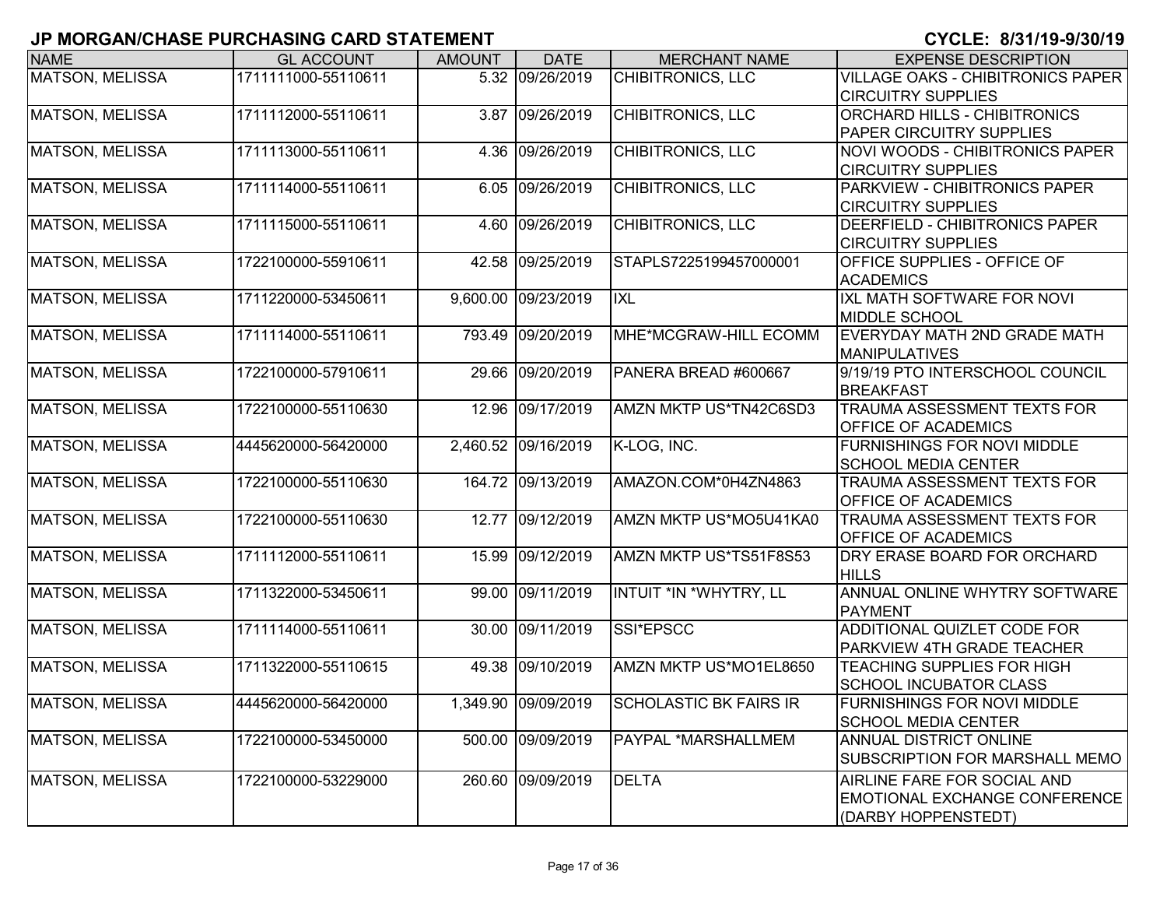| <b>NAME</b>            | <b>GL ACCOUNT</b>   | <b>AMOUNT</b> | <b>DATE</b>         | <b>MERCHANT NAME</b>          | <b>EXPENSE DESCRIPTION</b>               |
|------------------------|---------------------|---------------|---------------------|-------------------------------|------------------------------------------|
| <b>MATSON, MELISSA</b> | 1711111000-55110611 |               | 5.32 09/26/2019     | <b>CHIBITRONICS, LLC</b>      | <b>VILLAGE OAKS - CHIBITRONICS PAPER</b> |
|                        |                     |               |                     |                               | <b>CIRCUITRY SUPPLIES</b>                |
| MATSON, MELISSA        | 1711112000-55110611 | 3.87          | 09/26/2019          | CHIBITRONICS, LLC             | <b>ORCHARD HILLS - CHIBITRONICS</b>      |
|                        |                     |               |                     |                               | <b>PAPER CIRCUITRY SUPPLIES</b>          |
| <b>MATSON, MELISSA</b> | 1711113000-55110611 | 4.36          | 09/26/2019          | <b>CHIBITRONICS, LLC</b>      | <b>NOVI WOODS - CHIBITRONICS PAPER</b>   |
|                        |                     |               |                     |                               | <b>CIRCUITRY SUPPLIES</b>                |
| <b>MATSON, MELISSA</b> | 1711114000-55110611 | 6.05          | 09/26/2019          | <b>CHIBITRONICS, LLC</b>      | PARKVIEW - CHIBITRONICS PAPER            |
|                        |                     |               |                     |                               | <b>CIRCUITRY SUPPLIES</b>                |
| <b>MATSON, MELISSA</b> | 1711115000-55110611 | 4.60          | 09/26/2019          | CHIBITRONICS, LLC             | DEERFIELD - CHIBITRONICS PAPER           |
|                        |                     |               |                     |                               | <b>CIRCUITRY SUPPLIES</b>                |
| <b>MATSON, MELISSA</b> | 1722100000-55910611 | 42.58         | 09/25/2019          | STAPLS7225199457000001        | OFFICE SUPPLIES - OFFICE OF              |
|                        |                     |               |                     |                               | <b>ACADEMICS</b>                         |
| <b>MATSON, MELISSA</b> | 1711220000-53450611 | 9,600.00      | 09/23/2019          | <b>IXL</b>                    | IXL MATH SOFTWARE FOR NOVI               |
|                        |                     |               |                     |                               | <b>MIDDLE SCHOOL</b>                     |
| <b>MATSON, MELISSA</b> | 1711114000-55110611 | 793.49        | 09/20/2019          | MHE*MCGRAW-HILL ECOMM         | EVERYDAY MATH 2ND GRADE MATH             |
|                        |                     |               |                     |                               | <b>MANIPULATIVES</b>                     |
| <b>MATSON, MELISSA</b> | 1722100000-57910611 | 29.66         | 09/20/2019          | PANERA BREAD #600667          | 9/19/19 PTO INTERSCHOOL COUNCIL          |
|                        |                     |               |                     |                               | <b>BREAKFAST</b>                         |
| <b>MATSON, MELISSA</b> | 1722100000-55110630 | 12.96         | 09/17/2019          | AMZN MKTP US*TN42C6SD3        | TRAUMA ASSESSMENT TEXTS FOR              |
|                        |                     |               |                     |                               | <b>OFFICE OF ACADEMICS</b>               |
| <b>MATSON, MELISSA</b> | 4445620000-56420000 |               | 2,460.52 09/16/2019 | K-LOG, INC.                   | <b>FURNISHINGS FOR NOVI MIDDLE</b>       |
|                        |                     |               |                     |                               | <b>SCHOOL MEDIA CENTER</b>               |
| <b>MATSON, MELISSA</b> | 1722100000-55110630 |               | 164.72 09/13/2019   | AMAZON.COM*0H4ZN4863          | TRAUMA ASSESSMENT TEXTS FOR              |
|                        |                     |               |                     |                               | <b>OFFICE OF ACADEMICS</b>               |
| <b>MATSON, MELISSA</b> | 1722100000-55110630 | 12.77         | 09/12/2019          | AMZN MKTP US*MO5U41KA0        | <b>TRAUMA ASSESSMENT TEXTS FOR</b>       |
|                        |                     |               |                     |                               | OFFICE OF ACADEMICS                      |
| <b>MATSON, MELISSA</b> | 1711112000-55110611 | 15.99         | 09/12/2019          | AMZN MKTP US*TS51F8S53        | DRY ERASE BOARD FOR ORCHARD              |
|                        |                     |               |                     |                               | <b>HILLS</b>                             |
| <b>MATSON, MELISSA</b> | 1711322000-53450611 | 99.00         | 09/11/2019          | INTUIT *IN *WHYTRY, LL        | ANNUAL ONLINE WHYTRY SOFTWARE            |
|                        |                     |               |                     |                               | <b>PAYMENT</b>                           |
| <b>MATSON, MELISSA</b> | 1711114000-55110611 | 30.00         | 09/11/2019          | SSI*EPSCC                     | ADDITIONAL QUIZLET CODE FOR              |
|                        |                     |               |                     |                               | PARKVIEW 4TH GRADE TEACHER               |
| <b>MATSON, MELISSA</b> | 1711322000-55110615 | 49.38         | 09/10/2019          | AMZN MKTP US*MO1EL8650        | <b>TEACHING SUPPLIES FOR HIGH</b>        |
|                        |                     |               |                     |                               | <b>SCHOOL INCUBATOR CLASS</b>            |
| <b>MATSON, MELISSA</b> | 4445620000-56420000 |               | 1,349.90 09/09/2019 | <b>SCHOLASTIC BK FAIRS IR</b> | <b>FURNISHINGS FOR NOVI MIDDLE</b>       |
|                        |                     |               |                     |                               | <b>SCHOOL MEDIA CENTER</b>               |
| <b>MATSON, MELISSA</b> | 1722100000-53450000 |               | 500.00 09/09/2019   | PAYPAL *MARSHALLMEM           | ANNUAL DISTRICT ONLINE                   |
|                        |                     |               |                     |                               | <b>SUBSCRIPTION FOR MARSHALL MEMO</b>    |
| <b>MATSON, MELISSA</b> | 1722100000-53229000 | 260.60        | 09/09/2019          | <b>DELTA</b>                  | AIRLINE FARE FOR SOCIAL AND              |
|                        |                     |               |                     |                               | <b>EMOTIONAL EXCHANGE CONFERENCE</b>     |
|                        |                     |               |                     |                               | (DARBY HOPPENSTEDT)                      |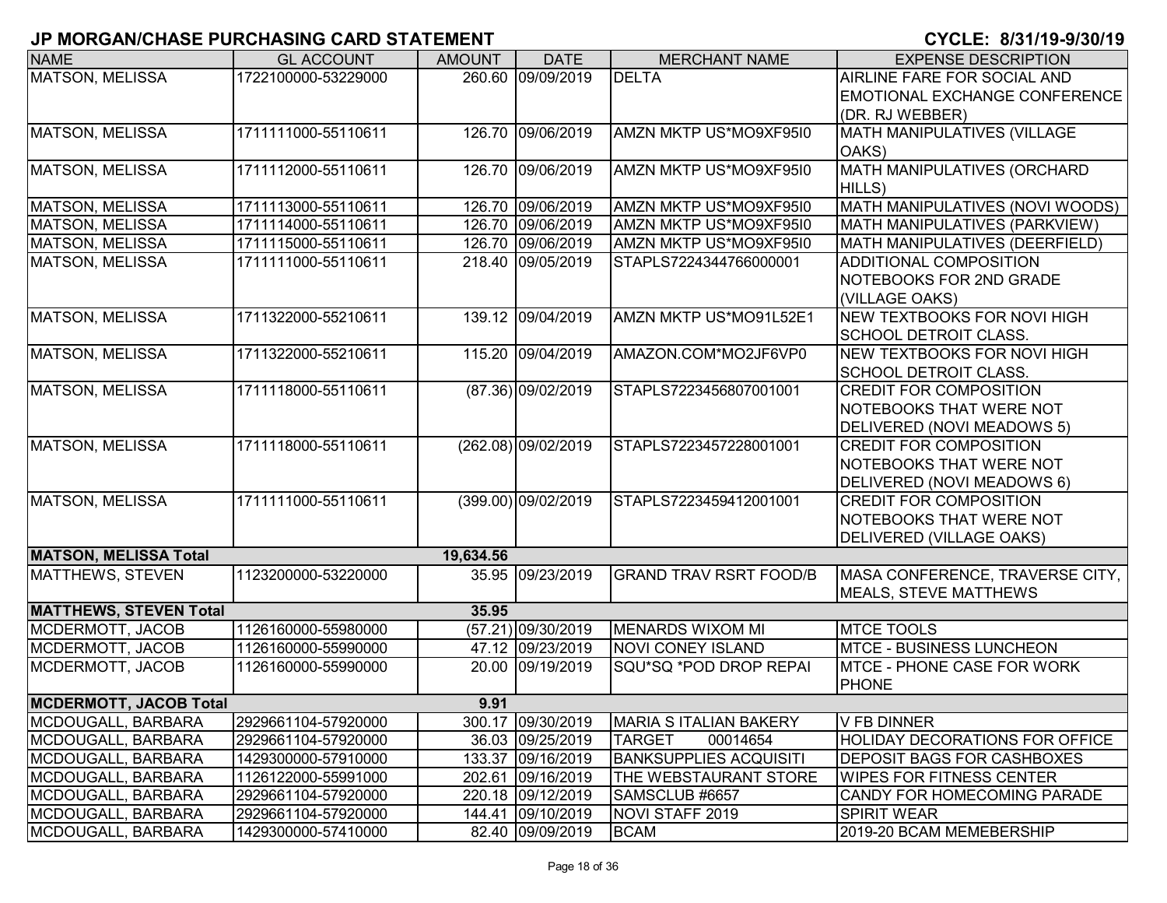| <b>NAME</b>                   | <b>GL ACCOUNT</b>   | <b>AMOUNT</b> | <b>DATE</b>         | <b>MERCHANT NAME</b>          | <b>EXPENSE DESCRIPTION</b>            |
|-------------------------------|---------------------|---------------|---------------------|-------------------------------|---------------------------------------|
| <b>MATSON, MELISSA</b>        | 1722100000-53229000 |               | 260.60 09/09/2019   | <b>DELTA</b>                  | AIRLINE FARE FOR SOCIAL AND           |
|                               |                     |               |                     |                               | <b>EMOTIONAL EXCHANGE CONFERENCE</b>  |
|                               |                     |               |                     |                               | (DR. RJ WEBBER)                       |
| <b>MATSON, MELISSA</b>        | 1711111000-55110611 |               | 126.70 09/06/2019   | AMZN MKTP US*MO9XF95I0        | <b>MATH MANIPULATIVES (VILLAGE</b>    |
|                               |                     |               |                     |                               | OAKS)                                 |
| <b>MATSON, MELISSA</b>        | 1711112000-55110611 | 126.70        | 09/06/2019          | AMZN MKTP US*MO9XF95I0        | MATH MANIPULATIVES (ORCHARD           |
|                               |                     |               |                     |                               | HILLS)                                |
| <b>MATSON, MELISSA</b>        | 1711113000-55110611 |               | 126.70 09/06/2019   | AMZN MKTP US*MO9XF95I0        | MATH MANIPULATIVES (NOVI WOODS)       |
| <b>MATSON, MELISSA</b>        | 1711114000-55110611 |               | 126.70 09/06/2019   | AMZN MKTP US*MO9XF95I0        | MATH MANIPULATIVES (PARKVIEW)         |
| <b>MATSON, MELISSA</b>        | 1711115000-55110611 |               | 126.70 09/06/2019   | AMZN MKTP US*MO9XF95I0        | MATH MANIPULATIVES (DEERFIELD)        |
| <b>MATSON, MELISSA</b>        | 1711111000-55110611 |               | 218.40 09/05/2019   | STAPLS7224344766000001        | ADDITIONAL COMPOSITION                |
|                               |                     |               |                     |                               | NOTEBOOKS FOR 2ND GRADE               |
|                               |                     |               |                     |                               | (VILLAGE OAKS)                        |
| <b>MATSON, MELISSA</b>        | 1711322000-55210611 |               | 139.12 09/04/2019   | AMZN MKTP US*MO91L52E1        | <b>NEW TEXTBOOKS FOR NOVI HIGH</b>    |
|                               |                     |               |                     |                               | <b>SCHOOL DETROIT CLASS.</b>          |
| MATSON, MELISSA               | 1711322000-55210611 | 115.20        | 09/04/2019          | AMAZON.COM*MO2JF6VP0          | NEW TEXTBOOKS FOR NOVI HIGH           |
|                               |                     |               |                     |                               | <b>SCHOOL DETROIT CLASS.</b>          |
| <b>MATSON, MELISSA</b>        | 1711118000-55110611 |               | (87.36) 09/02/2019  | STAPLS7223456807001001        | <b>CREDIT FOR COMPOSITION</b>         |
|                               |                     |               |                     |                               | NOTEBOOKS THAT WERE NOT               |
|                               |                     |               |                     |                               | DELIVERED (NOVI MEADOWS 5)            |
| <b>MATSON, MELISSA</b>        | 1711118000-55110611 |               | (262.08) 09/02/2019 | STAPLS7223457228001001        | <b>CREDIT FOR COMPOSITION</b>         |
|                               |                     |               |                     |                               | NOTEBOOKS THAT WERE NOT               |
|                               |                     |               |                     |                               | DELIVERED (NOVI MEADOWS 6)            |
| <b>MATSON, MELISSA</b>        | 1711111000-55110611 |               | (399.00) 09/02/2019 | STAPLS7223459412001001        | <b>CREDIT FOR COMPOSITION</b>         |
|                               |                     |               |                     |                               | NOTEBOOKS THAT WERE NOT               |
|                               |                     |               |                     |                               | DELIVERED (VILLAGE OAKS)              |
| <b>MATSON, MELISSA Total</b>  |                     | 19,634.56     |                     |                               |                                       |
| <b>MATTHEWS, STEVEN</b>       | 1123200000-53220000 |               | 35.95 09/23/2019    | <b>GRAND TRAV RSRT FOOD/B</b> | MASA CONFERENCE, TRAVERSE CITY,       |
|                               |                     |               |                     |                               | MEALS, STEVE MATTHEWS                 |
| <b>MATTHEWS, STEVEN Total</b> |                     | 35.95         |                     |                               |                                       |
| MCDERMOTT, JACOB              | 1126160000-55980000 |               | (57.21) 09/30/2019  | <b>MENARDS WIXOM MI</b>       | <b>MTCE TOOLS</b>                     |
| MCDERMOTT, JACOB              | 1126160000-55990000 |               | 47.12 09/23/2019    | <b>NOVI CONEY ISLAND</b>      | <b>MTCE - BUSINESS LUNCHEON</b>       |
| MCDERMOTT, JACOB              | 1126160000-55990000 | 20.00         | 09/19/2019          | SQU*SQ *POD DROP REPAI        | MTCE - PHONE CASE FOR WORK            |
|                               |                     |               |                     |                               | <b>PHONE</b>                          |
| <b>MCDERMOTT, JACOB Total</b> |                     | 9.91          |                     |                               |                                       |
| MCDOUGALL, BARBARA            | 2929661104-57920000 |               | 300.17 09/30/2019   | <b>MARIA S ITALIAN BAKERY</b> | V FB DINNER                           |
| MCDOUGALL, BARBARA            | 2929661104-57920000 |               | 36.03 09/25/2019    | <b>TARGET</b><br>00014654     | <b>HOLIDAY DECORATIONS FOR OFFICE</b> |
| MCDOUGALL, BARBARA            | 1429300000-57910000 |               | 133.37 09/16/2019   | <b>BANKSUPPLIES ACQUISITI</b> | <b>DEPOSIT BAGS FOR CASHBOXES</b>     |
| MCDOUGALL, BARBARA            | 1126122000-55991000 |               | 202.61 09/16/2019   | THE WEBSTAURANT STORE         | <b>WIPES FOR FITNESS CENTER</b>       |
| MCDOUGALL, BARBARA            | 2929661104-57920000 |               | 220.18 09/12/2019   | SAMSCLUB #6657                | <b>CANDY FOR HOMECOMING PARADE</b>    |
| MCDOUGALL, BARBARA            | 2929661104-57920000 |               | 144.41 09/10/2019   | NOVI STAFF 2019               | <b>SPIRIT WEAR</b>                    |
| MCDOUGALL, BARBARA            | 1429300000-57410000 |               | 82.40 09/09/2019    | <b>BCAM</b>                   | 2019-20 BCAM MEMEBERSHIP              |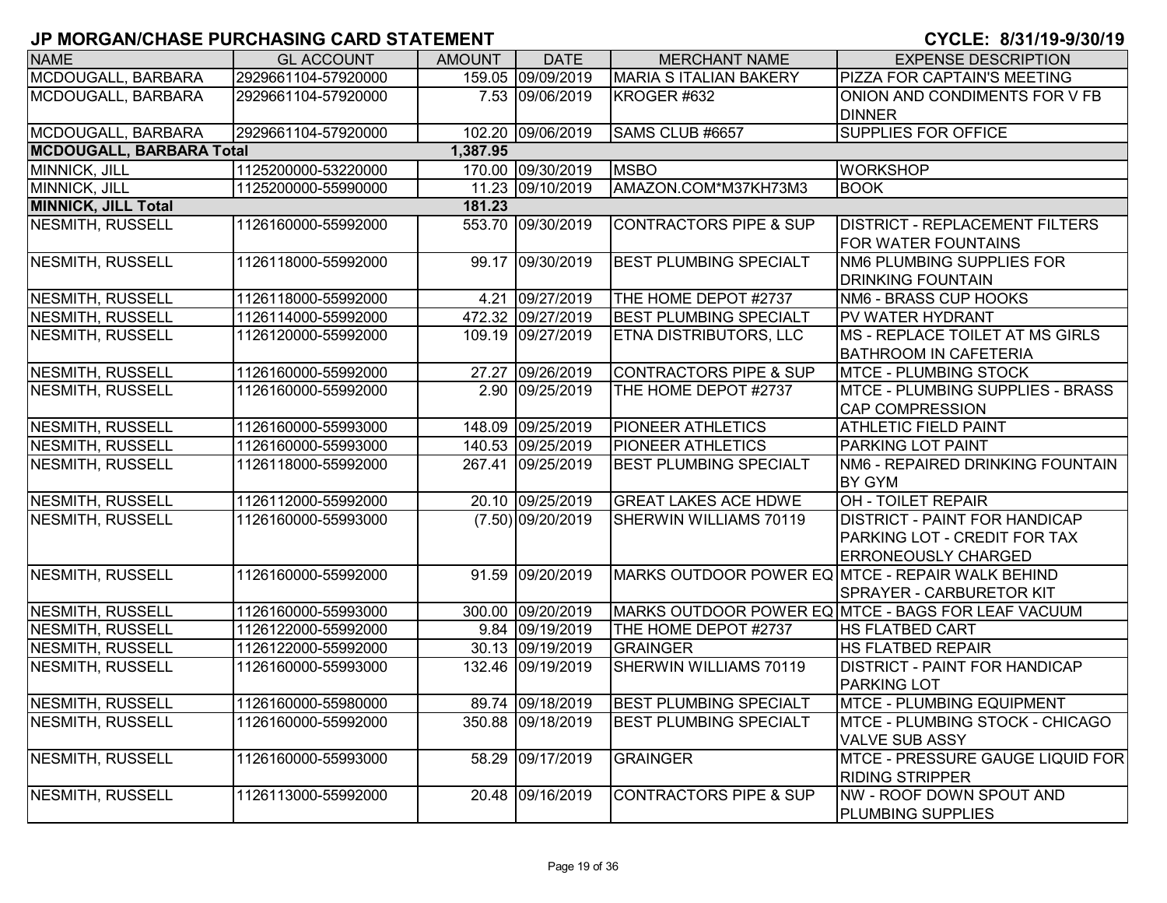| <b>NAME</b>                     | <b>GL ACCOUNT</b>   | <b>AMOUNT</b> | <b>DATE</b>         | <b>MERCHANT NAME</b>              | <b>EXPENSE DESCRIPTION</b>                                                                         |
|---------------------------------|---------------------|---------------|---------------------|-----------------------------------|----------------------------------------------------------------------------------------------------|
| MCDOUGALL, BARBARA              | 2929661104-57920000 |               | 159.05 09/09/2019   | <b>MARIA S ITALIAN BAKERY</b>     | PIZZA FOR CAPTAIN'S MEETING                                                                        |
| MCDOUGALL, BARBARA              | 2929661104-57920000 |               | 7.53 09/06/2019     | KROGER #632                       | ONION AND CONDIMENTS FOR V FB<br><b>DINNER</b>                                                     |
| MCDOUGALL, BARBARA              | 2929661104-57920000 |               | 102.20 09/06/2019   | SAMS CLUB #6657                   | <b>SUPPLIES FOR OFFICE</b>                                                                         |
| <b>MCDOUGALL, BARBARA Total</b> |                     | 1,387.95      |                     |                                   |                                                                                                    |
| MINNICK, JILL                   | 1125200000-53220000 |               | 170.00 09/30/2019   | <b>MSBO</b>                       | <b>WORKSHOP</b>                                                                                    |
| MINNICK, JILL                   | 1125200000-55990000 |               | 11.23 09/10/2019    | AMAZON.COM*M37KH73M3              | <b>BOOK</b>                                                                                        |
| <b>MINNICK, JILL Total</b>      |                     | 181.23        |                     |                                   |                                                                                                    |
| NESMITH, RUSSELL                | 1126160000-55992000 |               | 553.70 09/30/2019   | <b>CONTRACTORS PIPE &amp; SUP</b> | <b>DISTRICT - REPLACEMENT FILTERS</b><br><b>FOR WATER FOUNTAINS</b>                                |
| <b>NESMITH, RUSSELL</b>         | 1126118000-55992000 |               | 99.17 09/30/2019    | <b>BEST PLUMBING SPECIALT</b>     | NM6 PLUMBING SUPPLIES FOR<br><b>DRINKING FOUNTAIN</b>                                              |
| NESMITH, RUSSELL                | 1126118000-55992000 |               | 4.21 09/27/2019     | THE HOME DEPOT #2737              | NM6 - BRASS CUP HOOKS                                                                              |
| NESMITH, RUSSELL                | 1126114000-55992000 |               | 472.32 09/27/2019   | <b>BEST PLUMBING SPECIALT</b>     | <b>PV WATER HYDRANT</b>                                                                            |
| <b>NESMITH, RUSSELL</b>         | 1126120000-55992000 |               | 109.19 09/27/2019   | <b>ETNA DISTRIBUTORS, LLC</b>     | <b>MS - REPLACE TOILET AT MS GIRLS</b><br><b>BATHROOM IN CAFETERIA</b>                             |
| NESMITH, RUSSELL                | 1126160000-55992000 |               | 27.27 09/26/2019    | <b>CONTRACTORS PIPE &amp; SUP</b> | <b>MTCE - PLUMBING STOCK</b>                                                                       |
| <b>NESMITH, RUSSELL</b>         | 1126160000-55992000 |               | 2.90 09/25/2019     | THE HOME DEPOT #2737              | <b>MTCE - PLUMBING SUPPLIES - BRASS</b><br><b>CAP COMPRESSION</b>                                  |
| NESMITH, RUSSELL                | 1126160000-55993000 |               | 148.09 09/25/2019   | <b>PIONEER ATHLETICS</b>          | <b>ATHLETIC FIELD PAINT</b>                                                                        |
| NESMITH, RUSSELL                | 1126160000-55993000 |               | 140.53 09/25/2019   | <b>PIONEER ATHLETICS</b>          | PARKING LOT PAINT                                                                                  |
| NESMITH, RUSSELL                | 1126118000-55992000 |               | 267.41 09/25/2019   | <b>BEST PLUMBING SPECIALT</b>     | NM6 - REPAIRED DRINKING FOUNTAIN<br><b>BY GYM</b>                                                  |
| NESMITH, RUSSELL                | 1126112000-55992000 |               | 20.10 09/25/2019    | <b>GREAT LAKES ACE HDWE</b>       | OH - TOILET REPAIR                                                                                 |
| NESMITH, RUSSELL                | 1126160000-55993000 |               | $(7.50)$ 09/20/2019 | SHERWIN WILLIAMS 70119            | <b>DISTRICT - PAINT FOR HANDICAP</b><br>PARKING LOT - CREDIT FOR TAX<br><b>ERRONEOUSLY CHARGED</b> |
| NESMITH, RUSSELL                | 1126160000-55992000 |               | 91.59 09/20/2019    |                                   | MARKS OUTDOOR POWER EQ MTCE - REPAIR WALK BEHIND<br><b>SPRAYER - CARBURETOR KIT</b>                |
| <b>NESMITH, RUSSELL</b>         | 1126160000-55993000 |               | 300.00 09/20/2019   |                                   | MARKS OUTDOOR POWER EQ MTCE - BAGS FOR LEAF VACUUM                                                 |
| <b>NESMITH, RUSSELL</b>         | 1126122000-55992000 |               | 9.84 09/19/2019     | THE HOME DEPOT #2737              | <b>HS FLATBED CART</b>                                                                             |
| <b>NESMITH, RUSSELL</b>         | 1126122000-55992000 |               | 30.13 09/19/2019    | <b>GRAINGER</b>                   | <b>HS FLATBED REPAIR</b>                                                                           |
| NESMITH, RUSSELL                | 1126160000-55993000 |               | 132.46 09/19/2019   | SHERWIN WILLIAMS 70119            | <b>DISTRICT - PAINT FOR HANDICAP</b><br><b>PARKING LOT</b>                                         |
| NESMITH, RUSSELL                | 1126160000-55980000 |               | 89.74 09/18/2019    | <b>BEST PLUMBING SPECIALT</b>     | MTCE - PLUMBING EQUIPMENT                                                                          |
| NESMITH, RUSSELL                | 1126160000-55992000 |               | 350.88 09/18/2019   | <b>BEST PLUMBING SPECIALT</b>     | <b>IMTCE - PLUMBING STOCK - CHICAGO</b><br><b>VALVE SUB ASSY</b>                                   |
| NESMITH, RUSSELL                | 1126160000-55993000 |               | 58.29 09/17/2019    | <b>GRAINGER</b>                   | MTCE - PRESSURE GAUGE LIQUID FOR<br><b>RIDING STRIPPER</b>                                         |
| NESMITH, RUSSELL                | 1126113000-55992000 |               | 20.48 09/16/2019    | <b>CONTRACTORS PIPE &amp; SUP</b> | <b>NW - ROOF DOWN SPOUT AND</b><br><b>PLUMBING SUPPLIES</b>                                        |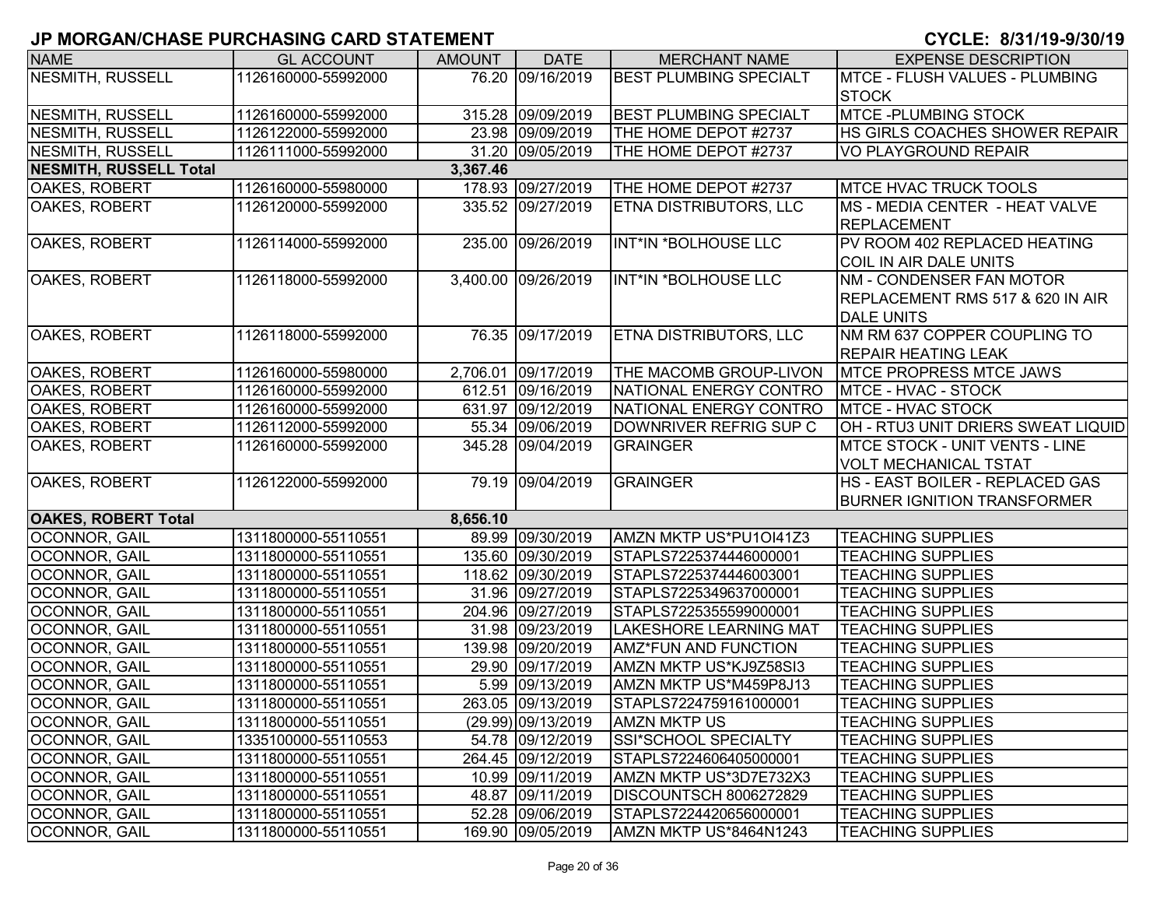| <b>NAME</b>                   | <b>GL ACCOUNT</b>   | <b>AMOUNT</b> | <b>DATE</b>         | <b>MERCHANT NAME</b>          | <b>EXPENSE DESCRIPTION</b>            |
|-------------------------------|---------------------|---------------|---------------------|-------------------------------|---------------------------------------|
| <b>NESMITH, RUSSELL</b>       | 1126160000-55992000 |               | 76.20 09/16/2019    | <b>BEST PLUMBING SPECIALT</b> | MTCE - FLUSH VALUES - PLUMBING        |
|                               |                     |               |                     |                               | <b>STOCK</b>                          |
| NESMITH, RUSSELL              | 1126160000-55992000 |               | 315.28 09/09/2019   | <b>BEST PLUMBING SPECIALT</b> | <b>MTCE-PLUMBING STOCK</b>            |
| <b>NESMITH, RUSSELL</b>       | 1126122000-55992000 |               | 23.98 09/09/2019    | THE HOME DEPOT #2737          | HS GIRLS COACHES SHOWER REPAIR        |
| <b>NESMITH, RUSSELL</b>       | 1126111000-55992000 |               | 31.20 09/05/2019    | THE HOME DEPOT #2737          | <b>VO PLAYGROUND REPAIR</b>           |
| <b>NESMITH, RUSSELL Total</b> |                     | 3,367.46      |                     |                               |                                       |
| OAKES, ROBERT                 | 1126160000-55980000 |               | 178.93 09/27/2019   | THE HOME DEPOT #2737          | <b>MTCE HVAC TRUCK TOOLS</b>          |
| OAKES, ROBERT                 | 1126120000-55992000 |               | 335.52 09/27/2019   | <b>ETNA DISTRIBUTORS, LLC</b> | <b>MS - MEDIA CENTER - HEAT VALVE</b> |
|                               |                     |               |                     |                               | <b>REPLACEMENT</b>                    |
| OAKES, ROBERT                 | 1126114000-55992000 |               | 235.00 09/26/2019   | INT*IN *BOLHOUSE LLC          | PV ROOM 402 REPLACED HEATING          |
|                               |                     |               |                     |                               | COIL IN AIR DALE UNITS                |
| OAKES, ROBERT                 | 1126118000-55992000 |               | 3,400.00 09/26/2019 | INT*IN *BOLHOUSE LLC          | NM - CONDENSER FAN MOTOR              |
|                               |                     |               |                     |                               | REPLACEMENT RMS 517 & 620 IN AIR      |
|                               |                     |               |                     |                               | <b>DALE UNITS</b>                     |
| OAKES, ROBERT                 | 1126118000-55992000 |               | 76.35 09/17/2019    | <b>ETNA DISTRIBUTORS, LLC</b> | INM RM 637 COPPER COUPLING TO         |
|                               |                     |               |                     |                               | <b>REPAIR HEATING LEAK</b>            |
| OAKES, ROBERT                 | 1126160000-55980000 |               | 2,706.01 09/17/2019 | THE MACOMB GROUP-LIVON        | <b>MTCE PROPRESS MTCE JAWS</b>        |
| OAKES, ROBERT                 | 1126160000-55992000 |               | 612.51 09/16/2019   | NATIONAL ENERGY CONTRO        | <b>MTCE - HVAC - STOCK</b>            |
| OAKES, ROBERT                 | 1126160000-55992000 |               | 631.97 09/12/2019   | NATIONAL ENERGY CONTRO        | MTCE - HVAC STOCK                     |
| OAKES, ROBERT                 | 1126112000-55992000 |               | 55.34 09/06/2019    | DOWNRIVER REFRIG SUP C        | OH - RTU3 UNIT DRIERS SWEAT LIQUID    |
| OAKES, ROBERT                 | 1126160000-55992000 |               | 345.28 09/04/2019   | <b>GRAINGER</b>               | <b>MTCE STOCK - UNIT VENTS - LINE</b> |
|                               |                     |               |                     |                               | VOLT MECHANICAL TSTAT                 |
| OAKES, ROBERT                 | 1126122000-55992000 |               | 79.19 09/04/2019    | <b>GRAINGER</b>               | HS - EAST BOILER - REPLACED GAS       |
|                               |                     |               |                     |                               | <b>BURNER IGNITION TRANSFORMER</b>    |
| <b>OAKES, ROBERT Total</b>    |                     | 8,656.10      |                     |                               |                                       |
| <b>OCONNOR, GAIL</b>          | 1311800000-55110551 |               | 89.99 09/30/2019    | AMZN MKTP US*PU1OI41Z3        | <b>TEACHING SUPPLIES</b>              |
| OCONNOR, GAIL                 | 1311800000-55110551 |               | 135.60 09/30/2019   | STAPLS7225374446000001        | <b>TEACHING SUPPLIES</b>              |
| OCONNOR, GAIL                 | 1311800000-55110551 |               | 118.62 09/30/2019   | STAPLS7225374446003001        | <b>TEACHING SUPPLIES</b>              |
| OCONNOR, GAIL                 | 1311800000-55110551 |               | 31.96 09/27/2019    | STAPLS7225349637000001        | <b>TEACHING SUPPLIES</b>              |
| OCONNOR, GAIL                 | 1311800000-55110551 |               | 204.96 09/27/2019   | STAPLS7225355599000001        | <b>TEACHING SUPPLIES</b>              |
| OCONNOR, GAIL                 | 1311800000-55110551 |               | 31.98 09/23/2019    | <b>LAKESHORE LEARNING MAT</b> | <b>TEACHING SUPPLIES</b>              |
| OCONNOR, GAIL                 | 1311800000-55110551 |               | 139.98 09/20/2019   | <b>AMZ*FUN AND FUNCTION</b>   | <b>TEACHING SUPPLIES</b>              |
| OCONNOR, GAIL                 | 1311800000-55110551 |               | 29.90 09/17/2019    | AMZN MKTP US*KJ9Z58SI3        | <b>TEACHING SUPPLIES</b>              |
| OCONNOR, GAIL                 | 1311800000-55110551 |               | 5.99 09/13/2019     | AMZN MKTP US*M459P8J13        | <b>TEACHING SUPPLIES</b>              |
| <b>OCONNOR, GAIL</b>          | 1311800000-55110551 |               | 263.05 09/13/2019   | STAPLS7224759161000001        | <b>TEACHING SUPPLIES</b>              |
| <b>OCONNOR, GAIL</b>          | 1311800000-55110551 |               | (29.99) 09/13/2019  | <b>AMZN MKTP US</b>           | <b>TEACHING SUPPLIES</b>              |
| <b>OCONNOR, GAIL</b>          | 1335100000-55110553 |               | 54.78 09/12/2019    | <b>SSI*SCHOOL SPECIALTY</b>   | <b>TEACHING SUPPLIES</b>              |
| <b>OCONNOR, GAIL</b>          | 1311800000-55110551 |               | 264.45 09/12/2019   | STAPLS7224606405000001        | <b>TEACHING SUPPLIES</b>              |
| <b>OCONNOR, GAIL</b>          | 1311800000-55110551 |               | 10.99 09/11/2019    | AMZN MKTP US*3D7E732X3        | <b>TEACHING SUPPLIES</b>              |
| OCONNOR, GAIL                 | 1311800000-55110551 |               | 48.87 09/11/2019    | DISCOUNTSCH 8006272829        | <b>TEACHING SUPPLIES</b>              |
| OCONNOR, GAIL                 | 1311800000-55110551 |               | 52.28 09/06/2019    | STAPLS7224420656000001        | <b>TEACHING SUPPLIES</b>              |
| OCONNOR, GAIL                 | 1311800000-55110551 |               | 169.90 09/05/2019   | AMZN MKTP US*8464N1243        | <b>TEACHING SUPPLIES</b>              |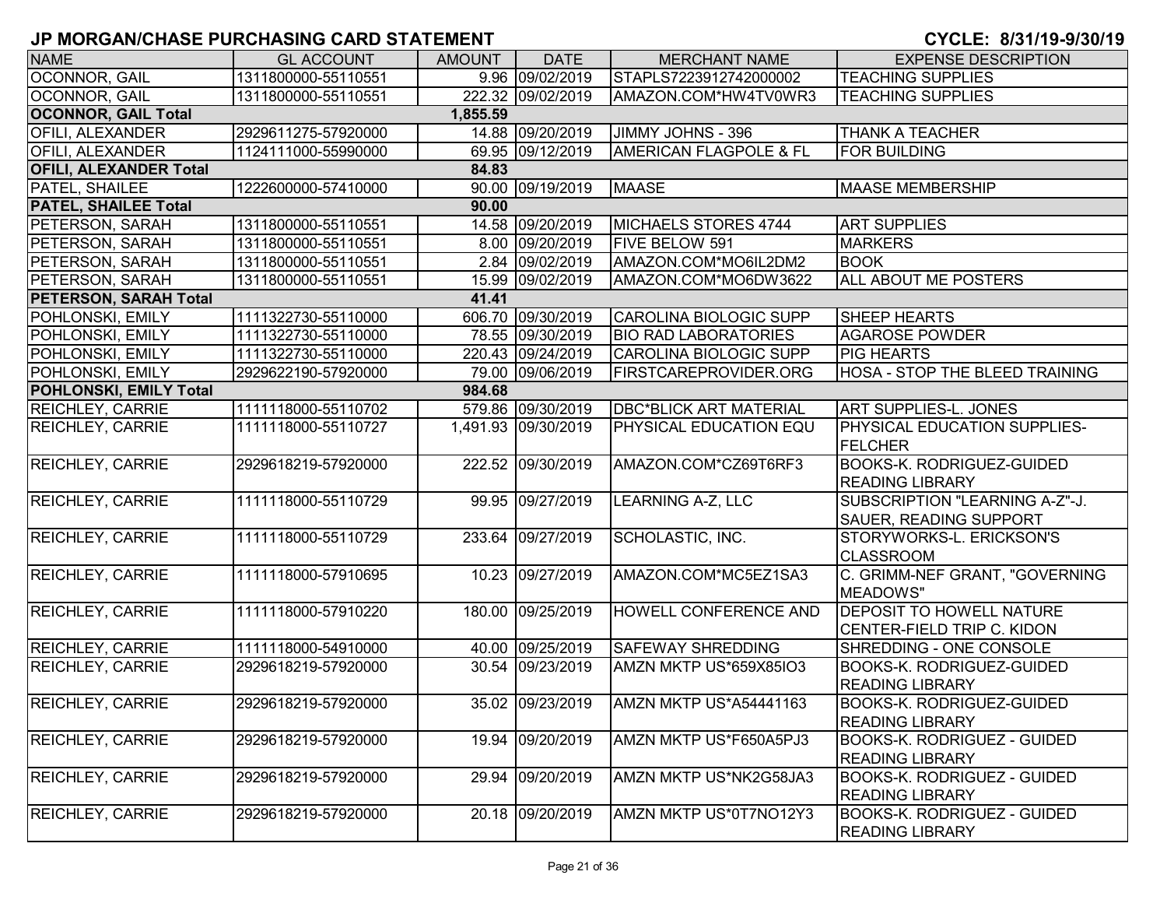| <b>NAME</b>                            | <b>GL ACCOUNT</b>   | AMOUNT | <b>DATE</b>         | <b>MERCHANT NAME</b>              | <b>EXPENSE DESCRIPTION</b>          |  |  |  |  |
|----------------------------------------|---------------------|--------|---------------------|-----------------------------------|-------------------------------------|--|--|--|--|
| OCONNOR, GAIL                          | 1311800000-55110551 |        | 9.96 09/02/2019     | STAPLS7223912742000002            | <b>TEACHING SUPPLIES</b>            |  |  |  |  |
| OCONNOR, GAIL                          | 1311800000-55110551 |        | 222.32 09/02/2019   | AMAZON.COM*HW4TV0WR3              | <b>TEACHING SUPPLIES</b>            |  |  |  |  |
| <b>OCONNOR, GAIL Total</b><br>1,855.59 |                     |        |                     |                                   |                                     |  |  |  |  |
| <b>OFILI, ALEXANDER</b>                | 2929611275-57920000 |        | 14.88 09/20/2019    | JIMMY JOHNS - 396                 | <b>THANK A TEACHER</b>              |  |  |  |  |
| OFILI, ALEXANDER                       | 1124111000-55990000 |        | 69.95 09/12/2019    | <b>AMERICAN FLAGPOLE &amp; FL</b> | <b>FOR BUILDING</b>                 |  |  |  |  |
| <b>OFILI, ALEXANDER Total</b>          |                     | 84.83  |                     |                                   |                                     |  |  |  |  |
| PATEL, SHAILEE                         | 1222600000-57410000 |        | 90.00 09/19/2019    | <b>MAASE</b>                      | <b>MAASE MEMBERSHIP</b>             |  |  |  |  |
| <b>PATEL, SHAILEE Total</b>            |                     | 90.00  |                     |                                   |                                     |  |  |  |  |
| PETERSON, SARAH                        | 1311800000-55110551 |        | 14.58 09/20/2019    | MICHAELS STORES 4744              | <b>ART SUPPLIES</b>                 |  |  |  |  |
| PETERSON, SARAH                        | 1311800000-55110551 |        | 8.00 09/20/2019     | <b>FIVE BELOW 591</b>             | <b>MARKERS</b>                      |  |  |  |  |
| PETERSON, SARAH                        | 1311800000-55110551 |        | 2.84 09/02/2019     | AMAZON.COM*MO6IL2DM2              | <b>BOOK</b>                         |  |  |  |  |
| PETERSON, SARAH                        | 1311800000-55110551 |        | 15.99 09/02/2019    | AMAZON.COM*MO6DW3622              | <b>ALL ABOUT ME POSTERS</b>         |  |  |  |  |
| <b>PETERSON, SARAH Total</b>           |                     | 41.41  |                     |                                   |                                     |  |  |  |  |
| POHLONSKI, EMILY                       | 1111322730-55110000 |        | 606.70 09/30/2019   | CAROLINA BIOLOGIC SUPP            | <b>SHEEP HEARTS</b>                 |  |  |  |  |
| POHLONSKI, EMILY                       | 1111322730-55110000 |        | 78.55 09/30/2019    | <b>BIO RAD LABORATORIES</b>       | <b>AGAROSE POWDER</b>               |  |  |  |  |
| POHLONSKI, EMILY                       | 1111322730-55110000 |        | 220.43 09/24/2019   | CAROLINA BIOLOGIC SUPP            | <b>PIG HEARTS</b>                   |  |  |  |  |
| POHLONSKI, EMILY                       | 2929622190-57920000 |        | 79.00 09/06/2019    | <b>FIRSTCAREPROVIDER.ORG</b>      | HOSA - STOP THE BLEED TRAINING      |  |  |  |  |
| <b>POHLONSKI, EMILY Total</b>          |                     | 984.68 |                     |                                   |                                     |  |  |  |  |
| <b>REICHLEY, CARRIE</b>                | 1111118000-55110702 |        | 579.86 09/30/2019   | <b>DBC*BLICK ART MATERIAL</b>     | <b>ART SUPPLIES-L. JONES</b>        |  |  |  |  |
| <b>REICHLEY, CARRIE</b>                | 1111118000-55110727 |        | 1,491.93 09/30/2019 | <b>PHYSICAL EDUCATION EQU</b>     | <b>PHYSICAL EDUCATION SUPPLIES-</b> |  |  |  |  |
|                                        |                     |        |                     |                                   | <b>FELCHER</b>                      |  |  |  |  |
| <b>REICHLEY, CARRIE</b>                | 2929618219-57920000 |        | 222.52 09/30/2019   | AMAZON.COM*CZ69T6RF3              | <b>BOOKS-K. RODRIGUEZ-GUIDED</b>    |  |  |  |  |
|                                        |                     |        |                     |                                   | <b>READING LIBRARY</b>              |  |  |  |  |
| <b>REICHLEY, CARRIE</b>                | 1111118000-55110729 |        | 99.95 09/27/2019    | LEARNING A-Z, LLC                 | SUBSCRIPTION "LEARNING A-Z"-J.      |  |  |  |  |
|                                        |                     |        |                     |                                   | <b>SAUER, READING SUPPORT</b>       |  |  |  |  |
| <b>REICHLEY, CARRIE</b>                | 1111118000-55110729 |        | 233.64 09/27/2019   | SCHOLASTIC, INC.                  | STORYWORKS-L. ERICKSON'S            |  |  |  |  |
|                                        |                     |        |                     |                                   | <b>CLASSROOM</b>                    |  |  |  |  |
| <b>REICHLEY, CARRIE</b>                | 1111118000-57910695 |        | 10.23 09/27/2019    | AMAZON.COM*MC5EZ1SA3              | C. GRIMM-NEF GRANT, "GOVERNING      |  |  |  |  |
|                                        |                     |        |                     |                                   | MEADOWS"                            |  |  |  |  |
| <b>REICHLEY, CARRIE</b>                | 1111118000-57910220 |        | 180.00 09/25/2019   | <b>HOWELL CONFERENCE AND</b>      | <b>DEPOSIT TO HOWELL NATURE</b>     |  |  |  |  |
|                                        |                     |        |                     |                                   | CENTER-FIELD TRIP C. KIDON          |  |  |  |  |
| <b>REICHLEY, CARRIE</b>                | 1111118000-54910000 |        | 40.00 09/25/2019    | <b>SAFEWAY SHREDDING</b>          | SHREDDING - ONE CONSOLE             |  |  |  |  |
| <b>REICHLEY, CARRIE</b>                | 2929618219-57920000 |        | 30.54 09/23/2019    | AMZN MKTP US*659X85IO3            | <b>BOOKS-K. RODRIGUEZ-GUIDED</b>    |  |  |  |  |
|                                        |                     |        |                     |                                   | <b>READING LIBRARY</b>              |  |  |  |  |
| <b>REICHLEY, CARRIE</b>                | 2929618219-57920000 |        | 35.02 09/23/2019    | AMZN MKTP US*A54441163            | BOOKS-K. RODRIGUEZ-GUIDED           |  |  |  |  |
|                                        |                     |        |                     |                                   | <b>READING LIBRARY</b>              |  |  |  |  |
| <b>REICHLEY, CARRIE</b>                | 2929618219-57920000 |        | 19.94 09/20/2019    | AMZN MKTP US*F650A5PJ3            | <b>BOOKS-K. RODRIGUEZ - GUIDED</b>  |  |  |  |  |
|                                        |                     |        |                     |                                   | <b>READING LIBRARY</b>              |  |  |  |  |
| <b>REICHLEY, CARRIE</b>                | 2929618219-57920000 |        | 29.94 09/20/2019    | AMZN MKTP US*NK2G58JA3            | <b>BOOKS-K. RODRIGUEZ - GUIDED</b>  |  |  |  |  |
|                                        |                     |        |                     |                                   | <b>READING LIBRARY</b>              |  |  |  |  |
| <b>REICHLEY, CARRIE</b>                | 2929618219-57920000 |        | 20.18 09/20/2019    | AMZN MKTP US*0T7NO12Y3            | <b>BOOKS-K. RODRIGUEZ - GUIDED</b>  |  |  |  |  |
|                                        |                     |        |                     |                                   | <b>READING LIBRARY</b>              |  |  |  |  |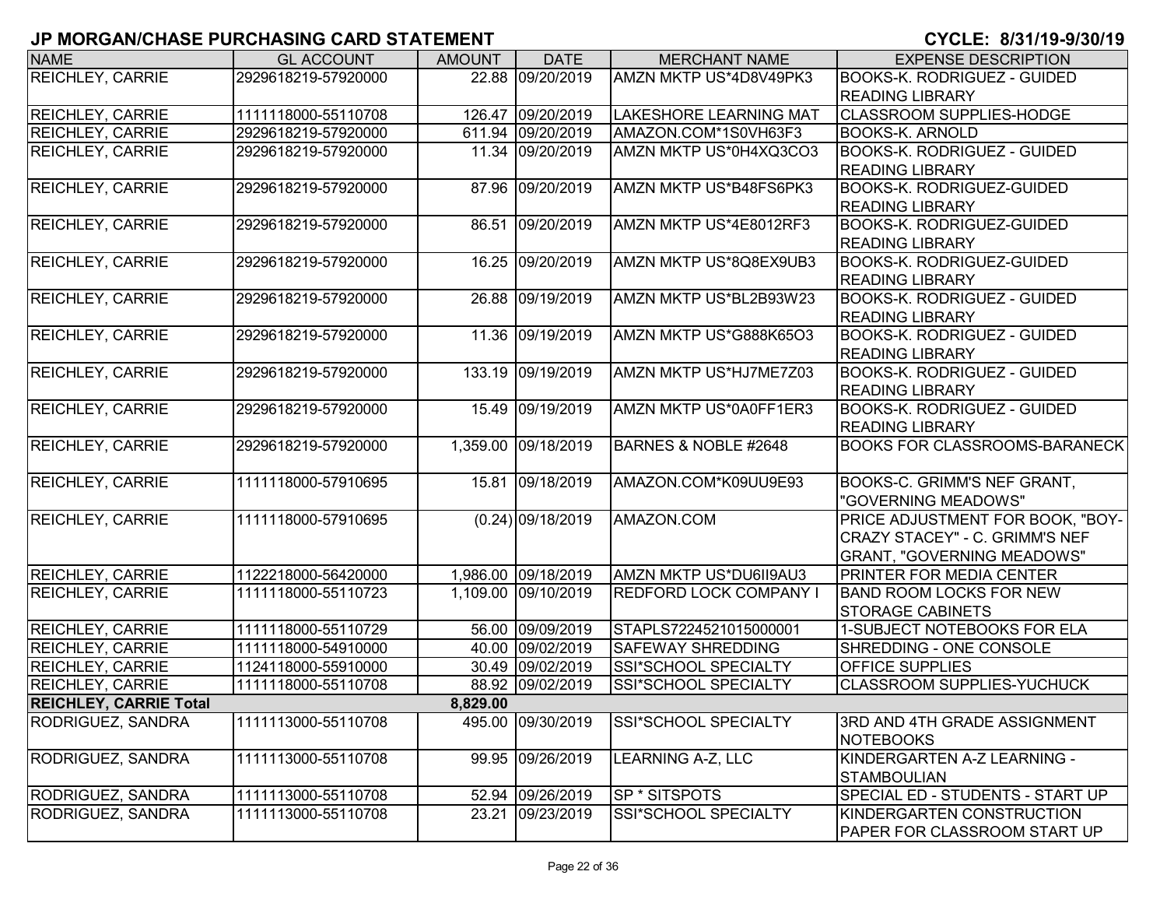| <b>NAME</b>                   | <b>GL ACCOUNT</b>   | <b>AMOUNT</b> | <b>DATE</b>         | <b>MERCHANT NAME</b>          | <b>EXPENSE DESCRIPTION</b>           |
|-------------------------------|---------------------|---------------|---------------------|-------------------------------|--------------------------------------|
| <b>REICHLEY, CARRIE</b>       | 2929618219-57920000 |               | 22.88 09/20/2019    | AMZN MKTP US*4D8V49PK3        | <b>BOOKS-K. RODRIGUEZ - GUIDED</b>   |
|                               |                     |               |                     |                               | <b>READING LIBRARY</b>               |
| <b>REICHLEY, CARRIE</b>       | 1111118000-55110708 |               | 126.47 09/20/2019   | <b>LAKESHORE LEARNING MAT</b> | <b>CLASSROOM SUPPLIES-HODGE</b>      |
| <b>REICHLEY, CARRIE</b>       | 2929618219-57920000 |               | 611.94 09/20/2019   | AMAZON.COM*1S0VH63F3          | <b>BOOKS-K. ARNOLD</b>               |
| <b>REICHLEY, CARRIE</b>       | 2929618219-57920000 | 11.34         | 09/20/2019          | AMZN MKTP US*0H4XQ3CO3        | <b>BOOKS-K. RODRIGUEZ - GUIDED</b>   |
|                               |                     |               |                     |                               | <b>READING LIBRARY</b>               |
| <b>REICHLEY, CARRIE</b>       | 2929618219-57920000 | 87.96         | 09/20/2019          | AMZN MKTP US*B48FS6PK3        | <b>BOOKS-K. RODRIGUEZ-GUIDED</b>     |
|                               |                     |               |                     |                               | <b>READING LIBRARY</b>               |
| <b>REICHLEY, CARRIE</b>       | 2929618219-57920000 |               | 86.51 09/20/2019    | AMZN MKTP US*4E8012RF3        | <b>BOOKS-K. RODRIGUEZ-GUIDED</b>     |
|                               |                     |               |                     |                               | <b>READING LIBRARY</b>               |
| <b>REICHLEY, CARRIE</b>       | 2929618219-57920000 | 16.25         | 09/20/2019          | AMZN MKTP US*8Q8EX9UB3        | <b>BOOKS-K. RODRIGUEZ-GUIDED</b>     |
|                               |                     |               |                     |                               | <b>READING LIBRARY</b>               |
| <b>REICHLEY, CARRIE</b>       | 2929618219-57920000 | 26.88         | 09/19/2019          | AMZN MKTP US*BL2B93W23        | <b>BOOKS-K. RODRIGUEZ - GUIDED</b>   |
|                               |                     |               |                     |                               | <b>READING LIBRARY</b>               |
| <b>REICHLEY, CARRIE</b>       | 2929618219-57920000 | 11.36         | 09/19/2019          | AMZN MKTP US*G888K65O3        | <b>BOOKS-K. RODRIGUEZ - GUIDED</b>   |
|                               |                     |               |                     |                               | <b>READING LIBRARY</b>               |
| <b>REICHLEY, CARRIE</b>       | 2929618219-57920000 | 133.19        | 09/19/2019          | AMZN MKTP US*HJ7ME7Z03        | <b>BOOKS-K. RODRIGUEZ - GUIDED</b>   |
|                               |                     |               |                     |                               | <b>READING LIBRARY</b>               |
| <b>REICHLEY, CARRIE</b>       | 2929618219-57920000 | 15.49         | 09/19/2019          | AMZN MKTP US*0A0FF1ER3        | <b>BOOKS-K. RODRIGUEZ - GUIDED</b>   |
|                               |                     |               |                     |                               | <b>READING LIBRARY</b>               |
| <b>REICHLEY, CARRIE</b>       | 2929618219-57920000 | 1,359.00      | 09/18/2019          | BARNES & NOBLE #2648          | <b>BOOKS FOR CLASSROOMS-BARANECK</b> |
|                               |                     |               |                     |                               |                                      |
| <b>REICHLEY, CARRIE</b>       | 1111118000-57910695 |               | 15.81 09/18/2019    | AMAZON.COM*K09UU9E93          | BOOKS-C. GRIMM'S NEF GRANT,          |
|                               |                     |               |                     |                               | "GOVERNING MEADOWS"                  |
| <b>REICHLEY, CARRIE</b>       | 1111118000-57910695 |               | $(0.24)$ 09/18/2019 | AMAZON.COM                    | PRICE ADJUSTMENT FOR BOOK, "BOY-     |
|                               |                     |               |                     |                               | CRAZY STACEY" - C. GRIMM'S NEF       |
|                               |                     |               |                     |                               | <b>GRANT, "GOVERNING MEADOWS"</b>    |
| <b>REICHLEY, CARRIE</b>       | 1122218000-56420000 |               | 1,986.00 09/18/2019 | AMZN MKTP US*DU6II9AU3        | PRINTER FOR MEDIA CENTER             |
| <b>REICHLEY, CARRIE</b>       | 1111118000-55110723 |               | 1,109.00 09/10/2019 | <b>REDFORD LOCK COMPANY I</b> | <b>BAND ROOM LOCKS FOR NEW</b>       |
|                               |                     |               |                     |                               | <b>STORAGE CABINETS</b>              |
| <b>REICHLEY, CARRIE</b>       | 1111118000-55110729 |               | 56.00 09/09/2019    | STAPLS7224521015000001        | 1-SUBJECT NOTEBOOKS FOR ELA          |
| <b>REICHLEY, CARRIE</b>       | 1111118000-54910000 |               | 40.00 09/02/2019    | <b>SAFEWAY SHREDDING</b>      | SHREDDING - ONE CONSOLE              |
| <b>REICHLEY, CARRIE</b>       | 1124118000-55910000 |               | 30.49 09/02/2019    | <b>SSI*SCHOOL SPECIALTY</b>   | <b>OFFICE SUPPLIES</b>               |
| <b>REICHLEY, CARRIE</b>       | 1111118000-55110708 |               | 88.92 09/02/2019    | SSI*SCHOOL SPECIALTY          | <b>CLASSROOM SUPPLIES-YUCHUCK</b>    |
| <b>REICHLEY, CARRIE Total</b> |                     | 8,829.00      |                     |                               |                                      |
| RODRIGUEZ, SANDRA             | 1111113000-55110708 |               | 495.00 09/30/2019   | SSI*SCHOOL SPECIALTY          | 3RD AND 4TH GRADE ASSIGNMENT         |
|                               |                     |               |                     |                               | <b>NOTEBOOKS</b>                     |
| RODRIGUEZ, SANDRA             | 1111113000-55110708 |               | 99.95 09/26/2019    | LEARNING A-Z, LLC             | KINDERGARTEN A-Z LEARNING -          |
|                               |                     |               |                     |                               | <b>STAMBOULIAN</b>                   |
| RODRIGUEZ, SANDRA             | 1111113000-55110708 |               | 52.94 09/26/2019    | SP * SITSPOTS                 | SPECIAL ED - STUDENTS - START UP     |
| RODRIGUEZ, SANDRA             | 1111113000-55110708 | 23.21         | 09/23/2019          | SSI*SCHOOL SPECIALTY          | KINDERGARTEN CONSTRUCTION            |
|                               |                     |               |                     |                               | <b>PAPER FOR CLASSROOM START UP</b>  |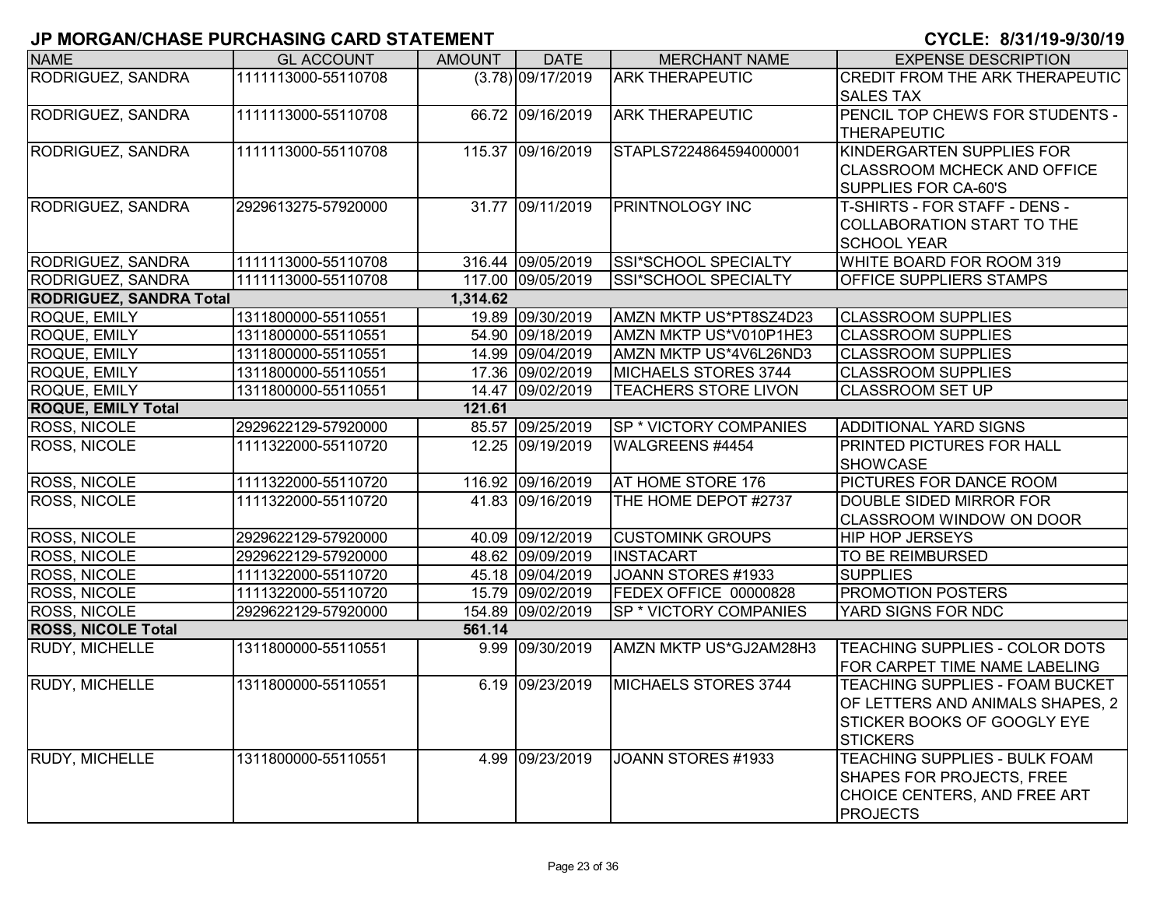| <b>NAME</b>                    | <b>GL ACCOUNT</b>   | <b>AMOUNT</b> | <b>DATE</b>         | <b>MERCHANT NAME</b>          | <b>EXPENSE DESCRIPTION</b>             |
|--------------------------------|---------------------|---------------|---------------------|-------------------------------|----------------------------------------|
| RODRIGUEZ, SANDRA              | 1111113000-55110708 |               | $(3.78)$ 09/17/2019 | <b>ARK THERAPEUTIC</b>        | <b>CREDIT FROM THE ARK THERAPEUTIC</b> |
|                                |                     |               |                     |                               | <b>SALES TAX</b>                       |
| RODRIGUEZ, SANDRA              | 1111113000-55110708 |               | 66.72 09/16/2019    | <b>ARK THERAPEUTIC</b>        | PENCIL TOP CHEWS FOR STUDENTS -        |
|                                |                     |               |                     |                               | <b>THERAPEUTIC</b>                     |
| RODRIGUEZ, SANDRA              | 1111113000-55110708 |               | 115.37 09/16/2019   | STAPLS7224864594000001        | KINDERGARTEN SUPPLIES FOR              |
|                                |                     |               |                     |                               | <b>CLASSROOM MCHECK AND OFFICE</b>     |
|                                |                     |               |                     |                               | SUPPLIES FOR CA-60'S                   |
| RODRIGUEZ, SANDRA              | 2929613275-57920000 |               | 31.77 09/11/2019    | <b>PRINTNOLOGY INC</b>        | T-SHIRTS - FOR STAFF - DENS -          |
|                                |                     |               |                     |                               | COLLABORATION START TO THE             |
|                                |                     |               |                     |                               | <b>SCHOOL YEAR</b>                     |
| RODRIGUEZ, SANDRA              | 1111113000-55110708 |               | 316.44 09/05/2019   | SSI*SCHOOL SPECIALTY          | WHITE BOARD FOR ROOM 319               |
| RODRIGUEZ, SANDRA              | 1111113000-55110708 |               | 117.00 09/05/2019   | SSI*SCHOOL SPECIALTY          | OFFICE SUPPLIERS STAMPS                |
| <b>RODRIGUEZ, SANDRA Total</b> |                     | 1,314.62      |                     |                               |                                        |
| <b>ROQUE, EMILY</b>            | 1311800000-55110551 |               | 19.89 09/30/2019    | AMZN MKTP US*PT8SZ4D23        | <b>CLASSROOM SUPPLIES</b>              |
| ROQUE, EMILY                   | 1311800000-55110551 |               | 54.90 09/18/2019    | AMZN MKTP US*V010P1HE3        | <b>CLASSROOM SUPPLIES</b>              |
| ROQUE, EMILY                   | 1311800000-55110551 |               | 14.99 09/04/2019    | AMZN MKTP US*4V6L26ND3        | <b>CLASSROOM SUPPLIES</b>              |
| <b>ROQUE, EMILY</b>            | 1311800000-55110551 |               | 17.36 09/02/2019    | MICHAELS STORES 3744          | <b>CLASSROOM SUPPLIES</b>              |
| <b>ROQUE, EMILY</b>            | 1311800000-55110551 |               | 14.47 09/02/2019    | <b>TEACHERS STORE LIVON</b>   | <b>CLASSROOM SET UP</b>                |
| <b>ROQUE, EMILY Total</b>      |                     | 121.61        |                     |                               |                                        |
| ROSS, NICOLE                   | 2929622129-57920000 |               | 85.57 09/25/2019    | <b>SP * VICTORY COMPANIES</b> | <b>ADDITIONAL YARD SIGNS</b>           |
| <b>ROSS, NICOLE</b>            | 1111322000-55110720 |               | 12.25 09/19/2019    | WALGREENS #4454               | <b>PRINTED PICTURES FOR HALL</b>       |
|                                |                     |               |                     |                               | <b>SHOWCASE</b>                        |
| <b>ROSS, NICOLE</b>            | 1111322000-55110720 |               | 116.92 09/16/2019   | AT HOME STORE 176             | PICTURES FOR DANCE ROOM                |
| <b>ROSS, NICOLE</b>            | 1111322000-55110720 |               | 41.83 09/16/2019    | THE HOME DEPOT #2737          | DOUBLE SIDED MIRROR FOR                |
|                                |                     |               |                     |                               | <b>CLASSROOM WINDOW ON DOOR</b>        |
| <b>ROSS, NICOLE</b>            | 2929622129-57920000 |               | 40.09 09/12/2019    | <b>CUSTOMINK GROUPS</b>       | <b>HIP HOP JERSEYS</b>                 |
| <b>ROSS, NICOLE</b>            | 2929622129-57920000 |               | 48.62 09/09/2019    | <b>INSTACART</b>              | <b>TO BE REIMBURSED</b>                |
| ROSS, NICOLE                   | 1111322000-55110720 |               | 45.18 09/04/2019    | JOANN STORES #1933            | <b>SUPPLIES</b>                        |
| <b>ROSS, NICOLE</b>            | 1111322000-55110720 |               | 15.79 09/02/2019    | FEDEX OFFICE 00000828         | <b>PROMOTION POSTERS</b>               |
| <b>ROSS, NICOLE</b>            | 2929622129-57920000 |               | 154.89 09/02/2019   | SP * VICTORY COMPANIES        | YARD SIGNS FOR NDC                     |
| <b>ROSS, NICOLE Total</b>      |                     | 561.14        |                     |                               |                                        |
| RUDY, MICHELLE                 | 1311800000-55110551 |               | 9.99 09/30/2019     | AMZN MKTP US*GJ2AM28H3        | TEACHING SUPPLIES - COLOR DOTS         |
|                                |                     |               |                     |                               | FOR CARPET TIME NAME LABELING          |
| <b>RUDY, MICHELLE</b>          | 1311800000-55110551 |               | 6.19 09/23/2019     | MICHAELS STORES 3744          | TEACHING SUPPLIES - FOAM BUCKET        |
|                                |                     |               |                     |                               | OF LETTERS AND ANIMALS SHAPES, 2       |
|                                |                     |               |                     |                               | STICKER BOOKS OF GOOGLY EYE            |
|                                |                     |               |                     |                               | <b>STICKERS</b>                        |
| <b>RUDY, MICHELLE</b>          | 1311800000-55110551 |               | 4.99 09/23/2019     | JOANN STORES #1933            | <b>TEACHING SUPPLIES - BULK FOAM</b>   |
|                                |                     |               |                     |                               | <b>SHAPES FOR PROJECTS, FREE</b>       |
|                                |                     |               |                     |                               | CHOICE CENTERS, AND FREE ART           |
|                                |                     |               |                     |                               | <b>PROJECTS</b>                        |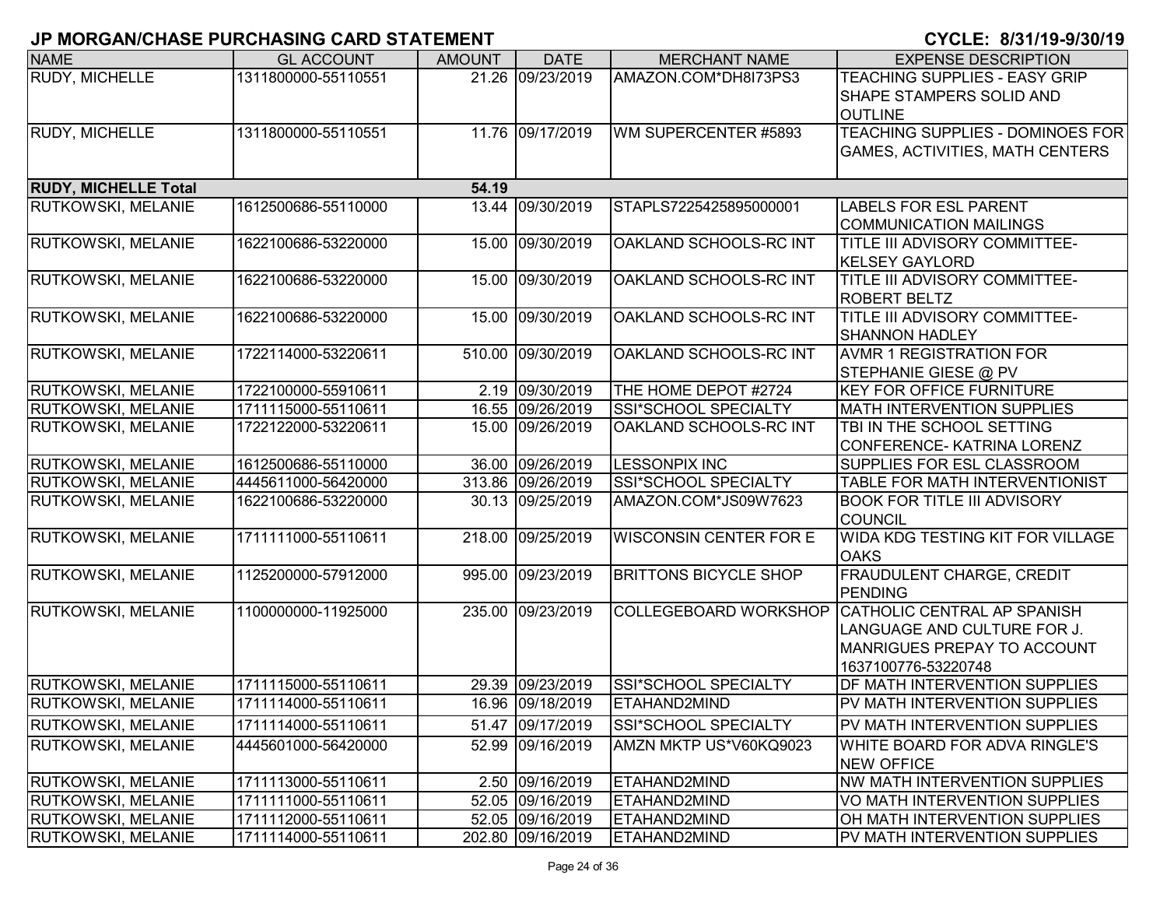| <b>NAME</b>                 | <b>GL ACCOUNT</b>   | <b>AMOUNT</b> | <b>DATE</b>       | <b>MERCHANT NAME</b>          | <b>EXPENSE DESCRIPTION</b>                        |
|-----------------------------|---------------------|---------------|-------------------|-------------------------------|---------------------------------------------------|
| <b>RUDY, MICHELLE</b>       | 1311800000-55110551 |               | 21.26 09/23/2019  | AMAZON.COM*DH8I73PS3          | TEACHING SUPPLIES - EASY GRIP                     |
|                             |                     |               |                   |                               | SHAPE STAMPERS SOLID AND                          |
|                             |                     |               |                   |                               | <b>OUTLINE</b>                                    |
| RUDY, MICHELLE              | 1311800000-55110551 |               | 11.76 09/17/2019  | WM SUPERCENTER #5893          | <b>TEACHING SUPPLIES - DOMINOES FOR</b>           |
|                             |                     |               |                   |                               | <b>GAMES, ACTIVITIES, MATH CENTERS</b>            |
|                             |                     |               |                   |                               |                                                   |
| <b>RUDY, MICHELLE Total</b> |                     | 54.19         |                   |                               |                                                   |
| RUTKOWSKI, MELANIE          | 1612500686-55110000 |               | 13.44 09/30/2019  | STAPLS7225425895000001        | <b>LABELS FOR ESL PARENT</b>                      |
|                             |                     |               |                   |                               | <b>COMMUNICATION MAILINGS</b>                     |
| RUTKOWSKI, MELANIE          | 1622100686-53220000 |               | 15.00 09/30/2019  | OAKLAND SCHOOLS-RC INT        | <b>TITLE III ADVISORY COMMITTEE-</b>              |
|                             |                     |               |                   |                               | <b>KELSEY GAYLORD</b>                             |
| RUTKOWSKI, MELANIE          | 1622100686-53220000 |               | 15.00 09/30/2019  | OAKLAND SCHOOLS-RC INT        | <b>TITLE III ADVISORY COMMITTEE-</b>              |
|                             |                     |               |                   |                               | <b>ROBERT BELTZ</b>                               |
| RUTKOWSKI, MELANIE          | 1622100686-53220000 |               | 15.00 09/30/2019  | OAKLAND SCHOOLS-RC INT        | TITLE III ADVISORY COMMITTEE-                     |
|                             |                     |               |                   |                               | <b>SHANNON HADLEY</b>                             |
| RUTKOWSKI, MELANIE          | 1722114000-53220611 |               | 510.00 09/30/2019 | OAKLAND SCHOOLS-RC INT        | <b>AVMR 1 REGISTRATION FOR</b>                    |
|                             |                     |               |                   |                               | STEPHANIE GIESE @ PV                              |
| RUTKOWSKI, MELANIE          | 1722100000-55910611 |               | 2.19 09/30/2019   | THE HOME DEPOT #2724          | <b>KEY FOR OFFICE FURNITURE</b>                   |
| RUTKOWSKI, MELANIE          | 1711115000-55110611 |               | 16.55 09/26/2019  | SSI*SCHOOL SPECIALTY          | <b>MATH INTERVENTION SUPPLIES</b>                 |
| <b>RUTKOWSKI, MELANIE</b>   | 1722122000-53220611 |               | 15.00 09/26/2019  | OAKLAND SCHOOLS-RC INT        | TBI IN THE SCHOOL SETTING                         |
|                             |                     |               |                   |                               | CONFERENCE- KATRINA LORENZ                        |
| RUTKOWSKI, MELANIE          | 1612500686-55110000 |               | 36.00 09/26/2019  | <b>LESSONPIX INC</b>          | SUPPLIES FOR ESL CLASSROOM                        |
| <b>RUTKOWSKI, MELANIE</b>   | 4445611000-56420000 |               | 313.86 09/26/2019 | SSI*SCHOOL SPECIALTY          | TABLE FOR MATH INTERVENTIONIST                    |
| <b>RUTKOWSKI, MELANIE</b>   | 1622100686-53220000 |               | 30.13 09/25/2019  | AMAZON.COM*JS09W7623          | <b>BOOK FOR TITLE III ADVISORY</b>                |
|                             |                     |               |                   |                               | <b>COUNCIL</b>                                    |
| RUTKOWSKI, MELANIE          | 1711111000-55110611 |               | 218.00 09/25/2019 | <b>WISCONSIN CENTER FOR E</b> | <b>WIDA KDG TESTING KIT FOR VILLAGE</b>           |
|                             |                     |               |                   |                               | <b>OAKS</b>                                       |
| RUTKOWSKI, MELANIE          | 1125200000-57912000 |               | 995.00 09/23/2019 | <b>BRITTONS BICYCLE SHOP</b>  | FRAUDULENT CHARGE, CREDIT                         |
|                             |                     |               |                   |                               | PENDING                                           |
| RUTKOWSKI, MELANIE          | 1100000000-11925000 |               | 235.00 09/23/2019 |                               | COLLEGEBOARD WORKSHOP CATHOLIC CENTRAL AP SPANISH |
|                             |                     |               |                   |                               | LANGUAGE AND CULTURE FOR J.                       |
|                             |                     |               |                   |                               | MANRIGUES PREPAY TO ACCOUNT                       |
|                             |                     |               |                   |                               | 1637100776-53220748                               |
| <b>RUTKOWSKI, MELANIE</b>   | 1711115000-55110611 |               | 29.39 09/23/2019  | SSI*SCHOOL SPECIALTY          | DF MATH INTERVENTION SUPPLIES                     |
| RUTKOWSKI, MELANIE          | 1711114000-55110611 |               | 16.96 09/18/2019  | ETAHAND2MIND                  | PV MATH INTERVENTION SUPPLIES                     |
| <b>RUTKOWSKI, MELANIE</b>   | 1711114000-55110611 |               | 51.47 09/17/2019  | SSI*SCHOOL SPECIALTY          | PV MATH INTERVENTION SUPPLIES                     |
| <b>RUTKOWSKI, MELANIE</b>   | 4445601000-56420000 |               | 52.99 09/16/2019  | AMZN MKTP US*V60KQ9023        | <b>WHITE BOARD FOR ADVA RINGLE'S</b>              |
|                             |                     |               |                   |                               | <b>NEW OFFICE</b>                                 |
| <b>RUTKOWSKI, MELANIE</b>   | 1711113000-55110611 |               | 2.50 09/16/2019   | ETAHAND2MIND                  | <b>NW MATH INTERVENTION SUPPLIES</b>              |
| <b>RUTKOWSKI, MELANIE</b>   | 1711111000-55110611 |               | 52.05 09/16/2019  | ETAHAND2MIND                  | VO MATH INTERVENTION SUPPLIES                     |
| <b>RUTKOWSKI, MELANIE</b>   | 1711112000-55110611 |               | 52.05 09/16/2019  | ETAHAND2MIND                  | OH MATH INTERVENTION SUPPLIES                     |
| <b>RUTKOWSKI, MELANIE</b>   | 1711114000-55110611 |               | 202.80 09/16/2019 | ETAHAND2MIND                  | PV MATH INTERVENTION SUPPLIES                     |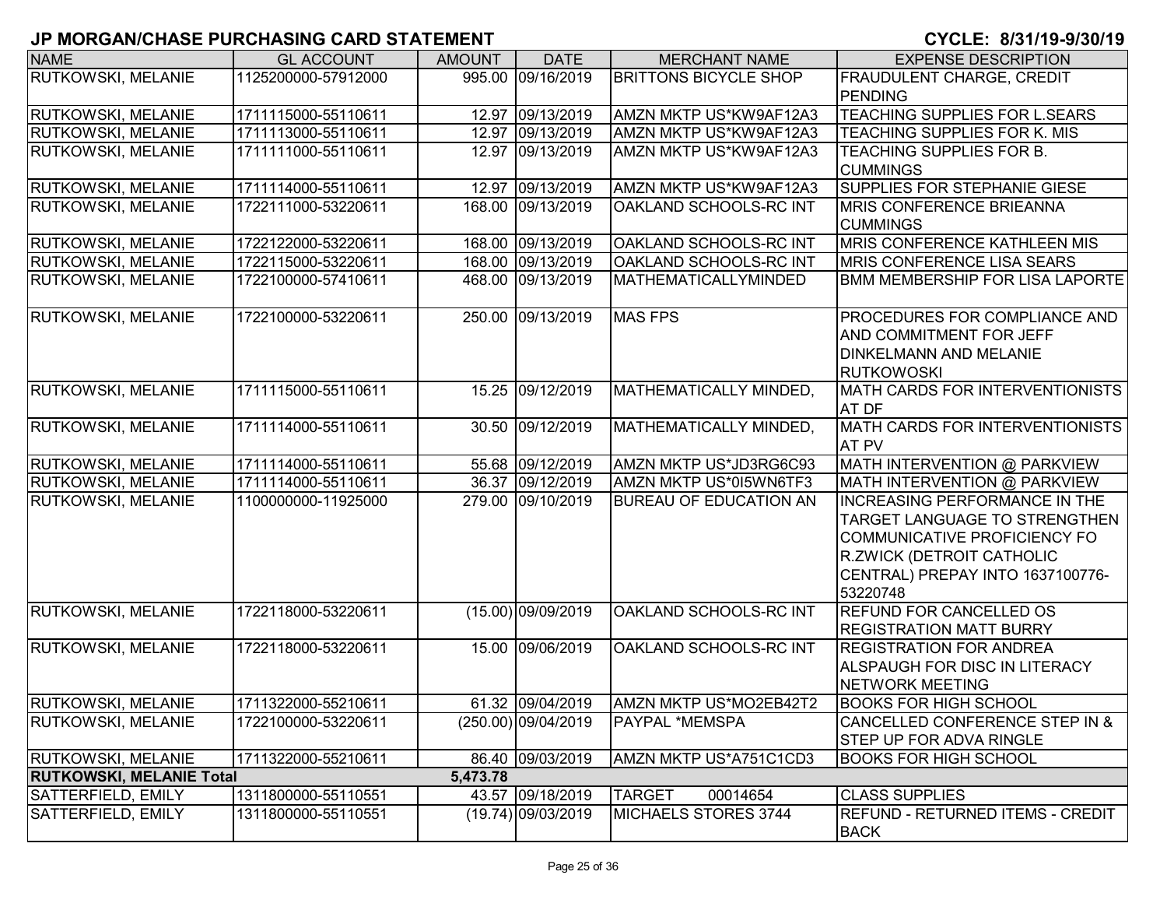| <b>NAME</b>                     | <b>GL ACCOUNT</b>   | <b>AMOUNT</b> | <b>DATE</b>          | <b>MERCHANT NAME</b>          | <b>EXPENSE DESCRIPTION</b>              |
|---------------------------------|---------------------|---------------|----------------------|-------------------------------|-----------------------------------------|
| <b>RUTKOWSKI, MELANIE</b>       | 1125200000-57912000 |               | 995.00 09/16/2019    | <b>BRITTONS BICYCLE SHOP</b>  | <b>FRAUDULENT CHARGE, CREDIT</b>        |
|                                 |                     |               |                      |                               | <b>PENDING</b>                          |
| <b>RUTKOWSKI, MELANIE</b>       | 1711115000-55110611 |               | 12.97 09/13/2019     | AMZN MKTP US*KW9AF12A3        | <b>TEACHING SUPPLIES FOR L.SEARS</b>    |
| <b>RUTKOWSKI, MELANIE</b>       | 1711113000-55110611 |               | 12.97 09/13/2019     | AMZN MKTP US*KW9AF12A3        | TEACHING SUPPLIES FOR K. MIS            |
| <b>RUTKOWSKI, MELANIE</b>       | 1711111000-55110611 |               | 12.97 09/13/2019     | AMZN MKTP US*KW9AF12A3        | TEACHING SUPPLIES FOR B.                |
|                                 |                     |               |                      |                               | <b>CUMMINGS</b>                         |
| <b>RUTKOWSKI, MELANIE</b>       | 1711114000-55110611 |               | 12.97 09/13/2019     | AMZN MKTP US*KW9AF12A3        | SUPPLIES FOR STEPHANIE GIESE            |
| <b>RUTKOWSKI, MELANIE</b>       | 1722111000-53220611 |               | 168.00 09/13/2019    | OAKLAND SCHOOLS-RC INT        | <b>MRIS CONFERENCE BRIEANNA</b>         |
|                                 |                     |               |                      |                               | <b>CUMMINGS</b>                         |
| RUTKOWSKI, MELANIE              | 1722122000-53220611 |               | 168.00 09/13/2019    | OAKLAND SCHOOLS-RC INT        | <b>MRIS CONFERENCE KATHLEEN MIS</b>     |
| RUTKOWSKI, MELANIE              | 1722115000-53220611 |               | 168.00 09/13/2019    | OAKLAND SCHOOLS-RC INT        | <b>MRIS CONFERENCE LISA SEARS</b>       |
| <b>RUTKOWSKI, MELANIE</b>       | 1722100000-57410611 |               | 468.00 09/13/2019    | MATHEMATICALLYMINDED          | <b>BMM MEMBERSHIP FOR LISA LAPORTE</b>  |
| <b>RUTKOWSKI, MELANIE</b>       | 1722100000-53220611 |               | 250.00 09/13/2019    | <b>MAS FPS</b>                | PROCEDURES FOR COMPLIANCE AND           |
|                                 |                     |               |                      |                               | AND COMMITMENT FOR JEFF                 |
|                                 |                     |               |                      |                               | <b>DINKELMANN AND MELANIE</b>           |
|                                 |                     |               |                      |                               | <b>RUTKOWOSKI</b>                       |
| <b>RUTKOWSKI, MELANIE</b>       | 1711115000-55110611 |               | 15.25 09/12/2019     | MATHEMATICALLY MINDED,        | MATH CARDS FOR INTERVENTIONISTS         |
|                                 |                     |               |                      |                               | AT DF                                   |
| <b>RUTKOWSKI, MELANIE</b>       | 1711114000-55110611 |               | 30.50 09/12/2019     | MATHEMATICALLY MINDED,        | MATH CARDS FOR INTERVENTIONISTS         |
|                                 |                     |               |                      |                               | <b>AT PV</b>                            |
| <b>RUTKOWSKI, MELANIE</b>       | 1711114000-55110611 |               | 55.68 09/12/2019     | AMZN MKTP US*JD3RG6C93        | MATH INTERVENTION @ PARKVIEW            |
| <b>RUTKOWSKI, MELANIE</b>       | 1711114000-55110611 |               | 36.37 09/12/2019     | AMZN MKTP US*015WN6TF3        | MATH INTERVENTION @ PARKVIEW            |
| <b>RUTKOWSKI, MELANIE</b>       | 1100000000-11925000 |               | 279.00 09/10/2019    | <b>BUREAU OF EDUCATION AN</b> | <b>INCREASING PERFORMANCE IN THE</b>    |
|                                 |                     |               |                      |                               | TARGET LANGUAGE TO STRENGTHEN           |
|                                 |                     |               |                      |                               | COMMUNICATIVE PROFICIENCY FO            |
|                                 |                     |               |                      |                               | R.ZWICK (DETROIT CATHOLIC               |
|                                 |                     |               |                      |                               | CENTRAL) PREPAY INTO 1637100776-        |
|                                 |                     |               |                      |                               | 53220748                                |
| <b>RUTKOWSKI, MELANIE</b>       | 1722118000-53220611 |               | (15.00) 09/09/2019   | OAKLAND SCHOOLS-RC INT        | <b>REFUND FOR CANCELLED OS</b>          |
|                                 |                     |               |                      |                               | <b>REGISTRATION MATT BURRY</b>          |
| <b>RUTKOWSKI, MELANIE</b>       | 1722118000-53220611 |               | 15.00 09/06/2019     | OAKLAND SCHOOLS-RC INT        | <b>REGISTRATION FOR ANDREA</b>          |
|                                 |                     |               |                      |                               | <b>ALSPAUGH FOR DISC IN LITERACY</b>    |
|                                 |                     |               |                      |                               | <b>NETWORK MEETING</b>                  |
| <b>RUTKOWSKI, MELANIE</b>       | 1711322000-55210611 |               | 61.32 09/04/2019     | AMZN MKTP US*MO2EB42T2        | <b>BOOKS FOR HIGH SCHOOL</b>            |
| <b>RUTKOWSKI, MELANIE</b>       | 1722100000-53220611 |               | (250.00) 09/04/2019  | PAYPAL *MEMSPA                | CANCELLED CONFERENCE STEP IN &          |
|                                 |                     |               |                      |                               | <b>STEP UP FOR ADVA RINGLE</b>          |
| <b>RUTKOWSKI, MELANIE</b>       | 1711322000-55210611 |               | 86.40 09/03/2019     | AMZN MKTP US*A751C1CD3        | <b>BOOKS FOR HIGH SCHOOL</b>            |
| <b>RUTKOWSKI, MELANIE Total</b> |                     | 5,473.78      |                      |                               |                                         |
| SATTERFIELD, EMILY              | 1311800000-55110551 |               | 43.57 09/18/2019     | <b>TARGET</b><br>00014654     | <b>CLASS SUPPLIES</b>                   |
| SATTERFIELD, EMILY              | 1311800000-55110551 |               | $(19.74)$ 09/03/2019 | MICHAELS STORES 3744          | <b>REFUND - RETURNED ITEMS - CREDIT</b> |
|                                 |                     |               |                      |                               | <b>BACK</b>                             |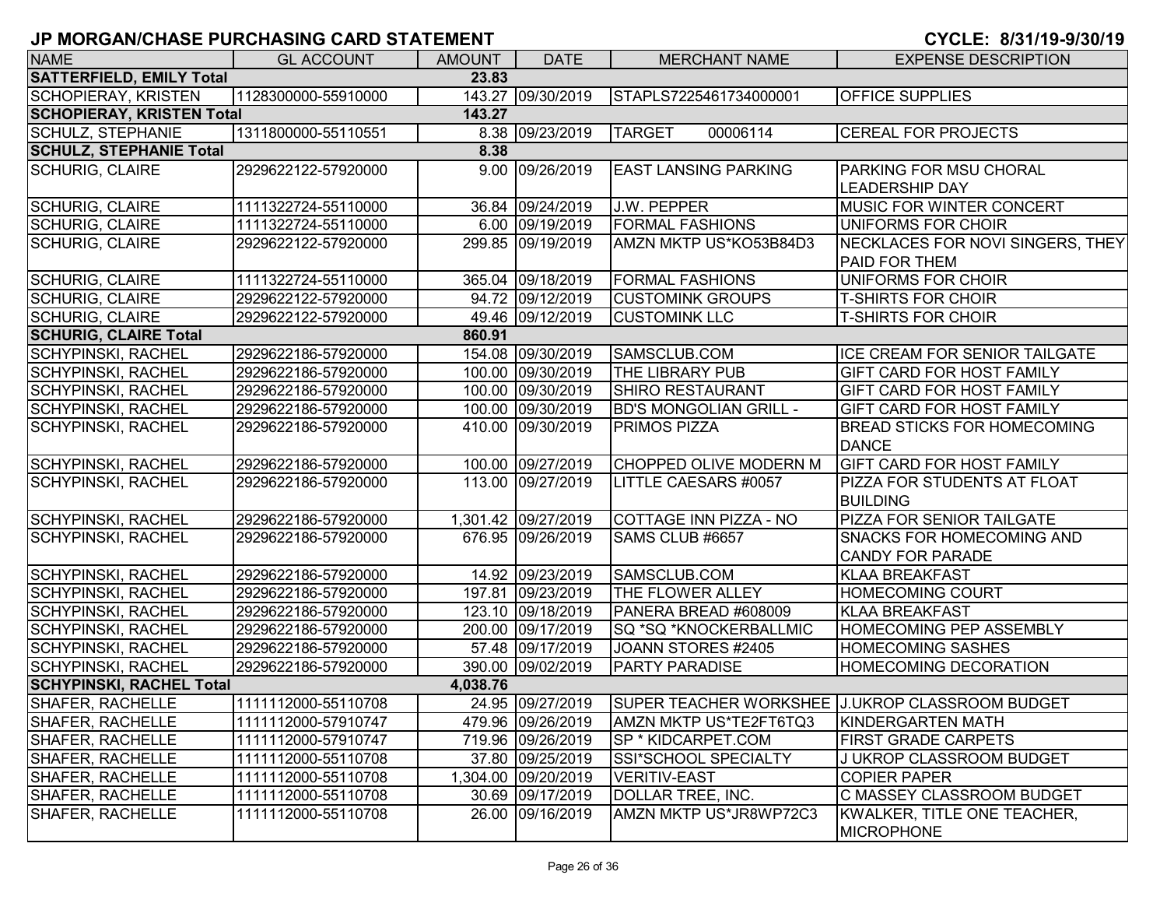# **JP MORGAN/CHASE PURCHASING CARD STATEMENT CYCLE: 8/31/19-9/30/1**

|  |  |  |  | CYCLE: 8/31/19-9/30/19 |  |
|--|--|--|--|------------------------|--|
|--|--|--|--|------------------------|--|

| <b>NAME</b>                              | <b>GL ACCOUNT</b>   | <b>AMOUNT</b> | <b>DATE</b>         | <b>MERCHANT NAME</b>          | <b>EXPENSE DESCRIPTION</b>                                       |  |  |  |
|------------------------------------------|---------------------|---------------|---------------------|-------------------------------|------------------------------------------------------------------|--|--|--|
| <b>SATTERFIELD, EMILY Total</b><br>23.83 |                     |               |                     |                               |                                                                  |  |  |  |
| <b>SCHOPIERAY, KRISTEN</b>               | 1128300000-55910000 |               | 143.27 09/30/2019   | STAPLS7225461734000001        | <b>OFFICE SUPPLIES</b>                                           |  |  |  |
| <b>SCHOPIERAY, KRISTEN Total</b>         |                     | 143.27        |                     |                               |                                                                  |  |  |  |
| <b>SCHULZ, STEPHANIE</b>                 | 1311800000-55110551 |               | 8.38 09/23/2019     | <b>TARGET</b><br>00006114     | <b>CEREAL FOR PROJECTS</b>                                       |  |  |  |
| <b>SCHULZ, STEPHANIE Total</b>           |                     | 8.38          |                     |                               |                                                                  |  |  |  |
| <b>SCHURIG, CLAIRE</b>                   | 2929622122-57920000 |               | 9.00 09/26/2019     | <b>EAST LANSING PARKING</b>   | <b>PARKING FOR MSU CHORAL</b>                                    |  |  |  |
|                                          |                     |               |                     |                               | <b>LEADERSHIP DAY</b>                                            |  |  |  |
| <b>SCHURIG, CLAIRE</b>                   | 1111322724-55110000 |               | 36.84 09/24/2019    | <b>J.W. PEPPER</b>            | <b>MUSIC FOR WINTER CONCERT</b>                                  |  |  |  |
| <b>SCHURIG, CLAIRE</b>                   | 1111322724-55110000 |               | 6.00 09/19/2019     | <b>FORMAL FASHIONS</b>        | UNIFORMS FOR CHOIR                                               |  |  |  |
| <b>SCHURIG, CLAIRE</b>                   | 2929622122-57920000 |               | 299.85 09/19/2019   | AMZN MKTP US*KO53B84D3        | NECKLACES FOR NOVI SINGERS, THEY                                 |  |  |  |
|                                          |                     |               |                     |                               | <b>PAID FOR THEM</b>                                             |  |  |  |
| <b>SCHURIG, CLAIRE</b>                   | 1111322724-55110000 |               | 365.04 09/18/2019   | <b>FORMAL FASHIONS</b>        | UNIFORMS FOR CHOIR                                               |  |  |  |
| <b>SCHURIG, CLAIRE</b>                   | 2929622122-57920000 |               | 94.72 09/12/2019    | <b>CUSTOMINK GROUPS</b>       | <b>T-SHIRTS FOR CHOIR</b>                                        |  |  |  |
| <b>SCHURIG, CLAIRE</b>                   | 2929622122-57920000 |               | 49.46 09/12/2019    | <b>CUSTOMINK LLC</b>          | <b>T-SHIRTS FOR CHOIR</b>                                        |  |  |  |
| <b>SCHURIG, CLAIRE Total</b>             |                     | 860.91        |                     |                               |                                                                  |  |  |  |
| <b>SCHYPINSKI, RACHEL</b>                | 2929622186-57920000 |               | 154.08 09/30/2019   | SAMSCLUB.COM                  | ICE CREAM FOR SENIOR TAILGATE                                    |  |  |  |
| <b>SCHYPINSKI, RACHEL</b>                | 2929622186-57920000 |               | 100.00 09/30/2019   | <b>THE LIBRARY PUB</b>        | <b>GIFT CARD FOR HOST FAMILY</b>                                 |  |  |  |
| <b>SCHYPINSKI, RACHEL</b>                | 2929622186-57920000 |               | 100.00 09/30/2019   | <b>SHIRO RESTAURANT</b>       | <b>GIFT CARD FOR HOST FAMILY</b>                                 |  |  |  |
| <b>SCHYPINSKI, RACHEL</b>                | 2929622186-57920000 |               | 100.00 09/30/2019   | <b>BD'S MONGOLIAN GRILL -</b> | <b>GIFT CARD FOR HOST FAMILY</b>                                 |  |  |  |
| <b>SCHYPINSKI, RACHEL</b>                | 2929622186-57920000 |               | 410.00 09/30/2019   | <b>PRIMOS PIZZA</b>           | <b>BREAD STICKS FOR HOMECOMING</b>                               |  |  |  |
|                                          |                     |               |                     |                               | <b>DANCE</b>                                                     |  |  |  |
| <b>SCHYPINSKI, RACHEL</b>                | 2929622186-57920000 |               | 100.00 09/27/2019   | <b>CHOPPED OLIVE MODERN M</b> | <b>GIFT CARD FOR HOST FAMILY</b>                                 |  |  |  |
| <b>SCHYPINSKI, RACHEL</b>                | 2929622186-57920000 |               | 113.00 09/27/2019   | LITTLE CAESARS #0057          | PIZZA FOR STUDENTS AT FLOAT                                      |  |  |  |
|                                          |                     |               |                     |                               | <b>BUILDING</b>                                                  |  |  |  |
| <b>SCHYPINSKI, RACHEL</b>                | 2929622186-57920000 |               | 1,301.42 09/27/2019 | COTTAGE INN PIZZA - NO        | <b>PIZZA FOR SENIOR TAILGATE</b>                                 |  |  |  |
| <b>SCHYPINSKI, RACHEL</b>                | 2929622186-57920000 |               | 676.95 09/26/2019   | SAMS CLUB #6657               | <b>SNACKS FOR HOMECOMING AND</b>                                 |  |  |  |
|                                          |                     |               |                     |                               | <b>CANDY FOR PARADE</b>                                          |  |  |  |
| <b>SCHYPINSKI, RACHEL</b>                | 2929622186-57920000 |               | 14.92 09/23/2019    | SAMSCLUB.COM                  | <b>KLAA BREAKFAST</b>                                            |  |  |  |
| <b>SCHYPINSKI, RACHEL</b>                | 2929622186-57920000 |               | 197.81 09/23/2019   | <b>THE FLOWER ALLEY</b>       | <b>HOMECOMING COURT</b>                                          |  |  |  |
| <b>SCHYPINSKI, RACHEL</b>                | 2929622186-57920000 |               | 123.10 09/18/2019   | PANERA BREAD #608009          | <b>KLAA BREAKFAST</b>                                            |  |  |  |
| <b>SCHYPINSKI, RACHEL</b>                | 2929622186-57920000 |               | 200.00 09/17/2019   | SQ *SQ *KNOCKERBALLMIC        | HOMECOMING PEP ASSEMBLY                                          |  |  |  |
| <b>SCHYPINSKI, RACHEL</b>                | 2929622186-57920000 |               | 57.48 09/17/2019    | JOANN STORES #2405            | <b>HOMECOMING SASHES</b>                                         |  |  |  |
| <b>SCHYPINSKI, RACHEL</b>                | 2929622186-57920000 |               | 390.00 09/02/2019   | <b>PARTY PARADISE</b>         | HOMECOMING DECORATION                                            |  |  |  |
| <b>SCHYPINSKI, RACHEL Total</b>          |                     | 4,038.76      |                     |                               |                                                                  |  |  |  |
| SHAFER, RACHELLE                         | 1111112000-55110708 |               |                     |                               | 24.95 09/27/2019 SUPER TEACHER WORKSHEE J.UKROP CLASSROOM BUDGET |  |  |  |
| SHAFER, RACHELLE                         | 1111112000-57910747 |               | 479.96 09/26/2019   | AMZN MKTP US*TE2FT6TQ3        | KINDERGARTEN MATH                                                |  |  |  |
| <b>SHAFER, RACHELLE</b>                  | 1111112000-57910747 |               | 719.96 09/26/2019   | SP * KIDCARPET.COM            | <b>FIRST GRADE CARPETS</b>                                       |  |  |  |
| <b>SHAFER, RACHELLE</b>                  | 1111112000-55110708 |               | 37.80 09/25/2019    | SSI*SCHOOL SPECIALTY          | J UKROP CLASSROOM BUDGET                                         |  |  |  |
| <b>SHAFER, RACHELLE</b>                  | 1111112000-55110708 |               | 1,304.00 09/20/2019 | <b>VERITIV-EAST</b>           | <b>COPIER PAPER</b>                                              |  |  |  |
| <b>SHAFER, RACHELLE</b>                  | 1111112000-55110708 |               | 30.69 09/17/2019    | DOLLAR TREE, INC.             | C MASSEY CLASSROOM BUDGET                                        |  |  |  |
| <b>SHAFER, RACHELLE</b>                  | 1111112000-55110708 |               | 26.00 09/16/2019    | AMZN MKTP US*JR8WP72C3        | KWALKER, TITLE ONE TEACHER,                                      |  |  |  |
|                                          |                     |               |                     |                               | <b>MICROPHONE</b>                                                |  |  |  |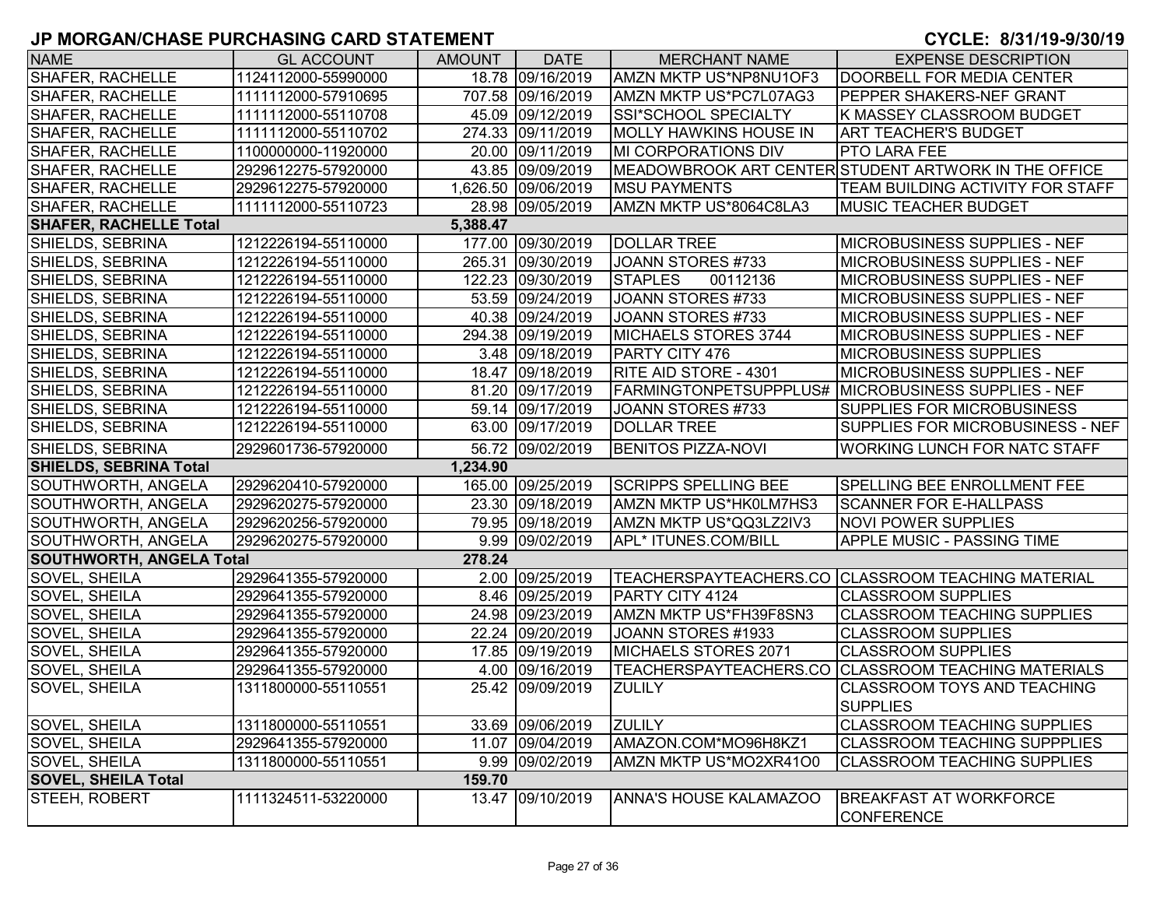#### **9**

| <b>NAME</b>                     | <b>GL ACCOUNT</b>   | <b>AMOUNT</b> | <b>DATE</b>         | <b>MERCHANT NAME</b>          | <b>EXPENSE DESCRIPTION</b>                           |
|---------------------------------|---------------------|---------------|---------------------|-------------------------------|------------------------------------------------------|
| SHAFER, RACHELLE                | 1124112000-55990000 |               | 18.78 09/16/2019    | AMZN MKTP US*NP8NU1OF3        | DOORBELL FOR MEDIA CENTER                            |
| <b>SHAFER, RACHELLE</b>         | 1111112000-57910695 |               | 707.58 09/16/2019   | AMZN MKTP US*PC7L07AG3        | <b>PEPPER SHAKERS-NEF GRANT</b>                      |
| <b>SHAFER, RACHELLE</b>         | 1111112000-55110708 |               | 45.09 09/12/2019    | <b>SSI*SCHOOL SPECIALTY</b>   | K MASSEY CLASSROOM BUDGET                            |
| <b>SHAFER, RACHELLE</b>         | 1111112000-55110702 |               | 274.33 09/11/2019   | <b>MOLLY HAWKINS HOUSE IN</b> | <b>ART TEACHER'S BUDGET</b>                          |
| <b>SHAFER, RACHELLE</b>         | 1100000000-11920000 |               | 20.00 09/11/2019    | <b>MI CORPORATIONS DIV</b>    | <b>PTO LARA FEE</b>                                  |
| <b>SHAFER, RACHELLE</b>         | 2929612275-57920000 |               | 43.85 09/09/2019    |                               | MEADOWBROOK ART CENTER STUDENT ARTWORK IN THE OFFICE |
| SHAFER, RACHELLE                | 2929612275-57920000 |               | 1,626.50 09/06/2019 | <b>MSU PAYMENTS</b>           | ITEAM BUILDING ACTIVITY FOR STAFF                    |
| <b>SHAFER, RACHELLE</b>         | 1111112000-55110723 |               | 28.98 09/05/2019    | AMZN MKTP US*8064C8LA3        | <b>MUSIC TEACHER BUDGET</b>                          |
| <b>SHAFER, RACHELLE Total</b>   |                     | 5,388.47      |                     |                               |                                                      |
| SHIELDS, SEBRINA                | 1212226194-55110000 |               | 177.00 09/30/2019   | <b>DOLLAR TREE</b>            | <b>MICROBUSINESS SUPPLIES - NEF</b>                  |
| SHIELDS, SEBRINA                | 1212226194-55110000 |               | 265.31 09/30/2019   | JOANN STORES #733             | <b>MICROBUSINESS SUPPLIES - NEF</b>                  |
| SHIELDS, SEBRINA                | 1212226194-55110000 |               | 122.23 09/30/2019   | <b>STAPLES</b><br>00112136    | <b>MICROBUSINESS SUPPLIES - NEF</b>                  |
| <b>SHIELDS, SEBRINA</b>         | 1212226194-55110000 |               | 53.59 09/24/2019    | JOANN STORES #733             | <b>MICROBUSINESS SUPPLIES - NEF</b>                  |
| <b>SHIELDS, SEBRINA</b>         | 1212226194-55110000 |               | 40.38 09/24/2019    | JOANN STORES #733             | <b>MICROBUSINESS SUPPLIES - NEF</b>                  |
| SHIELDS, SEBRINA                | 1212226194-55110000 |               | 294.38 09/19/2019   | MICHAELS STORES 3744          | <b>MICROBUSINESS SUPPLIES - NEF</b>                  |
| <b>SHIELDS, SEBRINA</b>         | 1212226194-55110000 |               | 3.48 09/18/2019     | PARTY CITY 476                | <b>MICROBUSINESS SUPPLIES</b>                        |
| SHIELDS, SEBRINA                | 1212226194-55110000 |               | 18.47 09/18/2019    | <b>RITE AID STORE - 4301</b>  | <b>MICROBUSINESS SUPPLIES - NEF</b>                  |
| SHIELDS, SEBRINA                | 1212226194-55110000 |               | 81.20 09/17/2019    |                               | FARMINGTONPETSUPPPLUS# MICROBUSINESS SUPPLIES - NEF  |
| SHIELDS, SEBRINA                | 1212226194-55110000 |               | 59.14 09/17/2019    | JOANN STORES #733             | <b>SUPPLIES FOR MICROBUSINESS</b>                    |
| SHIELDS, SEBRINA                | 1212226194-55110000 |               | 63.00 09/17/2019    | <b>DOLLAR TREE</b>            | SUPPLIES FOR MICROBUSINESS - NEF                     |
| SHIELDS, SEBRINA                | 2929601736-57920000 |               | 56.72 09/02/2019    | <b>BENITOS PIZZA-NOVI</b>     | <b>WORKING LUNCH FOR NATC STAFF</b>                  |
| <b>SHIELDS, SEBRINA Total</b>   |                     | 1,234.90      |                     |                               |                                                      |
| SOUTHWORTH, ANGELA              | 2929620410-57920000 |               | 165.00 09/25/2019   | <b>SCRIPPS SPELLING BEE</b>   | <b>SPELLING BEE ENROLLMENT FEE</b>                   |
| SOUTHWORTH, ANGELA              | 2929620275-57920000 |               | 23.30 09/18/2019    | AMZN MKTP US*HK0LM7HS3        | <b>SCANNER FOR E-HALLPASS</b>                        |
| SOUTHWORTH, ANGELA              | 2929620256-57920000 |               | 79.95 09/18/2019    | AMZN MKTP US*QQ3LZ2IV3        | <b>NOVI POWER SUPPLIES</b>                           |
| SOUTHWORTH, ANGELA              | 2929620275-57920000 |               | 9.99 09/02/2019     | APL* ITUNES.COM/BILL          | <b>APPLE MUSIC - PASSING TIME</b>                    |
| <b>SOUTHWORTH, ANGELA Total</b> |                     | 278.24        |                     |                               |                                                      |
| <b>SOVEL, SHEILA</b>            | 2929641355-57920000 |               | 2.00 09/25/2019     |                               | TEACHERSPAYTEACHERS.CO CLASSROOM TEACHING MATERIAL   |
| SOVEL, SHEILA                   | 2929641355-57920000 |               | 8.46 09/25/2019     | PARTY CITY 4124               | <b>CLASSROOM SUPPLIES</b>                            |
| SOVEL, SHEILA                   | 2929641355-57920000 |               | 24.98 09/23/2019    | AMZN MKTP US*FH39F8SN3        | <b>CLASSROOM TEACHING SUPPLIES</b>                   |
| SOVEL, SHEILA                   | 2929641355-57920000 |               | 22.24 09/20/2019    | JOANN STORES #1933            | <b>CLASSROOM SUPPLIES</b>                            |
| SOVEL, SHEILA                   | 2929641355-57920000 |               | 17.85 09/19/2019    | MICHAELS STORES 2071          | <b>CLASSROOM SUPPLIES</b>                            |
| SOVEL, SHEILA                   | 2929641355-57920000 |               | 4.00 09/16/2019     | TEACHERSPAYTEACHERS.CO        | <b>CLASSROOM TEACHING MATERIALS</b>                  |
| <b>SOVEL, SHEILA</b>            | 1311800000-55110551 |               | 25.42 09/09/2019    | <b>ZULILY</b>                 | <b>CLASSROOM TOYS AND TEACHING</b>                   |
|                                 |                     |               |                     |                               | <b>SUPPLIES</b>                                      |
| SOVEL, SHEILA                   | 1311800000-55110551 |               | 33.69 09/06/2019    | <b>ZULILY</b>                 | <b>CLASSROOM TEACHING SUPPLIES</b>                   |
| <b>SOVEL, SHEILA</b>            | 2929641355-57920000 |               | 11.07 09/04/2019    | AMAZON.COM*MO96H8KZ1          | <b>CLASSROOM TEACHING SUPPPLIES</b>                  |
| <b>SOVEL, SHEILA</b>            | 1311800000-55110551 |               | 9.99 09/02/2019     | AMZN MKTP US*MO2XR41O0        | <b>CLASSROOM TEACHING SUPPLIES</b>                   |
| <b>SOVEL, SHEILA Total</b>      |                     | 159.70        |                     |                               |                                                      |
| STEEH, ROBERT                   | 1111324511-53220000 |               | 13.47 09/10/2019    | <b>ANNA'S HOUSE KALAMAZOO</b> | <b>BREAKFAST AT WORKFORCE</b><br><b>CONFERENCE</b>   |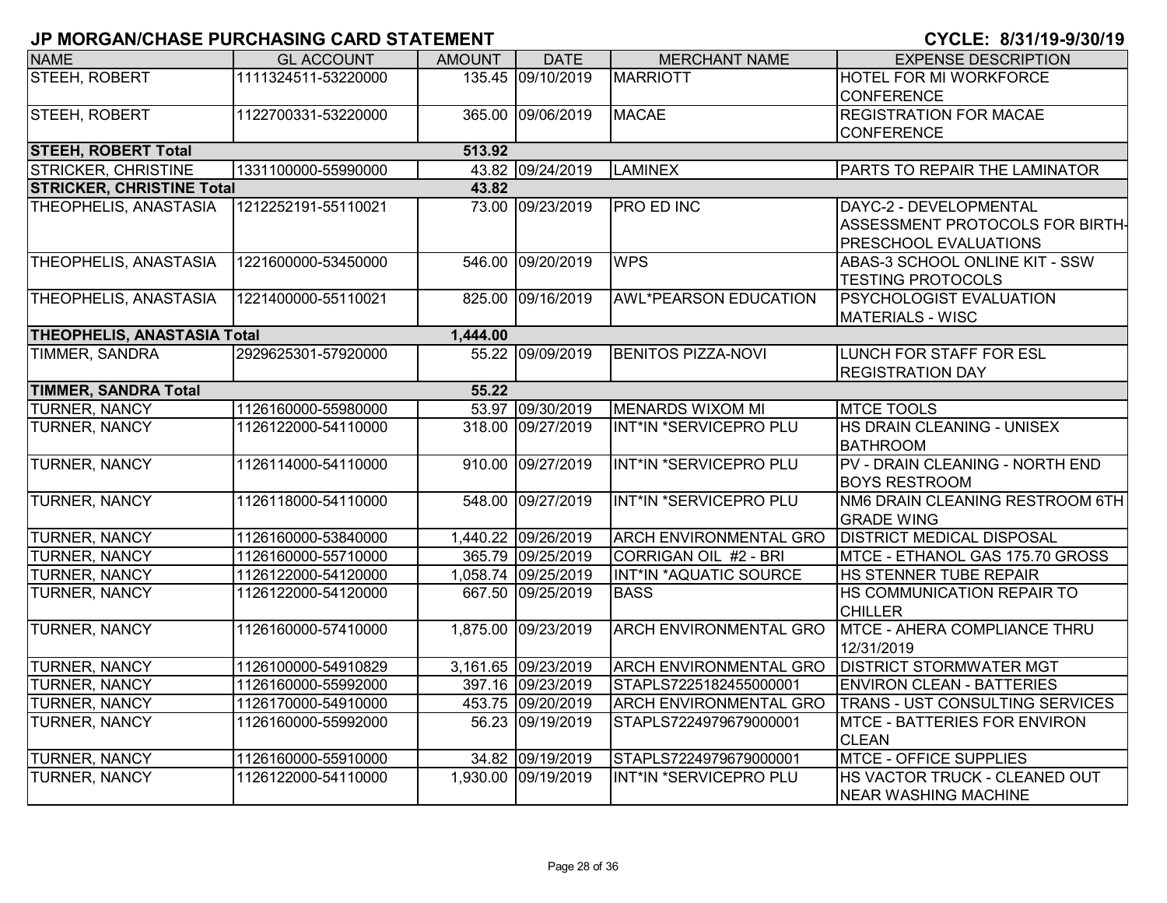| <b>NAME</b>                        | <b>GL ACCOUNT</b>   | <b>AMOUNT</b> | <b>DATE</b>         | <b>MERCHANT NAME</b>          | <b>EXPENSE DESCRIPTION</b>          |
|------------------------------------|---------------------|---------------|---------------------|-------------------------------|-------------------------------------|
| <b>STEEH, ROBERT</b>               | 1111324511-53220000 |               | 135.45 09/10/2019   | <b>MARRIOTT</b>               | HOTEL FOR MI WORKFORCE              |
|                                    |                     |               |                     |                               | <b>CONFERENCE</b>                   |
| STEEH, ROBERT                      | 1122700331-53220000 |               | 365.00 09/06/2019   | <b>MACAE</b>                  | <b>REGISTRATION FOR MACAE</b>       |
|                                    |                     |               |                     |                               | <b>CONFERENCE</b>                   |
| <b>STEEH, ROBERT Total</b>         |                     | 513.92        |                     |                               |                                     |
| <b>STRICKER, CHRISTINE</b>         | 1331100000-55990000 |               | 43.82 09/24/2019    | <b>LAMINEX</b>                | PARTS TO REPAIR THE LAMINATOR       |
| <b>STRICKER, CHRISTINE Total</b>   |                     | 43.82         |                     |                               |                                     |
| THEOPHELIS, ANASTASIA              | 1212252191-55110021 |               | 73.00 09/23/2019    | <b>PRO ED INC</b>             | DAYC-2 - DEVELOPMENTAL              |
|                                    |                     |               |                     |                               | ASSESSMENT PROTOCOLS FOR BIRTH-     |
|                                    |                     |               |                     |                               | <b>PRESCHOOL EVALUATIONS</b>        |
| THEOPHELIS, ANASTASIA              | 1221600000-53450000 |               | 546.00 09/20/2019   | <b>WPS</b>                    | ABAS-3 SCHOOL ONLINE KIT - SSW      |
|                                    |                     |               |                     |                               | <b>TESTING PROTOCOLS</b>            |
| THEOPHELIS, ANASTASIA              | 1221400000-55110021 |               | 825.00 09/16/2019   | <b>AWL*PEARSON EDUCATION</b>  | <b>PSYCHOLOGIST EVALUATION</b>      |
|                                    |                     |               |                     |                               | <b>MATERIALS - WISC</b>             |
| <b>THEOPHELIS, ANASTASIA Total</b> |                     | 1,444.00      |                     |                               |                                     |
| TIMMER, SANDRA                     | 2929625301-57920000 |               | 55.22 09/09/2019    | <b>BENITOS PIZZA-NOVI</b>     | LUNCH FOR STAFF FOR ESL             |
|                                    |                     |               |                     |                               | <b>REGISTRATION DAY</b>             |
| <b>TIMMER, SANDRA Total</b>        |                     | 55.22         |                     |                               |                                     |
| <b>TURNER, NANCY</b>               | 1126160000-55980000 |               | 53.97 09/30/2019    | <b>MENARDS WIXOM MI</b>       | <b>MTCE TOOLS</b>                   |
| TURNER, NANCY                      | 1126122000-54110000 |               | 318.00 09/27/2019   | INT*IN *SERVICEPRO PLU        | HS DRAIN CLEANING - UNISEX          |
|                                    |                     |               |                     |                               | <b>BATHROOM</b>                     |
| <b>TURNER, NANCY</b>               | 1126114000-54110000 |               | 910.00 09/27/2019   | INT*IN *SERVICEPRO PLU        | PV - DRAIN CLEANING - NORTH END     |
|                                    |                     |               |                     |                               | <b>BOYS RESTROOM</b>                |
| TURNER, NANCY                      | 1126118000-54110000 |               | 548.00 09/27/2019   | INT*IN *SERVICEPRO PLU        | NM6 DRAIN CLEANING RESTROOM 6TH     |
|                                    |                     |               |                     |                               | <b>GRADE WING</b>                   |
| <b>TURNER, NANCY</b>               | 1126160000-53840000 |               | 1,440.22 09/26/2019 | <b>ARCH ENVIRONMENTAL GRO</b> | <b>DISTRICT MEDICAL DISPOSAL</b>    |
| <b>TURNER, NANCY</b>               | 1126160000-55710000 |               | 365.79 09/25/2019   | CORRIGAN OIL #2 - BRI         | MTCE - ETHANOL GAS 175.70 GROSS     |
| TURNER, NANCY                      | 1126122000-54120000 |               | 1,058.74 09/25/2019 | INT*IN *AQUATIC SOURCE        | HS STENNER TUBE REPAIR              |
| TURNER, NANCY                      | 1126122000-54120000 | 667.50        | 09/25/2019          | <b>BASS</b>                   | HS COMMUNICATION REPAIR TO          |
|                                    |                     |               |                     |                               | <b>CHILLER</b>                      |
| <b>TURNER, NANCY</b>               | 1126160000-57410000 |               | 1,875.00 09/23/2019 | <b>ARCH ENVIRONMENTAL GRO</b> | MTCE - AHERA COMPLIANCE THRU        |
|                                    |                     |               |                     |                               | 12/31/2019                          |
| <b>TURNER, NANCY</b>               | 1126100000-54910829 |               | 3,161.65 09/23/2019 | <b>ARCH ENVIRONMENTAL GRO</b> | <b>DISTRICT STORMWATER MGT</b>      |
| TURNER, NANCY                      | 1126160000-55992000 |               | 397.16 09/23/2019   | STAPLS7225182455000001        | <b>ENVIRON CLEAN - BATTERIES</b>    |
| TURNER, NANCY                      | 1126170000-54910000 |               | 453.75 09/20/2019   | <b>ARCH ENVIRONMENTAL GRO</b> | TRANS - UST CONSULTING SERVICES     |
| TURNER, NANCY                      | 1126160000-55992000 |               | 56.23 09/19/2019    | STAPLS7224979679000001        | <b>MTCE - BATTERIES FOR ENVIRON</b> |
|                                    |                     |               |                     |                               | <b>CLEAN</b>                        |
| TURNER, NANCY                      | 1126160000-55910000 |               | 34.82 09/19/2019    | STAPLS7224979679000001        | <b>MTCE - OFFICE SUPPLIES</b>       |
| TURNER, NANCY                      | 1126122000-54110000 |               | 1,930.00 09/19/2019 | INT*IN *SERVICEPRO PLU        | HS VACTOR TRUCK - CLEANED OUT       |
|                                    |                     |               |                     |                               | <b>NEAR WASHING MACHINE</b>         |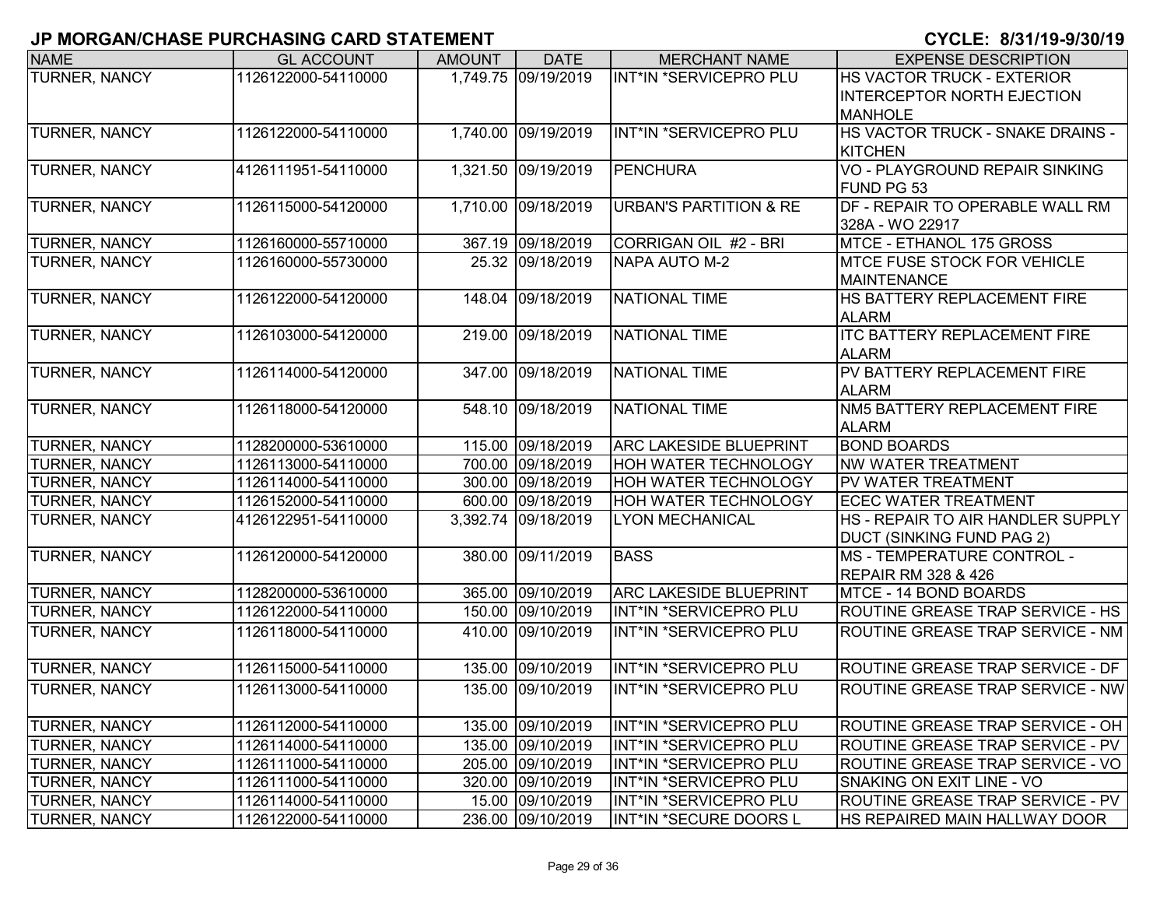| <b>NAME</b>          | <b>GL ACCOUNT</b>   | <b>AMOUNT</b> | <b>DATE</b>         | <b>MERCHANT NAME</b>              | <b>EXPENSE DESCRIPTION</b>                        |
|----------------------|---------------------|---------------|---------------------|-----------------------------------|---------------------------------------------------|
| <b>TURNER, NANCY</b> | 1126122000-54110000 |               | 1,749.75 09/19/2019 | INT*IN *SERVICEPRO PLU            | HS VACTOR TRUCK - EXTERIOR                        |
|                      |                     |               |                     |                                   | <b>INTERCEPTOR NORTH EJECTION</b>                 |
|                      |                     |               |                     |                                   | <b>MANHOLE</b>                                    |
| <b>TURNER, NANCY</b> | 1126122000-54110000 |               | 1,740.00 09/19/2019 | INT*IN *SERVICEPRO PLU            | HS VACTOR TRUCK - SNAKE DRAINS -                  |
|                      |                     |               |                     |                                   | <b>KITCHEN</b>                                    |
| TURNER, NANCY        | 4126111951-54110000 |               | 1,321.50 09/19/2019 | <b>PENCHURA</b>                   | VO - PLAYGROUND REPAIR SINKING                    |
|                      |                     |               |                     |                                   | FUND PG 53                                        |
| TURNER, NANCY        | 1126115000-54120000 |               | 1,710.00 09/18/2019 | <b>URBAN'S PARTITION &amp; RE</b> | DF - REPAIR TO OPERABLE WALL RM                   |
|                      |                     |               |                     |                                   | 328A - WO 22917                                   |
| TURNER, NANCY        | 1126160000-55710000 |               | 367.19 09/18/2019   | CORRIGAN OIL #2 - BRI             | MTCE - ETHANOL 175 GROSS                          |
| <b>TURNER, NANCY</b> | 1126160000-55730000 |               | 25.32 09/18/2019    | NAPA AUTO M-2                     | <b>MTCE FUSE STOCK FOR VEHICLE</b>                |
|                      |                     |               | 148.04 09/18/2019   | NATIONAL TIME                     | <b>MAINTENANCE</b><br>HS BATTERY REPLACEMENT FIRE |
| TURNER, NANCY        | 1126122000-54120000 |               |                     |                                   | <b>ALARM</b>                                      |
| TURNER, NANCY        | 1126103000-54120000 | 219.00        | 09/18/2019          | <b>NATIONAL TIME</b>              | <b>ITC BATTERY REPLACEMENT FIRE</b>               |
|                      |                     |               |                     |                                   | <b>ALARM</b>                                      |
| TURNER, NANCY        | 1126114000-54120000 |               | 347.00 09/18/2019   | <b>NATIONAL TIME</b>              | PV BATTERY REPLACEMENT FIRE                       |
|                      |                     |               |                     |                                   | <b>ALARM</b>                                      |
| TURNER, NANCY        | 1126118000-54120000 |               | 548.10 09/18/2019   | <b>NATIONAL TIME</b>              | NM5 BATTERY REPLACEMENT FIRE                      |
|                      |                     |               |                     |                                   | <b>ALARM</b>                                      |
| TURNER, NANCY        | 1128200000-53610000 |               | 115.00 09/18/2019   | <b>ARC LAKESIDE BLUEPRINT</b>     | <b>BOND BOARDS</b>                                |
| TURNER, NANCY        | 1126113000-54110000 |               | 700.00 09/18/2019   | HOH WATER TECHNOLOGY              | <b>NW WATER TREATMENT</b>                         |
| TURNER, NANCY        | 1126114000-54110000 |               | 300.00 09/18/2019   | HOH WATER TECHNOLOGY              | PV WATER TREATMENT                                |
| TURNER, NANCY        | 1126152000-54110000 |               | 600.00 09/18/2019   | HOH WATER TECHNOLOGY              | <b>ECEC WATER TREATMENT</b>                       |
| TURNER, NANCY        | 4126122951-54110000 |               | 3,392.74 09/18/2019 | <b>LYON MECHANICAL</b>            | HS - REPAIR TO AIR HANDLER SUPPLY                 |
|                      |                     |               |                     |                                   | <b>DUCT (SINKING FUND PAG 2)</b>                  |
| TURNER, NANCY        | 1126120000-54120000 | 380.00        | 09/11/2019          | <b>BASS</b>                       | <b>MS - TEMPERATURE CONTROL -</b>                 |
|                      |                     |               |                     |                                   | <b>REPAIR RM 328 &amp; 426</b>                    |
| TURNER, NANCY        | 1128200000-53610000 |               | 365.00 09/10/2019   | <b>ARC LAKESIDE BLUEPRINT</b>     | <b>MTCE - 14 BOND BOARDS</b>                      |
| TURNER, NANCY        | 1126122000-54110000 |               | 150.00 09/10/2019   | INT*IN *SERVICEPRO PLU            | ROUTINE GREASE TRAP SERVICE - HS                  |
| TURNER, NANCY        | 1126118000-54110000 | 410.00        | 09/10/2019          | INT*IN *SERVICEPRO PLU            | ROUTINE GREASE TRAP SERVICE - NM                  |
|                      |                     |               |                     |                                   |                                                   |
| TURNER, NANCY        | 1126115000-54110000 |               | 135.00 09/10/2019   | INT*IN *SERVICEPRO PLU            | ROUTINE GREASE TRAP SERVICE - DF                  |
| <b>TURNER, NANCY</b> | 1126113000-54110000 | 135.00        | 09/10/2019          | INT*IN *SERVICEPRO PLU            | ROUTINE GREASE TRAP SERVICE - NW                  |
|                      |                     |               |                     |                                   |                                                   |
| <b>TURNER, NANCY</b> | 1126112000-54110000 |               | 135.00 09/10/2019   | INT*IN *SERVICEPRO PLU            | ROUTINE GREASE TRAP SERVICE - OH                  |
| <b>TURNER, NANCY</b> | 1126114000-54110000 |               | 135.00 09/10/2019   | INT*IN *SERVICEPRO PLU            | ROUTINE GREASE TRAP SERVICE - PV                  |
| <b>TURNER, NANCY</b> | 1126111000-54110000 |               | 205.00 09/10/2019   | INT*IN *SERVICEPRO PLU            | ROUTINE GREASE TRAP SERVICE - VO                  |
| <b>TURNER, NANCY</b> | 1126111000-54110000 |               | 320.00 09/10/2019   | INT*IN *SERVICEPRO PLU            | SNAKING ON EXIT LINE - VO                         |
| <b>TURNER, NANCY</b> | 1126114000-54110000 |               | 15.00 09/10/2019    | INT*IN *SERVICEPRO PLU            | ROUTINE GREASE TRAP SERVICE - PV                  |
| <b>TURNER, NANCY</b> | 1126122000-54110000 |               | 236.00 09/10/2019   | INT*IN *SECURE DOORS L            | HS REPAIRED MAIN HALLWAY DOOR                     |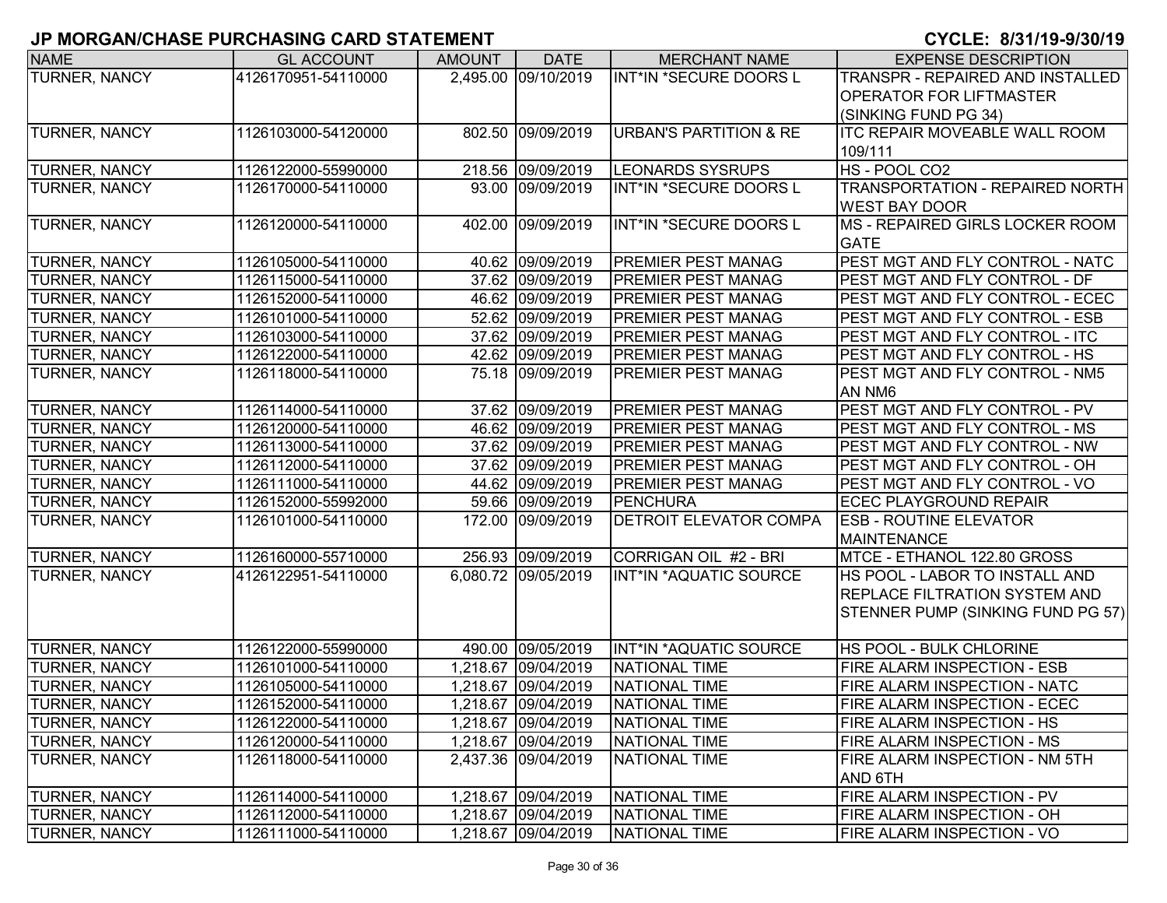| <b>NAME</b>          | <b>GL ACCOUNT</b>   | <b>AMOUNT</b> | <b>DATE</b>         | <b>MERCHANT NAME</b>              | <b>EXPENSE DESCRIPTION</b>             |
|----------------------|---------------------|---------------|---------------------|-----------------------------------|----------------------------------------|
| TURNER, NANCY        | 4126170951-54110000 |               | 2,495.00 09/10/2019 | INT*IN *SECURE DOORS L            | TRANSPR - REPAIRED AND INSTALLED       |
|                      |                     |               |                     |                                   | <b>OPERATOR FOR LIFTMASTER</b>         |
|                      |                     |               |                     |                                   | (SINKING FUND PG 34)                   |
| <b>TURNER, NANCY</b> | 1126103000-54120000 |               | 802.50 09/09/2019   | <b>URBAN'S PARTITION &amp; RE</b> | <b>ITC REPAIR MOVEABLE WALL ROOM</b>   |
|                      |                     |               |                     |                                   | 109/111                                |
| <b>TURNER, NANCY</b> | 1126122000-55990000 |               | 218.56 09/09/2019   | <b>LEONARDS SYSRUPS</b>           | HS - POOL CO2                          |
| TURNER, NANCY        | 1126170000-54110000 |               | 93.00 09/09/2019    | INT*IN *SECURE DOORS L            | <b>TRANSPORTATION - REPAIRED NORTH</b> |
|                      |                     |               |                     |                                   | <b>WEST BAY DOOR</b>                   |
| <b>TURNER, NANCY</b> | 1126120000-54110000 |               | 402.00 09/09/2019   | INT*IN *SECURE DOORS L            | <b>MS - REPAIRED GIRLS LOCKER ROOM</b> |
|                      |                     |               |                     |                                   | <b>GATE</b>                            |
| <b>TURNER, NANCY</b> | 1126105000-54110000 |               | 40.62 09/09/2019    | <b>PREMIER PEST MANAG</b>         | PEST MGT AND FLY CONTROL - NATC        |
| <b>TURNER, NANCY</b> | 1126115000-54110000 |               | 37.62 09/09/2019    | <b>PREMIER PEST MANAG</b>         | PEST MGT AND FLY CONTROL - DF          |
| <b>TURNER, NANCY</b> | 1126152000-54110000 |               | 46.62 09/09/2019    | PREMIER PEST MANAG                | PEST MGT AND FLY CONTROL - ECEC        |
| TURNER, NANCY        | 1126101000-54110000 |               | 52.62 09/09/2019    | <b>PREMIER PEST MANAG</b>         | PEST MGT AND FLY CONTROL - ESB         |
| <b>TURNER, NANCY</b> | 1126103000-54110000 |               | 37.62 09/09/2019    | <b>PREMIER PEST MANAG</b>         | PEST MGT AND FLY CONTROL - ITC         |
| TURNER, NANCY        | 1126122000-54110000 |               | 42.62 09/09/2019    | <b>PREMIER PEST MANAG</b>         | PEST MGT AND FLY CONTROL - HS          |
| TURNER, NANCY        | 1126118000-54110000 |               | 75.18 09/09/2019    | <b>PREMIER PEST MANAG</b>         | PEST MGT AND FLY CONTROL - NM5         |
|                      |                     |               |                     |                                   | AN NM6                                 |
| TURNER, NANCY        | 1126114000-54110000 |               | 37.62 09/09/2019    | <b>PREMIER PEST MANAG</b>         | PEST MGT AND FLY CONTROL - PV          |
| TURNER, NANCY        | 1126120000-54110000 |               | 46.62 09/09/2019    | <b>PREMIER PEST MANAG</b>         | PEST MGT AND FLY CONTROL - MS          |
| TURNER, NANCY        | 1126113000-54110000 |               | 37.62 09/09/2019    | <b>PREMIER PEST MANAG</b>         | PEST MGT AND FLY CONTROL - NW          |
| <b>TURNER, NANCY</b> | 1126112000-54110000 |               | 37.62 09/09/2019    | <b>PREMIER PEST MANAG</b>         | PEST MGT AND FLY CONTROL - OH          |
| <b>TURNER, NANCY</b> | 1126111000-54110000 |               | 44.62 09/09/2019    | <b>PREMIER PEST MANAG</b>         | PEST MGT AND FLY CONTROL - VO          |
| <b>TURNER, NANCY</b> | 1126152000-55992000 |               | 59.66 09/09/2019    | PENCHURA                          | <b>ECEC PLAYGROUND REPAIR</b>          |
| TURNER, NANCY        | 1126101000-54110000 |               | 172.00 09/09/2019   | <b>DETROIT ELEVATOR COMPA</b>     | <b>ESB - ROUTINE ELEVATOR</b>          |
|                      |                     |               |                     |                                   | <b>MAINTENANCE</b>                     |
| <b>TURNER, NANCY</b> | 1126160000-55710000 |               | 256.93 09/09/2019   | CORRIGAN OIL #2 - BRI             | MTCE - ETHANOL 122.80 GROSS            |
| <b>TURNER, NANCY</b> | 4126122951-54110000 |               | 6,080.72 09/05/2019 | INT*IN *AQUATIC SOURCE            | HS POOL - LABOR TO INSTALL AND         |
|                      |                     |               |                     |                                   | <b>REPLACE FILTRATION SYSTEM AND</b>   |
|                      |                     |               |                     |                                   | STENNER PUMP (SINKING FUND PG 57)      |
|                      |                     |               |                     |                                   |                                        |
| <b>TURNER, NANCY</b> | 1126122000-55990000 |               | 490.00 09/05/2019   | INT*IN *AQUATIC SOURCE            | HS POOL - BULK CHLORINE                |
| <b>TURNER, NANCY</b> | 1126101000-54110000 |               | 1,218.67 09/04/2019 | <b>NATIONAL TIME</b>              | FIRE ALARM INSPECTION - ESB            |
| TURNER, NANCY        | 1126105000-54110000 |               | 1,218.67 09/04/2019 | <b>NATIONAL TIME</b>              | FIRE ALARM INSPECTION - NATC           |
| <b>TURNER, NANCY</b> | 1126152000-54110000 |               | 1,218.67 09/04/2019 | <b>NATIONAL TIME</b>              | <b>FIRE ALARM INSPECTION - ECEC</b>    |
| <b>TURNER, NANCY</b> | 1126122000-54110000 |               | 1,218.67 09/04/2019 | NATIONAL TIME                     | <b>FIRE ALARM INSPECTION - HS</b>      |
| <b>TURNER, NANCY</b> | 1126120000-54110000 |               | 1,218.67 09/04/2019 | <b>NATIONAL TIME</b>              | FIRE ALARM INSPECTION - MS             |
| <b>TURNER, NANCY</b> | 1126118000-54110000 |               | 2,437.36 09/04/2019 | <b>NATIONAL TIME</b>              | FIRE ALARM INSPECTION - NM 5TH         |
|                      |                     |               |                     |                                   | AND 6TH                                |
| <b>TURNER, NANCY</b> | 1126114000-54110000 |               | 1,218.67 09/04/2019 | <b>NATIONAL TIME</b>              | <b>FIRE ALARM INSPECTION - PV</b>      |
| TURNER, NANCY        | 1126112000-54110000 |               | 1,218.67 09/04/2019 | <b>NATIONAL TIME</b>              | FIRE ALARM INSPECTION - OH             |
| <b>TURNER, NANCY</b> | 1126111000-54110000 |               | 1,218.67 09/04/2019 | NATIONAL TIME                     | FIRE ALARM INSPECTION - VO             |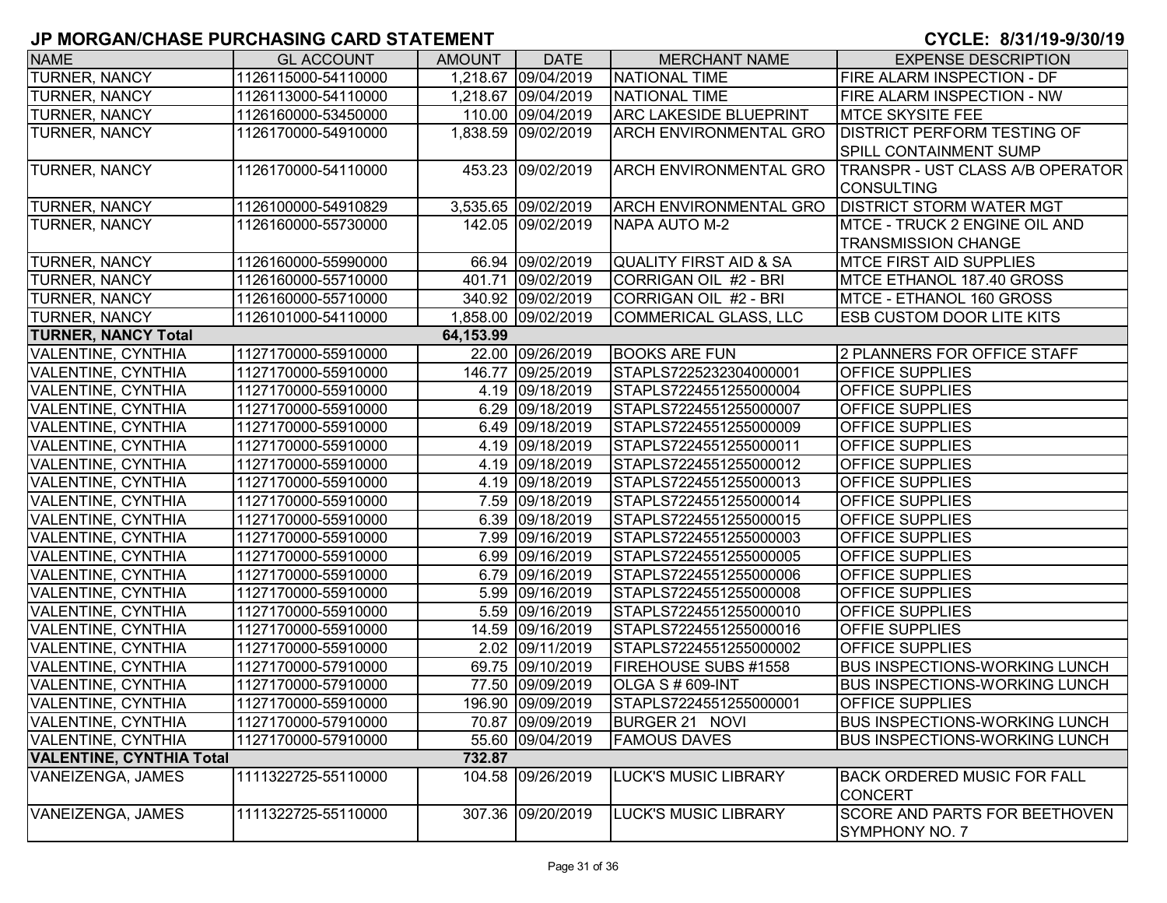| <b>NAME</b>                     | <b>GL ACCOUNT</b>   | <b>AMOUNT</b> | <b>DATE</b>         | <b>MERCHANT NAME</b>              | <b>EXPENSE DESCRIPTION</b>                             |
|---------------------------------|---------------------|---------------|---------------------|-----------------------------------|--------------------------------------------------------|
| TURNER, NANCY                   | 1126115000-54110000 |               | 1,218.67 09/04/2019 | NATIONAL TIME                     | FIRE ALARM INSPECTION - DF                             |
| TURNER, NANCY                   | 1126113000-54110000 |               | 1,218.67 09/04/2019 | <b>NATIONAL TIME</b>              | FIRE ALARM INSPECTION - NW                             |
| <b>TURNER, NANCY</b>            | 1126160000-53450000 |               | 110.00 09/04/2019   | <b>ARC LAKESIDE BLUEPRINT</b>     | <b>MTCE SKYSITE FEE</b>                                |
| <b>TURNER, NANCY</b>            | 1126170000-54910000 |               | 1,838.59 09/02/2019 | <b>ARCH ENVIRONMENTAL GRO</b>     | <b>DISTRICT PERFORM TESTING OF</b>                     |
|                                 |                     |               |                     |                                   | <b>SPILL CONTAINMENT SUMP</b>                          |
| <b>TURNER, NANCY</b>            | 1126170000-54110000 |               | 453.23 09/02/2019   | <b>ARCH ENVIRONMENTAL GRO</b>     | <b>TRANSPR - UST CLASS A/B OPERATOR</b>                |
|                                 |                     |               |                     |                                   | <b>CONSULTING</b>                                      |
| <b>TURNER, NANCY</b>            | 1126100000-54910829 |               | 3,535.65 09/02/2019 | <b>ARCH ENVIRONMENTAL GRO</b>     | <b>DISTRICT STORM WATER MGT</b>                        |
| TURNER, NANCY                   | 1126160000-55730000 |               | 142.05 09/02/2019   | NAPA AUTO M-2                     | <b>MTCE - TRUCK 2 ENGINE OIL AND</b>                   |
|                                 |                     |               |                     |                                   | <b>TRANSMISSION CHANGE</b>                             |
| <b>TURNER, NANCY</b>            | 1126160000-55990000 |               | 66.94 09/02/2019    | <b>QUALITY FIRST AID &amp; SA</b> | <b>MTCE FIRST AID SUPPLIES</b>                         |
| <b>TURNER, NANCY</b>            | 1126160000-55710000 |               | 401.71 09/02/2019   | CORRIGAN OIL #2 - BRI             | MTCE ETHANOL 187.40 GROSS                              |
| <b>TURNER, NANCY</b>            | 1126160000-55710000 |               | 340.92 09/02/2019   | CORRIGAN OIL #2 - BRI             | MTCE - ETHANOL 160 GROSS                               |
| <b>TURNER, NANCY</b>            | 1126101000-54110000 |               | 1,858.00 09/02/2019 | <b>COMMERICAL GLASS, LLC</b>      | <b>ESB CUSTOM DOOR LITE KITS</b>                       |
| <b>TURNER, NANCY Total</b>      |                     | 64,153.99     |                     |                                   |                                                        |
| <b>VALENTINE, CYNTHIA</b>       | 1127170000-55910000 |               | 22.00 09/26/2019    | <b>BOOKS ARE FUN</b>              | 2 PLANNERS FOR OFFICE STAFF                            |
| <b>VALENTINE, CYNTHIA</b>       | 1127170000-55910000 |               | 146.77 09/25/2019   | STAPLS7225232304000001            | <b>OFFICE SUPPLIES</b>                                 |
| <b>VALENTINE, CYNTHIA</b>       | 1127170000-55910000 |               | 4.19 09/18/2019     | STAPLS7224551255000004            | <b>OFFICE SUPPLIES</b>                                 |
| <b>VALENTINE, CYNTHIA</b>       | 1127170000-55910000 |               | 6.29 09/18/2019     | STAPLS7224551255000007            | <b>OFFICE SUPPLIES</b>                                 |
| <b>VALENTINE, CYNTHIA</b>       | 1127170000-55910000 |               | 6.49 09/18/2019     | STAPLS7224551255000009            | <b>OFFICE SUPPLIES</b>                                 |
| <b>VALENTINE, CYNTHIA</b>       | 1127170000-55910000 |               | 4.19 09/18/2019     | STAPLS7224551255000011            | <b>OFFICE SUPPLIES</b>                                 |
| <b>VALENTINE, CYNTHIA</b>       | 1127170000-55910000 |               | 4.19 09/18/2019     | STAPLS7224551255000012            | <b>OFFICE SUPPLIES</b>                                 |
| <b>VALENTINE, CYNTHIA</b>       | 1127170000-55910000 |               | 4.19 09/18/2019     | STAPLS7224551255000013            | <b>OFFICE SUPPLIES</b>                                 |
| <b>VALENTINE, CYNTHIA</b>       | 1127170000-55910000 |               | 7.59 09/18/2019     | STAPLS7224551255000014            | <b>OFFICE SUPPLIES</b>                                 |
| VALENTINE, CYNTHIA              | 1127170000-55910000 |               | 6.39 09/18/2019     | STAPLS7224551255000015            | OFFICE SUPPLIES                                        |
| VALENTINE, CYNTHIA              | 1127170000-55910000 |               | 7.99 09/16/2019     | STAPLS7224551255000003            | OFFICE SUPPLIES                                        |
| VALENTINE, CYNTHIA              | 1127170000-55910000 |               | 6.99 09/16/2019     | STAPLS7224551255000005            | <b>OFFICE SUPPLIES</b>                                 |
| <b>VALENTINE, CYNTHIA</b>       | 1127170000-55910000 |               | 6.79 09/16/2019     | STAPLS7224551255000006            | OFFICE SUPPLIES                                        |
| <b>VALENTINE, CYNTHIA</b>       | 1127170000-55910000 |               | 5.99 09/16/2019     | STAPLS7224551255000008            | OFFICE SUPPLIES                                        |
| <b>VALENTINE, CYNTHIA</b>       | 1127170000-55910000 |               | 5.59 09/16/2019     | STAPLS7224551255000010            | <b>OFFICE SUPPLIES</b>                                 |
| <b>VALENTINE, CYNTHIA</b>       | 1127170000-55910000 |               | 14.59 09/16/2019    | STAPLS7224551255000016            | <b>OFFIE SUPPLIES</b>                                  |
| <b>VALENTINE, CYNTHIA</b>       | 1127170000-55910000 |               | 2.02 09/11/2019     | STAPLS7224551255000002            | OFFICE SUPPLIES                                        |
| <b>VALENTINE, CYNTHIA</b>       | 1127170000-57910000 |               | 69.75 09/10/2019    | FIREHOUSE SUBS #1558              | <b>BUS INSPECTIONS-WORKING LUNCH</b>                   |
| <b>VALENTINE, CYNTHIA</b>       | 1127170000-57910000 |               | 77.50 09/09/2019    | OLGA S # 609-INT                  | <b>BUS INSPECTIONS-WORKING LUNCH</b>                   |
| <b>VALENTINE, CYNTHIA</b>       | 1127170000-55910000 |               | 196.90 09/09/2019   | STAPLS7224551255000001            | <b>OFFICE SUPPLIES</b>                                 |
| <b>VALENTINE, CYNTHIA</b>       | 1127170000-57910000 |               | 70.87 09/09/2019    | BURGER 21 NOVI                    | <b>BUS INSPECTIONS-WORKING LUNCH</b>                   |
| <b>VALENTINE, CYNTHIA</b>       | 1127170000-57910000 |               | 55.60 09/04/2019    | <b>FAMOUS DAVES</b>               | <b>BUS INSPECTIONS-WORKING LUNCH</b>                   |
| <b>VALENTINE, CYNTHIA Total</b> |                     | 732.87        |                     |                                   |                                                        |
| VANEIZENGA, JAMES               | 1111322725-55110000 |               | 104.58 09/26/2019   | <b>LUCK'S MUSIC LIBRARY</b>       | <b>BACK ORDERED MUSIC FOR FALL</b><br><b>CONCERT</b>   |
| VANEIZENGA, JAMES               | 1111322725-55110000 |               | 307.36 09/20/2019   | <b>LUCK'S MUSIC LIBRARY</b>       | <b>SCORE AND PARTS FOR BEETHOVEN</b><br>SYMPHONY NO. 7 |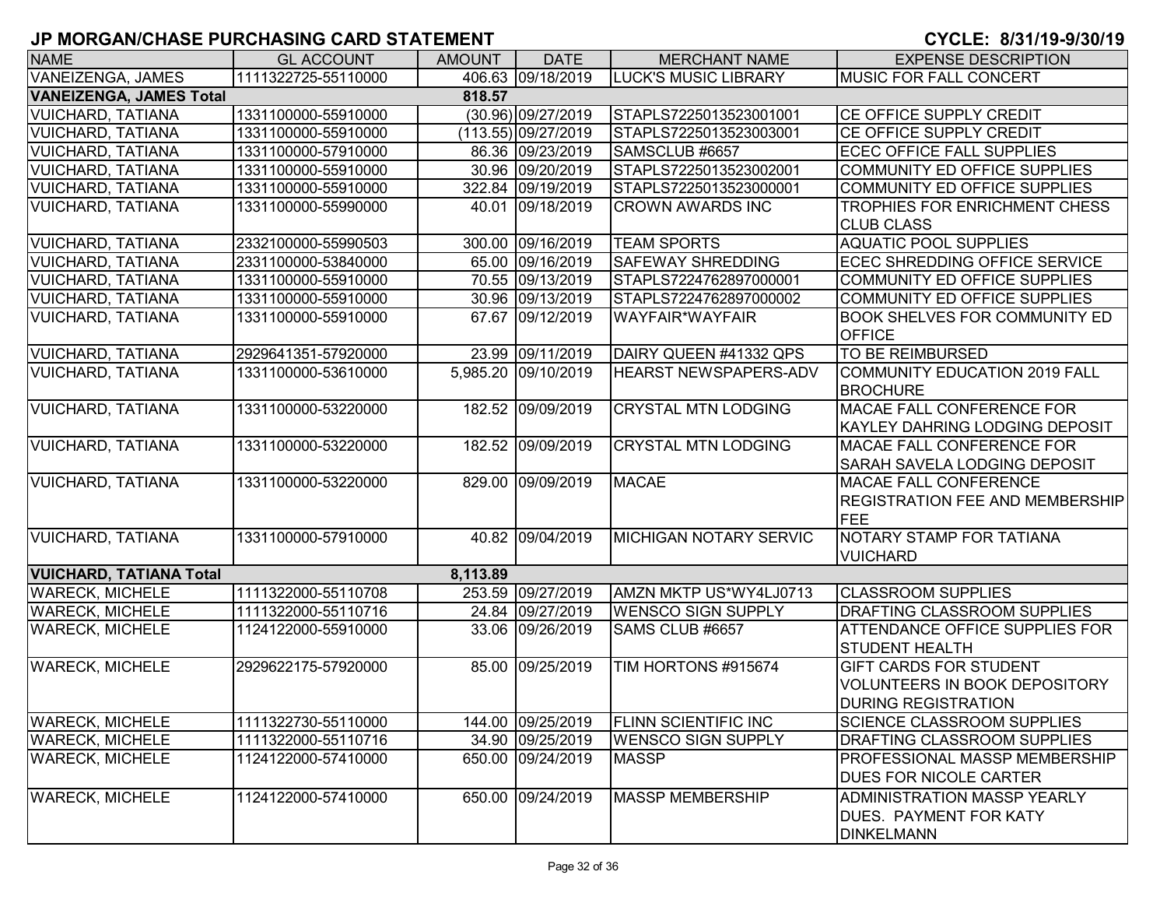| <b>NAME</b>                    | <b>GL ACCOUNT</b>   | <b>AMOUNT</b> | <b>DATE</b>         | <b>MERCHANT NAME</b>          | <b>EXPENSE DESCRIPTION</b>             |
|--------------------------------|---------------------|---------------|---------------------|-------------------------------|----------------------------------------|
| VANEIZENGA, JAMES              | 1111322725-55110000 |               | 406.63 09/18/2019   | <b>LUCK'S MUSIC LIBRARY</b>   | <b>MUSIC FOR FALL CONCERT</b>          |
| <b>VANEIZENGA, JAMES Total</b> |                     | 818.57        |                     |                               |                                        |
| <b>VUICHARD, TATIANA</b>       | 1331100000-55910000 |               | (30.96) 09/27/2019  | STAPLS7225013523001001        | <b>CE OFFICE SUPPLY CREDIT</b>         |
| <b>VUICHARD, TATIANA</b>       | 1331100000-55910000 |               | (113.55) 09/27/2019 | STAPLS7225013523003001        | <b>CE OFFICE SUPPLY CREDIT</b>         |
| <b>VUICHARD, TATIANA</b>       | 1331100000-57910000 |               | 86.36 09/23/2019    | SAMSCLUB #6657                | <b>ECEC OFFICE FALL SUPPLIES</b>       |
| <b>VUICHARD, TATIANA</b>       | 1331100000-55910000 |               | 30.96 09/20/2019    | STAPLS7225013523002001        | COMMUNITY ED OFFICE SUPPLIES           |
| <b>VUICHARD, TATIANA</b>       | 1331100000-55910000 |               | 322.84 09/19/2019   | STAPLS7225013523000001        | COMMUNITY ED OFFICE SUPPLIES           |
| <b>VUICHARD, TATIANA</b>       | 1331100000-55990000 |               | 40.01 09/18/2019    | <b>CROWN AWARDS INC</b>       | TROPHIES FOR ENRICHMENT CHESS          |
|                                |                     |               |                     |                               | <b>CLUB CLASS</b>                      |
| <b>VUICHARD, TATIANA</b>       | 2332100000-55990503 |               | 300.00 09/16/2019   | <b>TEAM SPORTS</b>            | <b>AQUATIC POOL SUPPLIES</b>           |
| <b>VUICHARD, TATIANA</b>       | 2331100000-53840000 |               | 65.00 09/16/2019    | <b>SAFEWAY SHREDDING</b>      | ECEC SHREDDING OFFICE SERVICE          |
| VUICHARD, TATIANA              | 1331100000-55910000 |               | 70.55 09/13/2019    | STAPLS7224762897000001        | COMMUNITY ED OFFICE SUPPLIES           |
| VUICHARD, TATIANA              | 1331100000-55910000 |               | 30.96 09/13/2019    | STAPLS7224762897000002        | COMMUNITY ED OFFICE SUPPLIES           |
| <b>VUICHARD, TATIANA</b>       | 1331100000-55910000 |               | 67.67 09/12/2019    | WAYFAIR*WAYFAIR               | <b>BOOK SHELVES FOR COMMUNITY ED</b>   |
|                                |                     |               |                     |                               | <b>OFFICE</b>                          |
| <b>VUICHARD, TATIANA</b>       | 2929641351-57920000 |               | 23.99 09/11/2019    | DAIRY QUEEN #41332 QPS        | TO BE REIMBURSED                       |
| <b>VUICHARD, TATIANA</b>       | 1331100000-53610000 |               | 5,985.20 09/10/2019 | HEARST NEWSPAPERS-ADV         | COMMUNITY EDUCATION 2019 FALL          |
|                                |                     |               |                     |                               | <b>BROCHURE</b>                        |
| <b>VUICHARD, TATIANA</b>       | 1331100000-53220000 |               | 182.52 09/09/2019   | <b>CRYSTAL MTN LODGING</b>    | MACAE FALL CONFERENCE FOR              |
|                                |                     |               |                     |                               | KAYLEY DAHRING LODGING DEPOSIT         |
| <b>VUICHARD, TATIANA</b>       | 1331100000-53220000 |               | 182.52 09/09/2019   | <b>CRYSTAL MTN LODGING</b>    | <b>MACAE FALL CONFERENCE FOR</b>       |
|                                |                     |               |                     |                               | <b>SARAH SAVELA LODGING DEPOSIT</b>    |
| <b>VUICHARD, TATIANA</b>       | 1331100000-53220000 |               | 829.00 09/09/2019   | <b>MACAE</b>                  | MACAE FALL CONFERENCE                  |
|                                |                     |               |                     |                               | <b>REGISTRATION FEE AND MEMBERSHIP</b> |
|                                |                     |               |                     |                               | FEE                                    |
| <b>VUICHARD, TATIANA</b>       | 1331100000-57910000 |               | 40.82 09/04/2019    | <b>MICHIGAN NOTARY SERVIC</b> | NOTARY STAMP FOR TATIANA               |
|                                |                     |               |                     |                               | <b>VUICHARD</b>                        |
| <b>VUICHARD, TATIANA Total</b> |                     | 8,113.89      |                     |                               |                                        |
| <b>WARECK, MICHELE</b>         | 1111322000-55110708 |               | 253.59 09/27/2019   | AMZN MKTP US*WY4LJ0713        | <b>CLASSROOM SUPPLIES</b>              |
| <b>WARECK, MICHELE</b>         | 1111322000-55110716 |               | 24.84 09/27/2019    | <b>WENSCO SIGN SUPPLY</b>     | DRAFTING CLASSROOM SUPPLIES            |
| <b>WARECK, MICHELE</b>         | 1124122000-55910000 |               | 33.06 09/26/2019    | SAMS CLUB #6657               | <b>ATTENDANCE OFFICE SUPPLIES FOR</b>  |
|                                |                     |               |                     |                               | <b>STUDENT HEALTH</b>                  |
| <b>WARECK, MICHELE</b>         | 2929622175-57920000 |               | 85.00 09/25/2019    | TIM HORTONS #915674           | <b>GIFT CARDS FOR STUDENT</b>          |
|                                |                     |               |                     |                               | <b>VOLUNTEERS IN BOOK DEPOSITORY</b>   |
|                                |                     |               |                     |                               | <b>DURING REGISTRATION</b>             |
| <b>WARECK, MICHELE</b>         | 1111322730-55110000 |               | 144.00 09/25/2019   | <b>FLINN SCIENTIFIC INC</b>   | <b>SCIENCE CLASSROOM SUPPLIES</b>      |
| <b>WARECK, MICHELE</b>         | 1111322000-55110716 |               | 34.90 09/25/2019    | <b>WENSCO SIGN SUPPLY</b>     | DRAFTING CLASSROOM SUPPLIES            |
| <b>WARECK, MICHELE</b>         | 1124122000-57410000 |               | 650.00 09/24/2019   | <b>MASSP</b>                  | <b>PROFESSIONAL MASSP MEMBERSHIP</b>   |
|                                |                     |               |                     |                               | <b>DUES FOR NICOLE CARTER</b>          |
| <b>WARECK, MICHELE</b>         | 1124122000-57410000 |               | 650.00 09/24/2019   | <b>MASSP MEMBERSHIP</b>       | <b>ADMINISTRATION MASSP YEARLY</b>     |
|                                |                     |               |                     |                               | <b>DUES. PAYMENT FOR KATY</b>          |
|                                |                     |               |                     |                               | <b>IDINKELMANN</b>                     |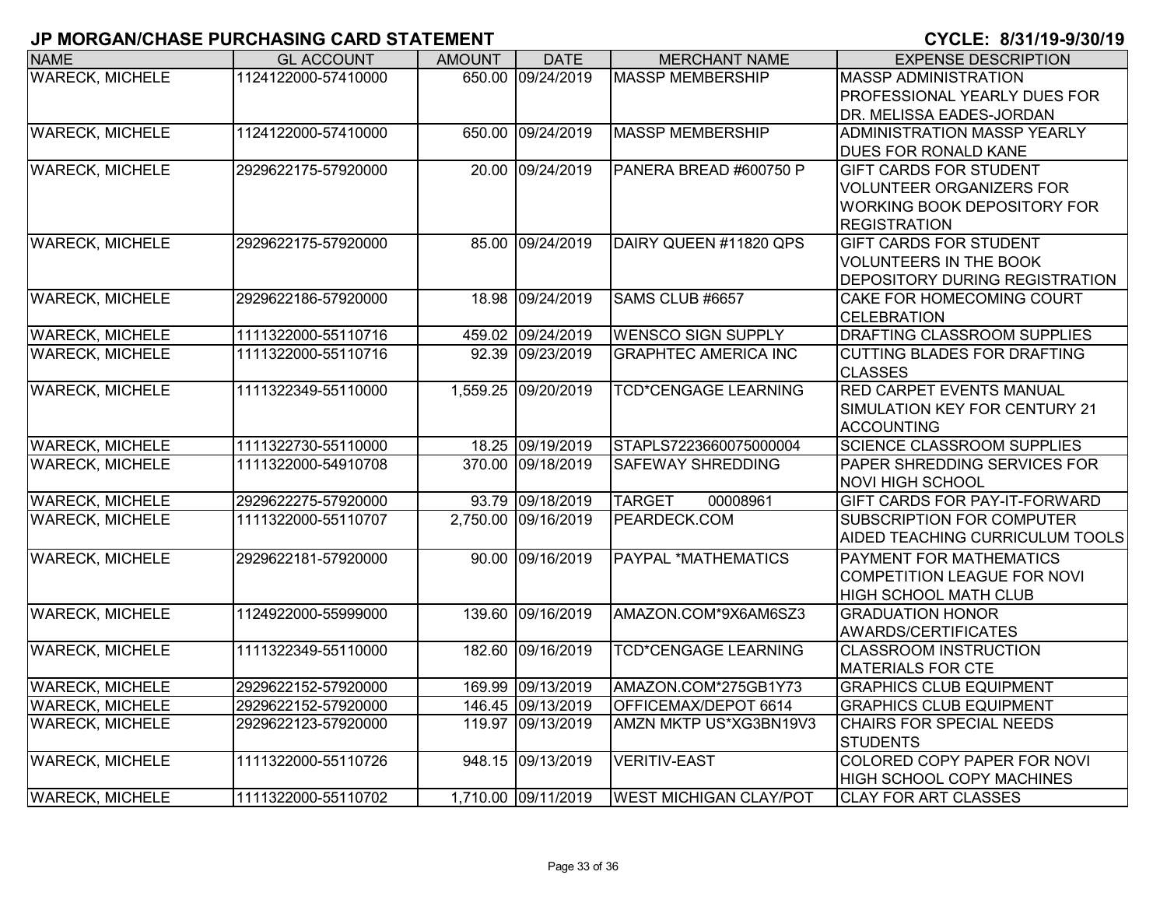| <b>NAME</b>            | <b>GL ACCOUNT</b>   | <b>AMOUNT</b> | <b>DATE</b>         | <b>MERCHANT NAME</b>          | <b>EXPENSE DESCRIPTION</b>                             |
|------------------------|---------------------|---------------|---------------------|-------------------------------|--------------------------------------------------------|
| <b>WARECK, MICHELE</b> | 1124122000-57410000 |               | 650.00 09/24/2019   | <b>MASSP MEMBERSHIP</b>       | <b>MASSP ADMINISTRATION</b>                            |
|                        |                     |               |                     |                               | PROFESSIONAL YEARLY DUES FOR                           |
|                        |                     |               |                     |                               | DR. MELISSA EADES-JORDAN                               |
| <b>WARECK, MICHELE</b> | 1124122000-57410000 |               | 650.00 09/24/2019   | <b>MASSP MEMBERSHIP</b>       | <b>ADMINISTRATION MASSP YEARLY</b>                     |
|                        |                     |               |                     |                               | DUES FOR RONALD KANE                                   |
| <b>WARECK, MICHELE</b> | 2929622175-57920000 |               | 20.00 09/24/2019    | PANERA BREAD #600750 P        | <b>GIFT CARDS FOR STUDENT</b>                          |
|                        |                     |               |                     |                               | <b>VOLUNTEER ORGANIZERS FOR</b>                        |
|                        |                     |               |                     |                               | <b>WORKING BOOK DEPOSITORY FOR</b>                     |
|                        |                     |               |                     |                               | <b>REGISTRATION</b>                                    |
| <b>WARECK, MICHELE</b> | 2929622175-57920000 |               | 85.00 09/24/2019    | DAIRY QUEEN #11820 QPS        | <b>GIFT CARDS FOR STUDENT</b>                          |
|                        |                     |               |                     |                               | <b>VOLUNTEERS IN THE BOOK</b>                          |
|                        |                     |               |                     |                               | DEPOSITORY DURING REGISTRATION                         |
| <b>WARECK, MICHELE</b> | 2929622186-57920000 |               | 18.98 09/24/2019    | SAMS CLUB #6657               | CAKE FOR HOMECOMING COURT                              |
|                        |                     |               |                     |                               | <b>CELEBRATION</b>                                     |
| <b>WARECK, MICHELE</b> | 1111322000-55110716 |               | 459.02 09/24/2019   | <b>WENSCO SIGN SUPPLY</b>     | DRAFTING CLASSROOM SUPPLIES                            |
| <b>WARECK, MICHELE</b> | 1111322000-55110716 |               | 92.39 09/23/2019    | <b>GRAPHTEC AMERICA INC</b>   | <b>CUTTING BLADES FOR DRAFTING</b>                     |
|                        |                     |               |                     |                               | <b>CLASSES</b>                                         |
| <b>WARECK, MICHELE</b> | 1111322349-55110000 |               | 1,559.25 09/20/2019 | <b>TCD*CENGAGE LEARNING</b>   | <b>RED CARPET EVENTS MANUAL</b>                        |
|                        |                     |               |                     |                               | SIMULATION KEY FOR CENTURY 21                          |
| <b>WARECK, MICHELE</b> | 1111322730-55110000 |               | 18.25 09/19/2019    | STAPLS7223660075000004        | <b>ACCOUNTING</b><br><b>SCIENCE CLASSROOM SUPPLIES</b> |
| <b>WARECK, MICHELE</b> | 1111322000-54910708 |               | 370.00 09/18/2019   | <b>SAFEWAY SHREDDING</b>      | PAPER SHREDDING SERVICES FOR                           |
|                        |                     |               |                     |                               | <b>NOVI HIGH SCHOOL</b>                                |
| <b>WARECK, MICHELE</b> | 2929622275-57920000 |               | 93.79 09/18/2019    | <b>TARGET</b><br>00008961     | GIFT CARDS FOR PAY-IT-FORWARD                          |
| <b>WARECK, MICHELE</b> | 1111322000-55110707 |               | 2,750.00 09/16/2019 | PEARDECK.COM                  | SUBSCRIPTION FOR COMPUTER                              |
|                        |                     |               |                     |                               | AIDED TEACHING CURRICULUM TOOLS                        |
| <b>WARECK, MICHELE</b> | 2929622181-57920000 |               | 90.00 09/16/2019    | <b>PAYPAL *MATHEMATICS</b>    | PAYMENT FOR MATHEMATICS                                |
|                        |                     |               |                     |                               | <b>COMPETITION LEAGUE FOR NOVI</b>                     |
|                        |                     |               |                     |                               | <b>HIGH SCHOOL MATH CLUB</b>                           |
| <b>WARECK, MICHELE</b> | 1124922000-55999000 |               | 139.60 09/16/2019   | AMAZON.COM*9X6AM6SZ3          | <b>GRADUATION HONOR</b>                                |
|                        |                     |               |                     |                               | <b>AWARDS/CERTIFICATES</b>                             |
| <b>WARECK, MICHELE</b> | 1111322349-55110000 |               | 182.60 09/16/2019   | <b>TCD*CENGAGE LEARNING</b>   | <b>CLASSROOM INSTRUCTION</b>                           |
|                        |                     |               |                     |                               | <b>MATERIALS FOR CTE</b>                               |
| <b>WARECK, MICHELE</b> | 2929622152-57920000 |               | 169.99 09/13/2019   | AMAZON.COM*275GB1Y73          | <b>GRAPHICS CLUB EQUIPMENT</b>                         |
| <b>WARECK, MICHELE</b> | 2929622152-57920000 |               | 146.45 09/13/2019   | OFFICEMAX/DEPOT 6614          | <b>GRAPHICS CLUB EQUIPMENT</b>                         |
| <b>WARECK, MICHELE</b> | 2929622123-57920000 |               | 119.97 09/13/2019   | AMZN MKTP US*XG3BN19V3        | <b>CHAIRS FOR SPECIAL NEEDS</b>                        |
|                        |                     |               |                     |                               | <b>STUDENTS</b>                                        |
| <b>WARECK, MICHELE</b> | 1111322000-55110726 |               | 948.15 09/13/2019   | <b>VERITIV-EAST</b>           | COLORED COPY PAPER FOR NOVI                            |
|                        |                     |               |                     |                               | <b>HIGH SCHOOL COPY MACHINES</b>                       |
| <b>WARECK, MICHELE</b> | 1111322000-55110702 |               | 1,710.00 09/11/2019 | <b>WEST MICHIGAN CLAY/POT</b> | <b>CLAY FOR ART CLASSES</b>                            |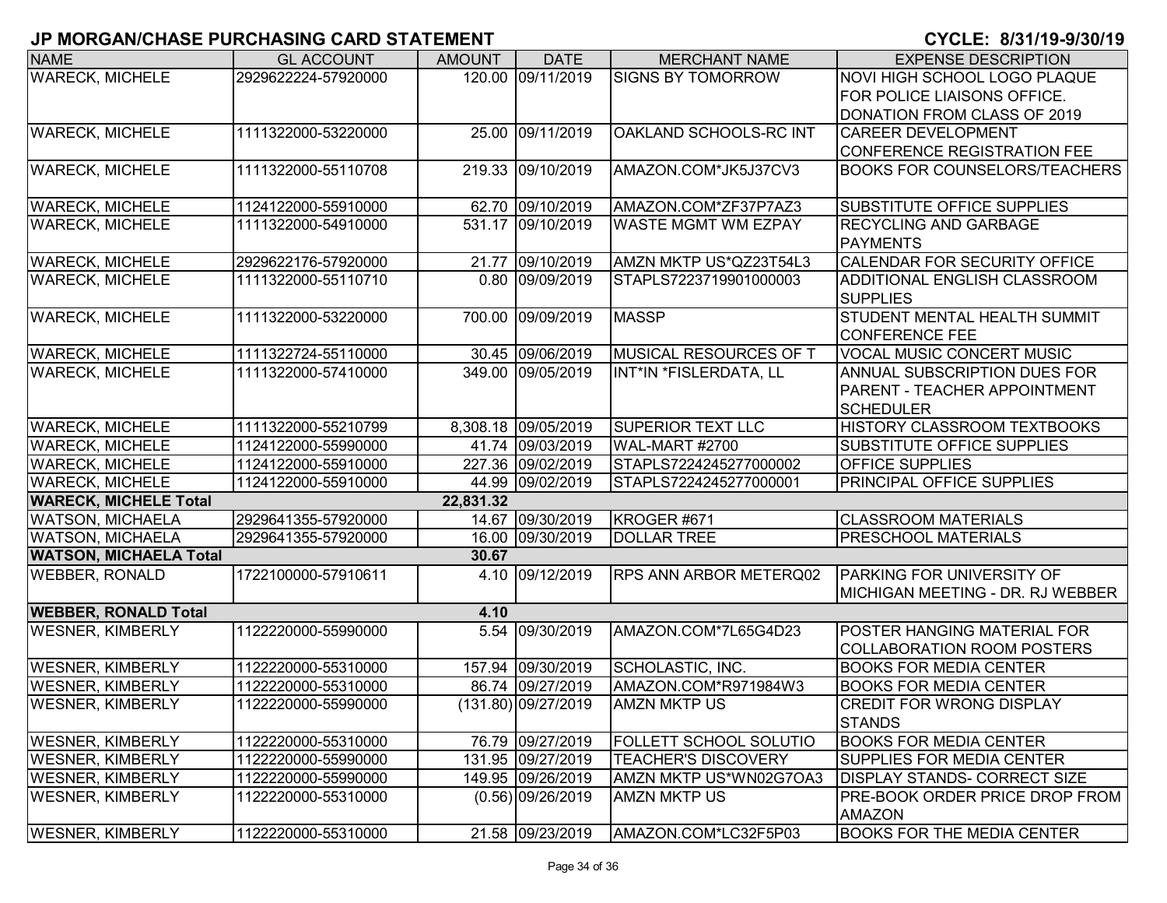| <b>NAME</b>                   | <b>GL ACCOUNT</b>   | <b>AMOUNT</b> | <b>DATE</b>         | <b>MERCHANT NAME</b>          | <b>EXPENSE DESCRIPTION</b>            |
|-------------------------------|---------------------|---------------|---------------------|-------------------------------|---------------------------------------|
| <b>WARECK, MICHELE</b>        | 2929622224-57920000 |               | 120.00 09/11/2019   | <b>SIGNS BY TOMORROW</b>      | NOVI HIGH SCHOOL LOGO PLAQUE          |
|                               |                     |               |                     |                               | FOR POLICE LIAISONS OFFICE.           |
|                               |                     |               |                     |                               | DONATION FROM CLASS OF 2019           |
| <b>WARECK, MICHELE</b>        | 1111322000-53220000 |               | 25.00 09/11/2019    | OAKLAND SCHOOLS-RC INT        | <b>CAREER DEVELOPMENT</b>             |
|                               |                     |               |                     |                               | CONFERENCE REGISTRATION FEE           |
| <b>WARECK, MICHELE</b>        | 1111322000-55110708 | 219.33        | 09/10/2019          | AMAZON.COM*JK5J37CV3          | <b>BOOKS FOR COUNSELORS/TEACHERS</b>  |
| <b>WARECK, MICHELE</b>        | 1124122000-55910000 |               | 62.70 09/10/2019    | AMAZON.COM*ZF37P7AZ3          | <b>SUBSTITUTE OFFICE SUPPLIES</b>     |
|                               | 1111322000-54910000 |               | 531.17 09/10/2019   |                               | <b>RECYCLING AND GARBAGE</b>          |
| <b>WARECK, MICHELE</b>        |                     |               |                     | <b>WASTE MGMT WM EZPAY</b>    | <b>PAYMENTS</b>                       |
| <b>WARECK, MICHELE</b>        | 2929622176-57920000 |               | 21.77 09/10/2019    | AMZN MKTP US*QZ23T54L3        | CALENDAR FOR SECURITY OFFICE          |
| <b>WARECK, MICHELE</b>        | 1111322000-55110710 |               | 0.80 09/09/2019     | STAPLS7223719901000003        | ADDITIONAL ENGLISH CLASSROOM          |
|                               |                     |               |                     |                               | <b>SUPPLIES</b>                       |
| <b>WARECK, MICHELE</b>        | 1111322000-53220000 | 700.00        | 09/09/2019          | <b>MASSP</b>                  | STUDENT MENTAL HEALTH SUMMIT          |
|                               |                     |               |                     |                               | <b>CONFERENCE FEE</b>                 |
| <b>WARECK, MICHELE</b>        | 1111322724-55110000 |               | 30.45 09/06/2019    | MUSICAL RESOURCES OF T        | <b>VOCAL MUSIC CONCERT MUSIC</b>      |
| <b>WARECK, MICHELE</b>        | 1111322000-57410000 |               | 349.00 09/05/2019   | INT*IN *FISLERDATA, LL        | ANNUAL SUBSCRIPTION DUES FOR          |
|                               |                     |               |                     |                               | PARENT - TEACHER APPOINTMENT          |
|                               |                     |               |                     |                               | <b>SCHEDULER</b>                      |
| <b>WARECK, MICHELE</b>        | 1111322000-55210799 |               | 8,308.18 09/05/2019 | <b>SUPERIOR TEXT LLC</b>      | HISTORY CLASSROOM TEXTBOOKS           |
| <b>WARECK, MICHELE</b>        | 1124122000-55990000 |               | 41.74 09/03/2019    | WAL-MART #2700                | <b>SUBSTITUTE OFFICE SUPPLIES</b>     |
| <b>WARECK, MICHELE</b>        | 1124122000-55910000 |               | 227.36 09/02/2019   | STAPLS7224245277000002        | <b>OFFICE SUPPLIES</b>                |
| <b>WARECK, MICHELE</b>        | 1124122000-55910000 |               | 44.99 09/02/2019    | STAPLS7224245277000001        | PRINCIPAL OFFICE SUPPLIES             |
| <b>WARECK, MICHELE Total</b>  |                     | 22,831.32     |                     |                               |                                       |
| <b>WATSON, MICHAELA</b>       | 2929641355-57920000 |               | 14.67 09/30/2019    | KROGER #671                   | <b>CLASSROOM MATERIALS</b>            |
| <b>WATSON, MICHAELA</b>       | 2929641355-57920000 |               | 16.00 09/30/2019    | <b>DOLLAR TREE</b>            | PRESCHOOL MATERIALS                   |
| <b>WATSON, MICHAELA Total</b> |                     | 30.67         |                     |                               |                                       |
| <b>WEBBER, RONALD</b>         | 1722100000-57910611 |               | 4.10 09/12/2019     | <b>RPS ANN ARBOR METERQ02</b> | <b>PARKING FOR UNIVERSITY OF</b>      |
|                               |                     |               |                     |                               | MICHIGAN MEETING - DR. RJ WEBBER      |
| <b>WEBBER, RONALD Total</b>   |                     | 4.10          |                     |                               |                                       |
| <b>WESNER, KIMBERLY</b>       | 1122220000-55990000 | 5.54          | 09/30/2019          | AMAZON.COM*7L65G4D23          | POSTER HANGING MATERIAL FOR           |
|                               |                     |               |                     |                               | <b>COLLABORATION ROOM POSTERS</b>     |
| <b>WESNER, KIMBERLY</b>       | 1122220000-55310000 |               | 157.94 09/30/2019   | SCHOLASTIC, INC.              | <b>BOOKS FOR MEDIA CENTER</b>         |
| <b>WESNER, KIMBERLY</b>       | 1122220000-55310000 |               | 86.74 09/27/2019    | AMAZON.COM*R971984W3          | <b>BOOKS FOR MEDIA CENTER</b>         |
| <b>WESNER, KIMBERLY</b>       | 1122220000-55990000 |               | (131.80) 09/27/2019 | <b>AMZN MKTP US</b>           | <b>CREDIT FOR WRONG DISPLAY</b>       |
|                               |                     |               |                     |                               | <b>STANDS</b>                         |
| <b>WESNER, KIMBERLY</b>       | 1122220000-55310000 |               | 76.79 09/27/2019    | FOLLETT SCHOOL SOLUTIO        | <b>BOOKS FOR MEDIA CENTER</b>         |
| <b>WESNER, KIMBERLY</b>       | 1122220000-55990000 |               | 131.95 09/27/2019   | <b>TEACHER'S DISCOVERY</b>    | <b>SUPPLIES FOR MEDIA CENTER</b>      |
| <b>WESNER, KIMBERLY</b>       | 1122220000-55990000 |               | 149.95 09/26/2019   | AMZN MKTP US*WN02G7OA3        | <b>DISPLAY STANDS- CORRECT SIZE</b>   |
| <b>WESNER, KIMBERLY</b>       | 1122220000-55310000 |               | $(0.56)$ 09/26/2019 | AMZN MKTP US                  | <b>PRE-BOOK ORDER PRICE DROP FROM</b> |
|                               |                     |               |                     |                               | <b>AMAZON</b>                         |
| <b>WESNER, KIMBERLY</b>       | 1122220000-55310000 |               | 21.58 09/23/2019    | AMAZON.COM*LC32F5P03          | <b>BOOKS FOR THE MEDIA CENTER</b>     |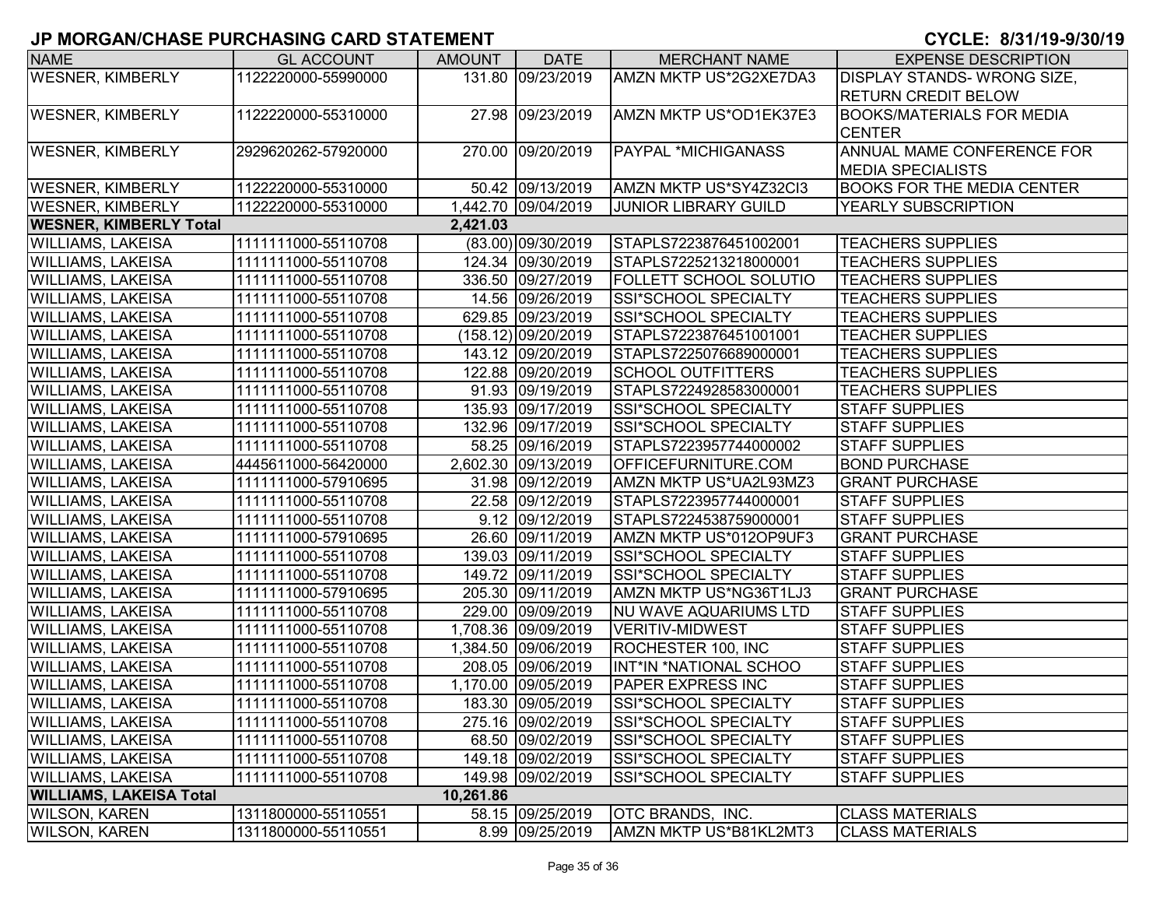| <b>NAME</b>                    | <b>GL ACCOUNT</b>   | <b>AMOUNT</b> | <b>DATE</b>         | <b>MERCHANT NAME</b>          | <b>EXPENSE DESCRIPTION</b>        |
|--------------------------------|---------------------|---------------|---------------------|-------------------------------|-----------------------------------|
| <b>WESNER, KIMBERLY</b>        | 1122220000-55990000 |               | 131.80 09/23/2019   | AMZN MKTP US*2G2XE7DA3        | <b>DISPLAY STANDS-WRONG SIZE,</b> |
|                                |                     |               |                     |                               | <b>RETURN CREDIT BELOW</b>        |
| <b>WESNER, KIMBERLY</b>        | 1122220000-55310000 |               | 27.98 09/23/2019    | AMZN MKTP US*OD1EK37E3        | <b>BOOKS/MATERIALS FOR MEDIA</b>  |
|                                |                     |               |                     |                               | <b>CENTER</b>                     |
| <b>WESNER, KIMBERLY</b>        | 2929620262-57920000 |               | 270.00 09/20/2019   | <b>PAYPAL *MICHIGANASS</b>    | ANNUAL MAME CONFERENCE FOR        |
|                                |                     |               |                     |                               | <b>MEDIA SPECIALISTS</b>          |
| <b>WESNER, KIMBERLY</b>        | 1122220000-55310000 |               | 50.42 09/13/2019    | AMZN MKTP US*SY4Z32Cl3        | <b>BOOKS FOR THE MEDIA CENTER</b> |
| <b>WESNER, KIMBERLY</b>        | 1122220000-55310000 |               | 1,442.70 09/04/2019 | <b>JUNIOR LIBRARY GUILD</b>   | YEARLY SUBSCRIPTION               |
| <b>WESNER, KIMBERLY Total</b>  |                     | 2,421.03      |                     |                               |                                   |
| <b>WILLIAMS, LAKEISA</b>       | 1111111000-55110708 |               | (83.00) 09/30/2019  | STAPLS7223876451002001        | <b>TEACHERS SUPPLIES</b>          |
| <b>WILLIAMS, LAKEISA</b>       | 1111111000-55110708 |               | 124.34 09/30/2019   | STAPLS7225213218000001        | <b>TEACHERS SUPPLIES</b>          |
| <b>WILLIAMS, LAKEISA</b>       | 1111111000-55110708 |               | 336.50 09/27/2019   | <b>FOLLETT SCHOOL SOLUTIO</b> | <b>TEACHERS SUPPLIES</b>          |
| <b>WILLIAMS, LAKEISA</b>       | 1111111000-55110708 |               | 14.56 09/26/2019    | SSI*SCHOOL SPECIALTY          | <b>TEACHERS SUPPLIES</b>          |
| <b>WILLIAMS, LAKEISA</b>       | 1111111000-55110708 |               | 629.85 09/23/2019   | SSI*SCHOOL SPECIALTY          | <b>TEACHERS SUPPLIES</b>          |
| <b>WILLIAMS, LAKEISA</b>       | 1111111000-55110708 |               | (158.12) 09/20/2019 | STAPLS7223876451001001        | <b>TEACHER SUPPLIES</b>           |
| <b>WILLIAMS, LAKEISA</b>       | 1111111000-55110708 |               | 143.12 09/20/2019   | STAPLS7225076689000001        | <b>TEACHERS SUPPLIES</b>          |
| <b>WILLIAMS, LAKEISA</b>       | 1111111000-55110708 |               | 122.88 09/20/2019   | <b>SCHOOL OUTFITTERS</b>      | <b>TEACHERS SUPPLIES</b>          |
| <b>WILLIAMS, LAKEISA</b>       | 1111111000-55110708 |               | 91.93 09/19/2019    | STAPLS7224928583000001        | <b>TEACHERS SUPPLIES</b>          |
| <b>WILLIAMS, LAKEISA</b>       | 1111111000-55110708 |               | 135.93 09/17/2019   | SSI*SCHOOL SPECIALTY          | <b>STAFF SUPPLIES</b>             |
| <b>WILLIAMS, LAKEISA</b>       | 1111111000-55110708 |               | 132.96 09/17/2019   | SSI*SCHOOL SPECIALTY          | <b>STAFF SUPPLIES</b>             |
| <b>WILLIAMS, LAKEISA</b>       | 1111111000-55110708 |               | 58.25 09/16/2019    | STAPLS7223957744000002        | <b>STAFF SUPPLIES</b>             |
| <b>WILLIAMS, LAKEISA</b>       | 4445611000-56420000 |               | 2,602.30 09/13/2019 | OFFICEFURNITURE.COM           | <b>BOND PURCHASE</b>              |
| <b>WILLIAMS, LAKEISA</b>       | 1111111000-57910695 |               | 31.98 09/12/2019    | AMZN MKTP US*UA2L93MZ3        | <b>GRANT PURCHASE</b>             |
| <b>WILLIAMS, LAKEISA</b>       | 1111111000-55110708 |               | 22.58 09/12/2019    | STAPLS7223957744000001        | <b>STAFF SUPPLIES</b>             |
| <b>WILLIAMS, LAKEISA</b>       | 1111111000-55110708 |               | 9.12 09/12/2019     | STAPLS7224538759000001        | <b>STAFF SUPPLIES</b>             |
| <b>WILLIAMS, LAKEISA</b>       | 1111111000-57910695 |               | 26.60 09/11/2019    | AMZN MKTP US*012OP9UF3        | <b>GRANT PURCHASE</b>             |
| <b>WILLIAMS, LAKEISA</b>       | 1111111000-55110708 |               | 139.03 09/11/2019   | SSI*SCHOOL SPECIALTY          | <b>STAFF SUPPLIES</b>             |
| <b>WILLIAMS, LAKEISA</b>       | 1111111000-55110708 |               | 149.72 09/11/2019   | SSI*SCHOOL SPECIALTY          | <b>STAFF SUPPLIES</b>             |
| <b>WILLIAMS, LAKEISA</b>       | 1111111000-57910695 |               | 205.30 09/11/2019   | AMZN MKTP US*NG36T1LJ3        | <b>GRANT PURCHASE</b>             |
| <b>WILLIAMS, LAKEISA</b>       | 1111111000-55110708 |               | 229.00 09/09/2019   | <b>NU WAVE AQUARIUMS LTD</b>  | <b>STAFF SUPPLIES</b>             |
| <b>WILLIAMS, LAKEISA</b>       | 1111111000-55110708 |               | 1,708.36 09/09/2019 | <b>VERITIV-MIDWEST</b>        | <b>STAFF SUPPLIES</b>             |
| <b>WILLIAMS, LAKEISA</b>       | 1111111000-55110708 |               | 1,384.50 09/06/2019 | ROCHESTER 100, INC            | <b>STAFF SUPPLIES</b>             |
| <b>WILLIAMS, LAKEISA</b>       | 1111111000-55110708 |               | 208.05 09/06/2019   | INT*IN *NATIONAL SCHOO        | <b>STAFF SUPPLIES</b>             |
| <b>WILLIAMS, LAKEISA</b>       | 1111111000-55110708 |               | 1,170.00 09/05/2019 | <b>PAPER EXPRESS INC</b>      | <b>STAFF SUPPLIES</b>             |
| <b>WILLIAMS, LAKEISA</b>       | 1111111000-55110708 |               | 183.30 09/05/2019   | SSI*SCHOOL SPECIALTY          | <b>STAFF SUPPLIES</b>             |
| <b>WILLIAMS, LAKEISA</b>       | 1111111000-55110708 |               | 275.16 09/02/2019   | SSI*SCHOOL SPECIALTY          | <b>STAFF SUPPLIES</b>             |
| <b>WILLIAMS, LAKEISA</b>       | 1111111000-55110708 |               | 68.50 09/02/2019    | SSI*SCHOOL SPECIALTY          | <b>STAFF SUPPLIES</b>             |
| <b>WILLIAMS, LAKEISA</b>       | 1111111000-55110708 |               | 149.18 09/02/2019   | SSI*SCHOOL SPECIALTY          | <b>STAFF SUPPLIES</b>             |
| <b>WILLIAMS, LAKEISA</b>       | 1111111000-55110708 |               | 149.98 09/02/2019   | SSI*SCHOOL SPECIALTY          | <b>STAFF SUPPLIES</b>             |
| <b>WILLIAMS, LAKEISA Total</b> |                     | 10,261.86     |                     |                               |                                   |
| <b>WILSON, KAREN</b>           | 1311800000-55110551 |               | 58.15 09/25/2019    | OTC BRANDS, INC.              | <b>CLASS MATERIALS</b>            |
| <b>WILSON, KAREN</b>           | 1311800000-55110551 |               | 8.99 09/25/2019     | AMZN MKTP US*B81KL2MT3        | <b>CLASS MATERIALS</b>            |